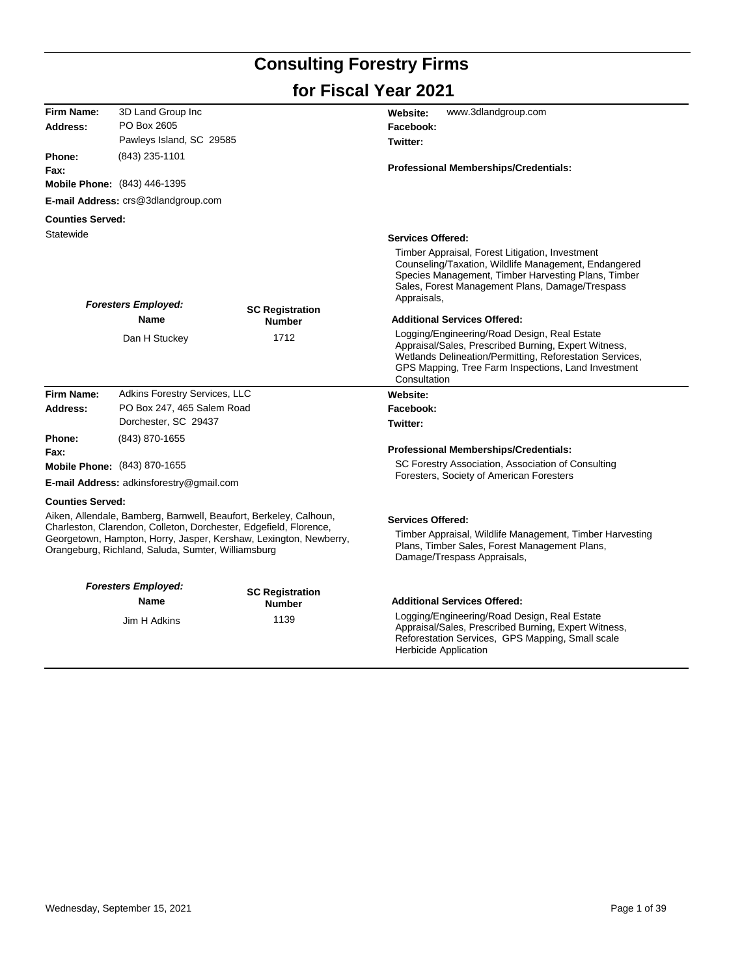# **Consulting Forestry Firms**

## **for Fiscal Year 2021**

| <b>Firm Name:</b>       | 3D Land Group Inc                                  |                                                                                                                                                                                                             | www.3dlandgroup.com<br>Website:                                                                                                                                                                                                         |
|-------------------------|----------------------------------------------------|-------------------------------------------------------------------------------------------------------------------------------------------------------------------------------------------------------------|-----------------------------------------------------------------------------------------------------------------------------------------------------------------------------------------------------------------------------------------|
| Address:                | PO Box 2605                                        |                                                                                                                                                                                                             | Facebook:                                                                                                                                                                                                                               |
|                         | Pawleys Island, SC 29585                           |                                                                                                                                                                                                             | Twitter:                                                                                                                                                                                                                                |
| Phone:                  | (843) 235-1101                                     |                                                                                                                                                                                                             |                                                                                                                                                                                                                                         |
| Fax:                    |                                                    |                                                                                                                                                                                                             | Professional Memberships/Credentials:                                                                                                                                                                                                   |
|                         | Mobile Phone: (843) 446-1395                       |                                                                                                                                                                                                             |                                                                                                                                                                                                                                         |
|                         | E-mail Address: crs@3dlandgroup.com                |                                                                                                                                                                                                             |                                                                                                                                                                                                                                         |
| <b>Counties Served:</b> |                                                    |                                                                                                                                                                                                             |                                                                                                                                                                                                                                         |
| Statewide               |                                                    |                                                                                                                                                                                                             | <b>Services Offered:</b>                                                                                                                                                                                                                |
|                         | <b>Foresters Employed:</b>                         |                                                                                                                                                                                                             | Timber Appraisal, Forest Litigation, Investment<br>Counseling/Taxation, Wildlife Management, Endangered<br>Species Management, Timber Harvesting Plans, Timber<br>Sales, Forest Management Plans, Damage/Trespass<br>Appraisals,        |
|                         | Name                                               | <b>SC Registration</b><br><b>Number</b>                                                                                                                                                                     | <b>Additional Services Offered:</b>                                                                                                                                                                                                     |
|                         | Dan H Stuckey                                      | 1712                                                                                                                                                                                                        | Logging/Engineering/Road Design, Real Estate<br>Appraisal/Sales, Prescribed Burning, Expert Witness,<br>Wetlands Delineation/Permitting, Reforestation Services,<br>GPS Mapping, Tree Farm Inspections, Land Investment<br>Consultation |
| <b>Firm Name:</b>       | Adkins Forestry Services, LLC                      |                                                                                                                                                                                                             | Website:                                                                                                                                                                                                                                |
| Address:                | PO Box 247, 465 Salem Road                         |                                                                                                                                                                                                             | Facebook:                                                                                                                                                                                                                               |
|                         | Dorchester, SC 29437                               |                                                                                                                                                                                                             | Twitter:                                                                                                                                                                                                                                |
| Phone:                  | (843) 870-1655                                     |                                                                                                                                                                                                             |                                                                                                                                                                                                                                         |
| Fax:                    |                                                    |                                                                                                                                                                                                             | Professional Memberships/Credentials:                                                                                                                                                                                                   |
|                         | Mobile Phone: (843) 870-1655                       |                                                                                                                                                                                                             | SC Forestry Association, Association of Consulting<br>Foresters, Society of American Foresters                                                                                                                                          |
|                         | E-mail Address: adkinsforestry@gmail.com           |                                                                                                                                                                                                             |                                                                                                                                                                                                                                         |
| <b>Counties Served:</b> |                                                    |                                                                                                                                                                                                             |                                                                                                                                                                                                                                         |
|                         | Orangeburg, Richland, Saluda, Sumter, Williamsburg | Aiken, Allendale, Bamberg, Barnwell, Beaufort, Berkeley, Calhoun,<br>Charleston, Clarendon, Colleton, Dorchester, Edgefield, Florence,<br>Georgetown, Hampton, Horry, Jasper, Kershaw, Lexington, Newberry, | <b>Services Offered:</b><br>Timber Appraisal, Wildlife Management, Timber Harvesting<br>Plans, Timber Sales, Forest Management Plans,<br>Damage/Trespass Appraisals,                                                                    |
|                         |                                                    |                                                                                                                                                                                                             |                                                                                                                                                                                                                                         |
|                         | <b>Foresters Employed:</b>                         | <b>SC Registration</b>                                                                                                                                                                                      |                                                                                                                                                                                                                                         |
|                         | Name                                               | <b>Number</b>                                                                                                                                                                                               | <b>Additional Services Offered:</b>                                                                                                                                                                                                     |
|                         | Jim H Adkins                                       | 1139                                                                                                                                                                                                        | Logging/Engineering/Road Design, Real Estate<br>Appraisal/Sales, Prescribed Burning, Expert Witness,<br>Reforestation Services, GPS Mapping, Small scale<br><b>Herbicide Application</b>                                                |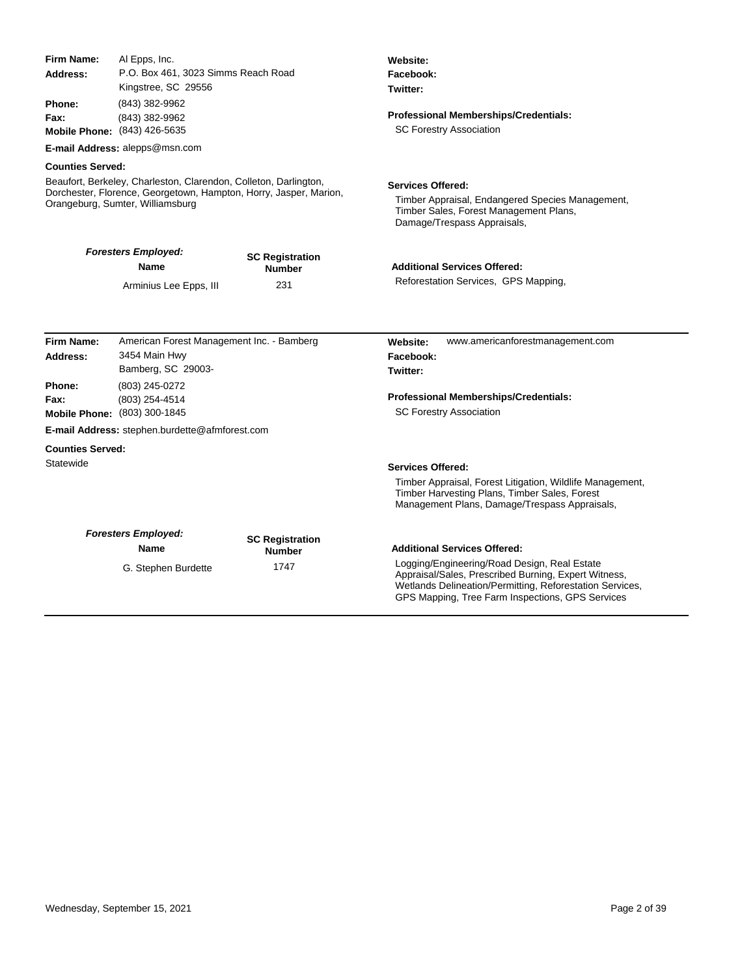| Firm Name:                                             | Al Epps, Inc.                                                                                                                                                             |                                         | Website:                                                                                                                                                                                                             |
|--------------------------------------------------------|---------------------------------------------------------------------------------------------------------------------------------------------------------------------------|-----------------------------------------|----------------------------------------------------------------------------------------------------------------------------------------------------------------------------------------------------------------------|
| Address:                                               | P.O. Box 461, 3023 Simms Reach Road<br>Kingstree, SC 29556                                                                                                                |                                         | Facebook:<br>Twitter:                                                                                                                                                                                                |
| Phone:                                                 | (843) 382-9962                                                                                                                                                            |                                         |                                                                                                                                                                                                                      |
| Fax:                                                   | (843) 382-9962                                                                                                                                                            |                                         | Professional Memberships/Credentials:                                                                                                                                                                                |
|                                                        | Mobile Phone: (843) 426-5635                                                                                                                                              |                                         | <b>SC Forestry Association</b>                                                                                                                                                                                       |
|                                                        | E-mail Address: alepps@msn.com                                                                                                                                            |                                         |                                                                                                                                                                                                                      |
| <b>Counties Served:</b>                                |                                                                                                                                                                           |                                         |                                                                                                                                                                                                                      |
|                                                        | Beaufort, Berkeley, Charleston, Clarendon, Colleton, Darlington,<br>Dorchester, Florence, Georgetown, Hampton, Horry, Jasper, Marion,<br>Orangeburg, Sumter, Williamsburg |                                         | <b>Services Offered:</b><br>Timber Appraisal, Endangered Species Management,<br>Timber Sales, Forest Management Plans,<br>Damage/Trespass Appraisals,                                                                |
|                                                        | <b>Foresters Employed:</b><br><b>Name</b>                                                                                                                                 | <b>SC Registration</b><br><b>Number</b> | <b>Additional Services Offered:</b>                                                                                                                                                                                  |
|                                                        | Arminius Lee Epps, III                                                                                                                                                    | 231                                     | Reforestation Services, GPS Mapping,                                                                                                                                                                                 |
| <b>Firm Name:</b><br>Address:<br><b>Phone:</b><br>Fax: | American Forest Management Inc. - Bamberg<br>3454 Main Hwy<br>Bamberg, SC 29003-<br>(803) 245-0272<br>(803) 254-4514<br>Mobile Phone: (803) 300-1845                      |                                         | www.americanforestmanagement.com<br>Website:<br>Facebook:<br>Twitter:<br><b>Professional Memberships/Credentials:</b><br><b>SC Forestry Association</b>                                                              |
|                                                        | <b>E-mail Address:</b> stephen.burdette@afmforest.com                                                                                                                     |                                         |                                                                                                                                                                                                                      |
| <b>Counties Served:</b>                                |                                                                                                                                                                           |                                         |                                                                                                                                                                                                                      |
| Statewide                                              |                                                                                                                                                                           |                                         | <b>Services Offered:</b><br>Timber Appraisal, Forest Litigation, Wildlife Management,<br>Timber Harvesting Plans, Timber Sales, Forest<br>Management Plans, Damage/Trespass Appraisals,                              |
|                                                        | <b>Foresters Employed:</b><br><b>Name</b>                                                                                                                                 | <b>SC Registration</b><br><b>Number</b> | <b>Additional Services Offered:</b>                                                                                                                                                                                  |
|                                                        | G. Stephen Burdette                                                                                                                                                       | 1747                                    | Logging/Engineering/Road Design, Real Estate<br>Appraisal/Sales, Prescribed Burning, Expert Witness,<br>Wetlands Delineation/Permitting, Reforestation Services,<br>GPS Mapping, Tree Farm Inspections, GPS Services |

j,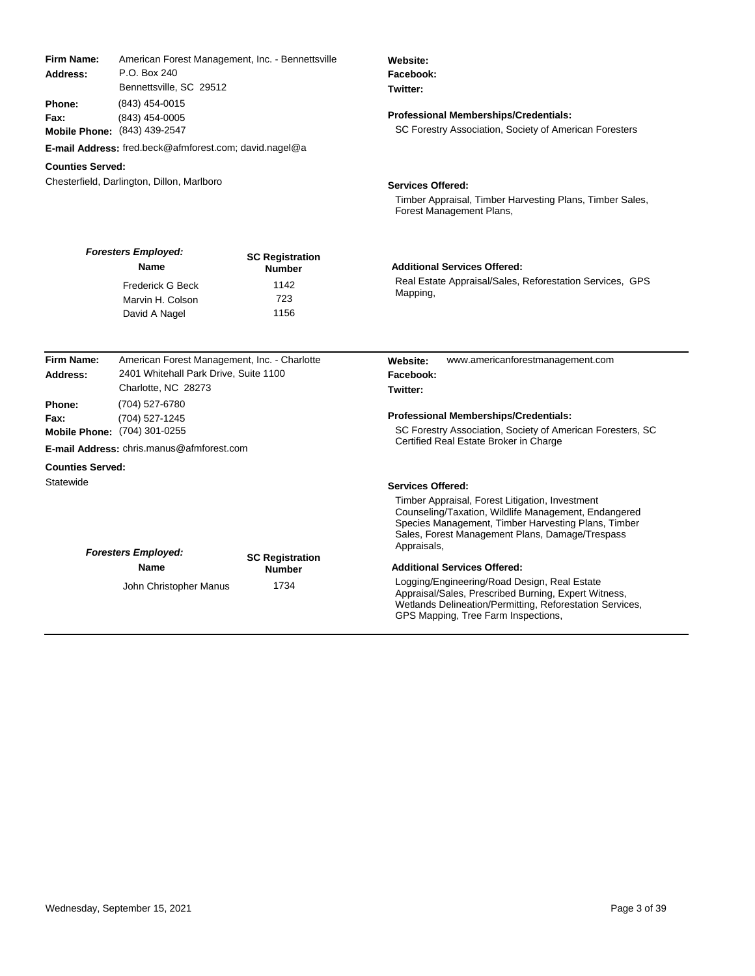| <b>Firm Name:</b><br>Address:<br><b>Phone:</b><br>Fax: | American Forest Management, Inc. - Bennettsville<br>P.O. Box 240<br>Bennettsville, SC 29512<br>(843) 454-0015<br>(843) 454-0005<br>Mobile Phone: (843) 439-2547<br><b>E-mail Address:</b> fred.beck@afmforest.com; david.nagel@a |                                         | Website:<br>Facebook:<br>Twitter:<br><b>Professional Memberships/Credentials:</b><br>SC Forestry Association, Society of American Foresters                                                                                                                  |
|--------------------------------------------------------|----------------------------------------------------------------------------------------------------------------------------------------------------------------------------------------------------------------------------------|-----------------------------------------|--------------------------------------------------------------------------------------------------------------------------------------------------------------------------------------------------------------------------------------------------------------|
| <b>Counties Served:</b>                                |                                                                                                                                                                                                                                  |                                         |                                                                                                                                                                                                                                                              |
|                                                        | Chesterfield, Darlington, Dillon, Marlboro                                                                                                                                                                                       |                                         | <b>Services Offered:</b><br>Timber Appraisal, Timber Harvesting Plans, Timber Sales,<br>Forest Management Plans,                                                                                                                                             |
|                                                        | <b>Foresters Employed:</b><br>Name                                                                                                                                                                                               | <b>SC Registration</b><br><b>Number</b> | <b>Additional Services Offered:</b>                                                                                                                                                                                                                          |
|                                                        | Frederick G Beck<br>Marvin H. Colson<br>David A Nagel                                                                                                                                                                            | 1142<br>723<br>1156                     | Real Estate Appraisal/Sales, Reforestation Services, GPS<br>Mapping,                                                                                                                                                                                         |
|                                                        |                                                                                                                                                                                                                                  |                                         |                                                                                                                                                                                                                                                              |
| Firm Name:<br>Address:                                 | American Forest Management, Inc. - Charlotte<br>2401 Whitehall Park Drive, Suite 1100<br>Charlotte, NC 28273                                                                                                                     |                                         | Website:<br>www.americanforestmanagement.com<br>Facebook:<br>Twitter:                                                                                                                                                                                        |
| Phone:                                                 | (704) 527-6780                                                                                                                                                                                                                   |                                         |                                                                                                                                                                                                                                                              |
| Fax:                                                   | (704) 527-1245<br>Mobile Phone: (704) 301-0255                                                                                                                                                                                   |                                         | <b>Professional Memberships/Credentials:</b><br>SC Forestry Association, Society of American Foresters, SC                                                                                                                                                   |
|                                                        | <b>E-mail Address:</b> chris.manus@afmforest.com                                                                                                                                                                                 |                                         | Certified Real Estate Broker in Charge                                                                                                                                                                                                                       |
|                                                        |                                                                                                                                                                                                                                  |                                         |                                                                                                                                                                                                                                                              |
| <b>Counties Served:</b><br>Statewide                   |                                                                                                                                                                                                                                  |                                         |                                                                                                                                                                                                                                                              |
|                                                        |                                                                                                                                                                                                                                  |                                         | <b>Services Offered:</b><br>Timber Appraisal, Forest Litigation, Investment<br>Counseling/Taxation, Wildlife Management, Endangered<br>Species Management, Timber Harvesting Plans, Timber<br>Sales, Forest Management Plans, Damage/Trespass<br>Appraisals, |
|                                                        | <b>Foresters Employed:</b><br>Name                                                                                                                                                                                               | <b>SC Registration</b>                  | <b>Additional Services Offered:</b>                                                                                                                                                                                                                          |
|                                                        | John Christopher Manus                                                                                                                                                                                                           | <b>Number</b><br>1734                   | Logging/Engineering/Road Design, Real Estate<br>Appraisal/Sales, Prescribed Burning, Expert Witness,<br>Wetlands Delineation/Permitting, Reforestation Services,<br>GPS Mapping, Tree Farm Inspections,                                                      |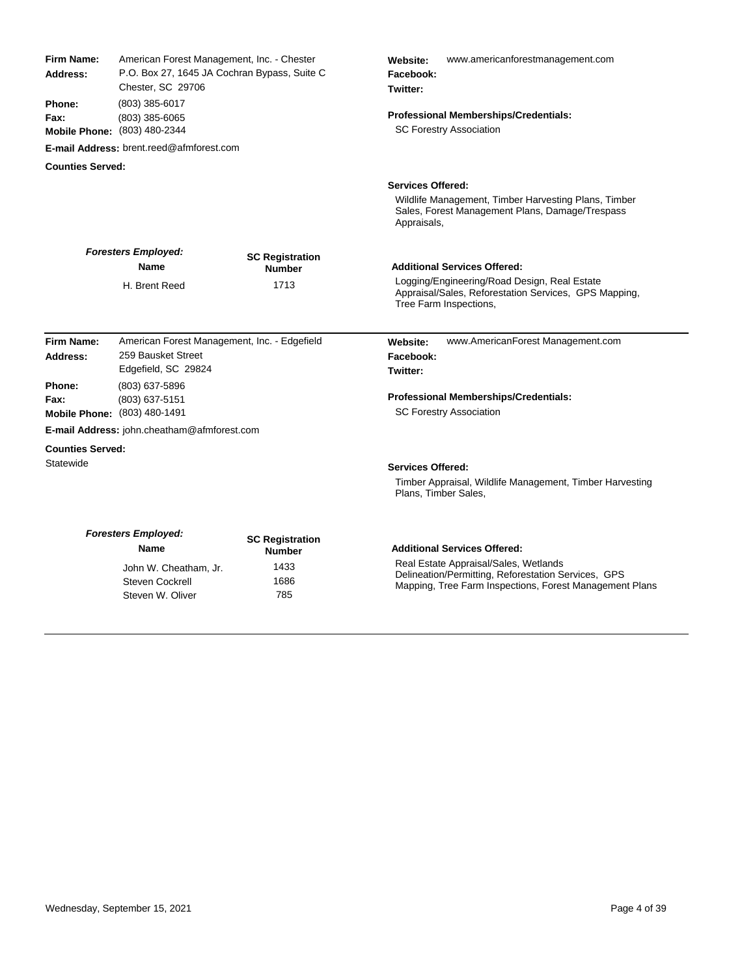| Firm Name:<br>Address:  | American Forest Management, Inc. - Chester<br>P.O. Box 27, 1645 JA Cochran Bypass, Suite C<br>Chester, SC 29706 |                                         | www.americanforestmanagement.com<br>Website:<br>Facebook:<br>Twitter:                                                                                  |
|-------------------------|-----------------------------------------------------------------------------------------------------------------|-----------------------------------------|--------------------------------------------------------------------------------------------------------------------------------------------------------|
| Phone:<br>Fax:          | $(803)$ 385-6017<br>$(803)$ 385-6065                                                                            |                                         | <b>Professional Memberships/Credentials:</b>                                                                                                           |
|                         | Mobile Phone: (803) 480-2344                                                                                    |                                         | <b>SC Forestry Association</b>                                                                                                                         |
|                         | <b>E-mail Address: brent.reed@afmforest.com</b>                                                                 |                                         |                                                                                                                                                        |
| <b>Counties Served:</b> |                                                                                                                 |                                         |                                                                                                                                                        |
|                         |                                                                                                                 |                                         | <b>Services Offered:</b>                                                                                                                               |
|                         |                                                                                                                 |                                         | Wildlife Management, Timber Harvesting Plans, Timber<br>Sales, Forest Management Plans, Damage/Trespass<br>Appraisals,                                 |
|                         | <b>Foresters Employed:</b><br><b>Name</b>                                                                       | <b>SC Registration</b><br><b>Number</b> | <b>Additional Services Offered:</b>                                                                                                                    |
|                         | H. Brent Reed                                                                                                   | 1713                                    | Logging/Engineering/Road Design, Real Estate<br>Appraisal/Sales, Reforestation Services, GPS Mapping,<br>Tree Farm Inspections,                        |
| Firm Name:              | American Forest Management, Inc. - Edgefield                                                                    |                                         | www.AmericanForest Management.com<br>Website:                                                                                                          |
| Address:                | 259 Bausket Street<br>Edgefield, SC 29824                                                                       |                                         | Facebook:<br>Twitter:                                                                                                                                  |
| Phone:                  | (803) 637-5896                                                                                                  |                                         |                                                                                                                                                        |
| Fax:                    | (803) 637-5151<br>Mobile Phone: (803) 480-1491                                                                  |                                         | <b>Professional Memberships/Credentials:</b><br><b>SC Forestry Association</b>                                                                         |
|                         | <b>E-mail Address:</b> john.cheatham@afmforest.com                                                              |                                         |                                                                                                                                                        |
| <b>Counties Served:</b> |                                                                                                                 |                                         |                                                                                                                                                        |
| Statewide               |                                                                                                                 |                                         | <b>Services Offered:</b>                                                                                                                               |
|                         |                                                                                                                 |                                         | Timber Appraisal, Wildlife Management, Timber Harvesting<br>Plans, Timber Sales,                                                                       |
|                         | <b>Foresters Employed:</b><br>Name                                                                              | <b>SC Registration</b><br><b>Number</b> | <b>Additional Services Offered:</b>                                                                                                                    |
|                         | John W. Cheatham, Jr.<br><b>Steven Cockrell</b>                                                                 | 1433<br>1686                            | Real Estate Appraisal/Sales, Wetlands<br>Delineation/Permitting, Reforestation Services, GPS<br>Manning Tree Ferm Increations, Ferest Management Plane |

Delineation/Permitting, Reforestation Services, GPS Mapping, Tree Farm Inspections, Forest Management Plans

Steven Cockrell 1686<br>Steven W. Oliver 1685

Steven W. Oliver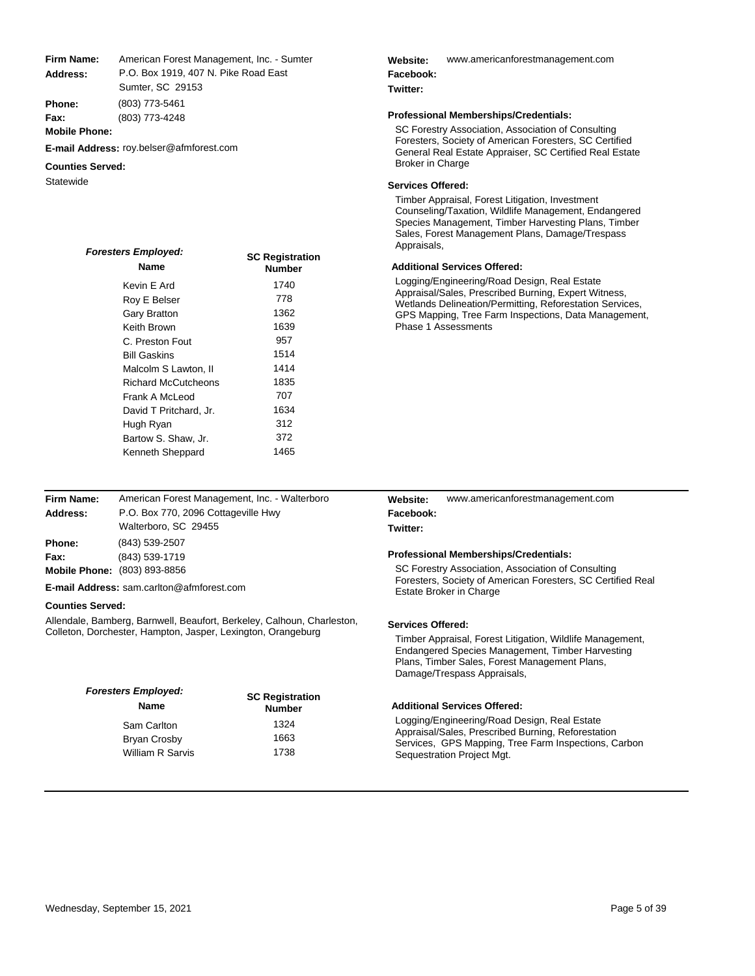American Forest Management, Inc. - Sumter P.O. Box 1919, 407 N. Pike Road East **Address: Firm Name:**

Sumter, SC 29153

(803) 773-5461 (803) 773-4248 **Phone: Fax:**

**Mobile Phone:**

**E-mail Address:** roy.belser@afmforest.com

## **Counties Served:**

| <b>Foresters Employed:</b> | <b>SC Registration</b> |  |
|----------------------------|------------------------|--|
| <b>Name</b>                | <b>Number</b>          |  |
| Kevin E Ard                | 1740                   |  |
| Roy E Belser               | 778                    |  |
| Gary Bratton               | 1362                   |  |
| Keith Brown                | 1639                   |  |
| C. Preston Fout            | 957                    |  |
| <b>Bill Gaskins</b>        | 1514                   |  |
| Malcolm S Lawton. II       | 1414                   |  |
| <b>Richard McCutcheons</b> | 1835                   |  |
| Frank A McLeod             | 707                    |  |
| David T Pritchard, Jr.     | 1634                   |  |
| Hugh Ryan                  | 312                    |  |
| Bartow S. Shaw, Jr.        | 372                    |  |
| Kenneth Sheppard           | 1465                   |  |

| Firm Name: | American Forest Management, Inc. - Walterboro |
|------------|-----------------------------------------------|
| Address:   | P.O. Box 770, 2096 Cottageville Hwy           |
|            | Walterboro, SC 29455                          |
| Phone:     | (843) 539-2507                                |
| Fax:       | (843) 539-1719                                |
|            | Mobile Phone: (803) 893-8856                  |

**E-mail Address:** sam.carlton@afmforest.com

## **Counties Served:**

Allendale, Bamberg, Barnwell, Beaufort, Berkeley, Calhoun, Charleston, Colleton, Dorchester, Hampton, Jasper, Lexington, Orangeburg

| <b>Foresters Employed:</b><br>Name | <b>SC Registration</b><br><b>Number</b> |  |
|------------------------------------|-----------------------------------------|--|
| Sam Carlton                        | 1324                                    |  |
| Bryan Crosby                       | 1663                                    |  |
| William R Sarvis                   | 1738                                    |  |

#### www.americanforestmanagement.com **Website: Facebook:**

## **Twitter:**

## **Professional Memberships/Credentials:**

SC Forestry Association, Association of Consulting Foresters, Society of American Foresters, SC Certified General Real Estate Appraiser, SC Certified Real Estate

## Statewide **Statewide Statewide Statewide Services Offered:**

Timber Appraisal, Forest Litigation, Investment Counseling/Taxation, Wildlife Management, Endangered Species Management, Timber Harvesting Plans, Timber Sales, Forest Management Plans, Damage/Trespass Appraisals,

## **Additional Services Offered:**

Logging/Engineering/Road Design, Real Estate Appraisal/Sales, Prescribed Burning, Expert Witness, Wetlands Delineation/Permitting, Reforestation Services, GPS Mapping, Tree Farm Inspections, Data Management, Phase 1 Assessments

| <b>Website:</b> | www.americanforestmanagement.com |
|-----------------|----------------------------------|
| Facebook:       |                                  |

## **Twitter:**

## **Professional Memberships/Credentials:**

SC Forestry Association, Association of Consulting Foresters, Society of American Foresters, SC Certified Real Estate Broker in Charge

## **Services Offered:**

Timber Appraisal, Forest Litigation, Wildlife Management, Endangered Species Management, Timber Harvesting Plans, Timber Sales, Forest Management Plans, Damage/Trespass Appraisals,

## **Additional Services Offered:**

Logging/Engineering/Road Design, Real Estate Appraisal/Sales, Prescribed Burning, Reforestation Services, GPS Mapping, Tree Farm Inspections, Carbon Sequestration Project Mgt.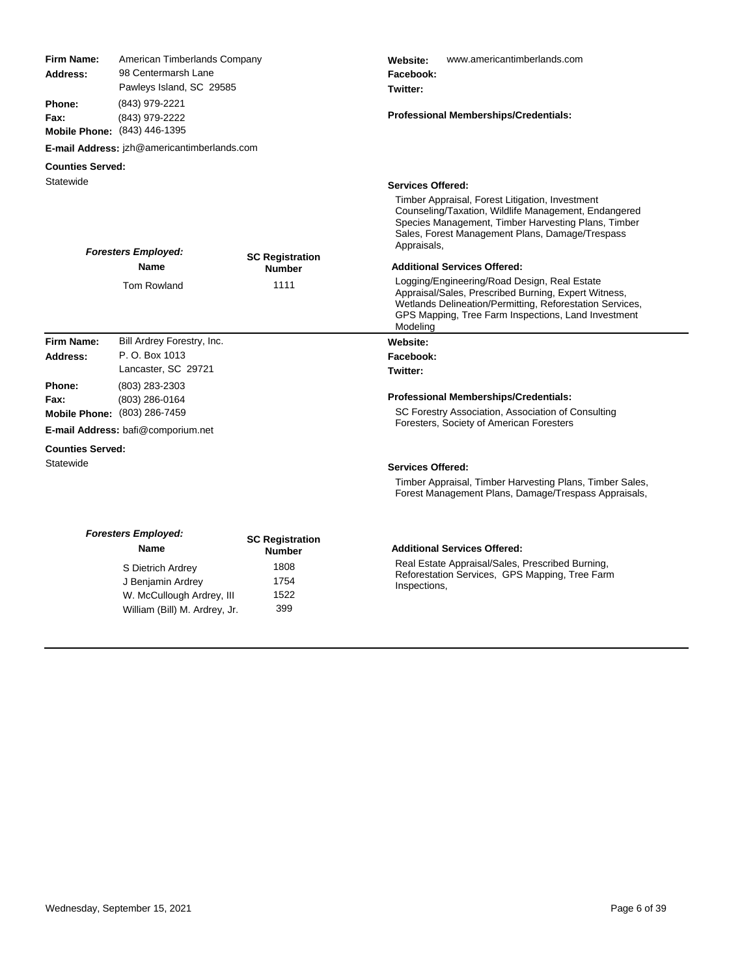| <b>Firm Name:</b><br>Address:<br>Phone:<br>Fax: | American Timberlands Company<br>98 Centermarsh Lane<br>Pawleys Island, SC 29585<br>(843) 979-2221<br>(843) 979-2222<br>Mobile Phone: (843) 446-1395 |                                         | www.americantimberlands.com<br>Website:<br>Facebook:<br>Twitter:<br><b>Professional Memberships/Credentials:</b>                                                                                                                    |
|-------------------------------------------------|-----------------------------------------------------------------------------------------------------------------------------------------------------|-----------------------------------------|-------------------------------------------------------------------------------------------------------------------------------------------------------------------------------------------------------------------------------------|
|                                                 | E-mail Address: jzh@americantimberlands.com                                                                                                         |                                         |                                                                                                                                                                                                                                     |
| <b>Counties Served:</b>                         |                                                                                                                                                     |                                         |                                                                                                                                                                                                                                     |
| Statewide                                       |                                                                                                                                                     |                                         | <b>Services Offered:</b>                                                                                                                                                                                                            |
|                                                 | <b>Foresters Employed:</b>                                                                                                                          |                                         | Timber Appraisal, Forest Litigation, Investment<br>Counseling/Taxation, Wildlife Management, Endangered<br>Species Management, Timber Harvesting Plans, Timber<br>Sales, Forest Management Plans, Damage/Trespass<br>Appraisals,    |
|                                                 | <b>Name</b>                                                                                                                                         | <b>SC Registration</b><br><b>Number</b> | <b>Additional Services Offered:</b>                                                                                                                                                                                                 |
|                                                 | <b>Tom Rowland</b>                                                                                                                                  | 1111                                    | Logging/Engineering/Road Design, Real Estate<br>Appraisal/Sales, Prescribed Burning, Expert Witness,<br>Wetlands Delineation/Permitting, Reforestation Services,<br>GPS Mapping, Tree Farm Inspections, Land Investment<br>Modeling |
| Firm Name:                                      | Bill Ardrey Forestry, Inc.                                                                                                                          |                                         | Website:                                                                                                                                                                                                                            |
| Address:                                        | P. O. Box 1013                                                                                                                                      |                                         | Facebook:                                                                                                                                                                                                                           |
|                                                 | Lancaster, SC 29721                                                                                                                                 |                                         | Twitter:                                                                                                                                                                                                                            |
| Phone:                                          | (803) 283-2303                                                                                                                                      |                                         |                                                                                                                                                                                                                                     |
| Fax:                                            | (803) 286-0164                                                                                                                                      |                                         | <b>Professional Memberships/Credentials:</b>                                                                                                                                                                                        |
|                                                 | Mobile Phone: (803) 286-7459                                                                                                                        |                                         | SC Forestry Association, Association of Consulting<br>Foresters, Society of American Foresters                                                                                                                                      |
|                                                 | E-mail Address: bafi@comporium.net                                                                                                                  |                                         |                                                                                                                                                                                                                                     |
| <b>Counties Served:</b>                         |                                                                                                                                                     |                                         |                                                                                                                                                                                                                                     |
| Statewide                                       |                                                                                                                                                     |                                         | <b>Services Offered:</b>                                                                                                                                                                                                            |
|                                                 |                                                                                                                                                     |                                         | Timber Appraisal, Timber Harvesting Plans, Timber Sales,<br>Forest Management Plans, Damage/Trespass Appraisals,                                                                                                                    |
|                                                 | <b>Foresters Employed:</b><br>Name                                                                                                                  | <b>SC Registration</b><br><b>Number</b> | <b>Additional Services Offered:</b>                                                                                                                                                                                                 |
|                                                 | S Dietrich Ardrey<br>J Benjamin Ardrey                                                                                                              | 1808<br>1754                            | Real Estate Appraisal/Sales, Prescribed Burning,<br>Reforestation Services, GPS Mapping, Tree Farm<br>Inspections,                                                                                                                  |

W. McCullough Ardrey, III 1522<br>William (Bill) M. Ardrey, Jr. 399

William (Bill) M. Ardrey, Jr.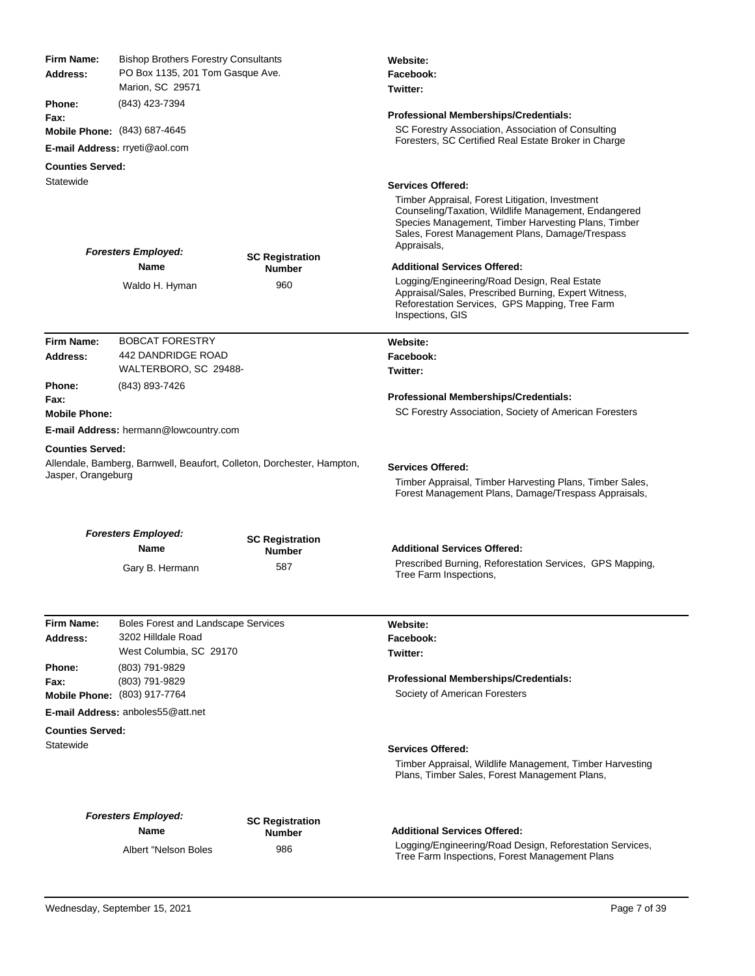| Firm Name:<br>Address:               | <b>Bishop Brothers Forestry Consultants</b><br>PO Box 1135, 201 Tom Gasque Ave.<br>Marion, SC 29571 |                                         | Website:<br>Facebook:<br>Twitter:                                                                                                                                                                                                |  |
|--------------------------------------|-----------------------------------------------------------------------------------------------------|-----------------------------------------|----------------------------------------------------------------------------------------------------------------------------------------------------------------------------------------------------------------------------------|--|
| Phone:                               | (843) 423-7394                                                                                      |                                         |                                                                                                                                                                                                                                  |  |
| Fax:                                 |                                                                                                     |                                         | <b>Professional Memberships/Credentials:</b>                                                                                                                                                                                     |  |
|                                      | Mobile Phone: (843) 687-4645                                                                        |                                         | SC Forestry Association, Association of Consulting<br>Foresters, SC Certified Real Estate Broker in Charge                                                                                                                       |  |
|                                      | E-mail Address: rryeti@aol.com                                                                      |                                         |                                                                                                                                                                                                                                  |  |
| <b>Counties Served:</b><br>Statewide |                                                                                                     |                                         |                                                                                                                                                                                                                                  |  |
|                                      |                                                                                                     |                                         | <b>Services Offered:</b>                                                                                                                                                                                                         |  |
|                                      | <b>Foresters Employed:</b>                                                                          |                                         | Timber Appraisal, Forest Litigation, Investment<br>Counseling/Taxation, Wildlife Management, Endangered<br>Species Management, Timber Harvesting Plans, Timber<br>Sales, Forest Management Plans, Damage/Trespass<br>Appraisals, |  |
|                                      | Name                                                                                                | <b>SC Registration</b><br><b>Number</b> | <b>Additional Services Offered:</b>                                                                                                                                                                                              |  |
|                                      | Waldo H. Hyman                                                                                      | 960                                     | Logging/Engineering/Road Design, Real Estate<br>Appraisal/Sales, Prescribed Burning, Expert Witness,<br>Reforestation Services, GPS Mapping, Tree Farm<br>Inspections, GIS                                                       |  |
| <b>Firm Name:</b>                    | <b>BOBCAT FORESTRY</b>                                                                              |                                         | Website:                                                                                                                                                                                                                         |  |
| Address:                             | 442 DANDRIDGE ROAD                                                                                  |                                         | Facebook:                                                                                                                                                                                                                        |  |
|                                      | WALTERBORO, SC 29488-                                                                               |                                         | Twitter:                                                                                                                                                                                                                         |  |
| Phone:<br>Fax:                       | (843) 893-7426                                                                                      |                                         | <b>Professional Memberships/Credentials:</b>                                                                                                                                                                                     |  |
| <b>Mobile Phone:</b>                 |                                                                                                     |                                         | SC Forestry Association, Society of American Foresters                                                                                                                                                                           |  |
|                                      | E-mail Address: hermann@lowcountry.com                                                              |                                         |                                                                                                                                                                                                                                  |  |
| <b>Counties Served:</b>              |                                                                                                     |                                         |                                                                                                                                                                                                                                  |  |
| Jasper, Orangeburg                   | Allendale, Bamberg, Barnwell, Beaufort, Colleton, Dorchester, Hampton,                              |                                         | <b>Services Offered:</b><br>Timber Appraisal, Timber Harvesting Plans, Timber Sales,<br>Forest Management Plans, Damage/Trespass Appraisals,                                                                                     |  |
|                                      |                                                                                                     |                                         |                                                                                                                                                                                                                                  |  |
|                                      | <b>Foresters Employed:</b><br>Name                                                                  | <b>SC Registration</b>                  | <b>Additional Services Offered:</b>                                                                                                                                                                                              |  |
|                                      |                                                                                                     | <b>Number</b><br>587                    | Prescribed Burning, Reforestation Services, GPS Mapping,                                                                                                                                                                         |  |
|                                      | Gary B. Hermann                                                                                     |                                         | Tree Farm Inspections,                                                                                                                                                                                                           |  |
| Firm Name:                           | <b>Boles Forest and Landscape Services</b>                                                          |                                         | Website:                                                                                                                                                                                                                         |  |
| Address:                             | 3202 Hilldale Road<br>West Columbia, SC 29170                                                       |                                         | Facebook:<br>Twitter:                                                                                                                                                                                                            |  |
| Phone:                               | (803) 791-9829                                                                                      |                                         |                                                                                                                                                                                                                                  |  |
| Fax:                                 | (803) 791-9829                                                                                      |                                         | Professional Memberships/Credentials:                                                                                                                                                                                            |  |
|                                      | Mobile Phone: (803) 917-7764                                                                        |                                         | Society of American Foresters                                                                                                                                                                                                    |  |
|                                      | E-mail Address: anboles55@att.net                                                                   |                                         |                                                                                                                                                                                                                                  |  |
| <b>Counties Served:</b>              |                                                                                                     |                                         |                                                                                                                                                                                                                                  |  |
| Statewide                            |                                                                                                     |                                         | <b>Services Offered:</b><br>Timber Appraisal, Wildlife Management, Timber Harvesting<br>Plans, Timber Sales, Forest Management Plans,                                                                                            |  |
|                                      | <b>Foresters Employed:</b>                                                                          |                                         |                                                                                                                                                                                                                                  |  |
|                                      | Name                                                                                                | <b>SC Registration</b><br>Number        | <b>Additional Services Offered:</b>                                                                                                                                                                                              |  |
|                                      | Albert "Nelson Boles                                                                                | 986                                     | Logging/Engineering/Road Design, Reforestation Services,<br>Tree Farm Inspections, Forest Management Plans                                                                                                                       |  |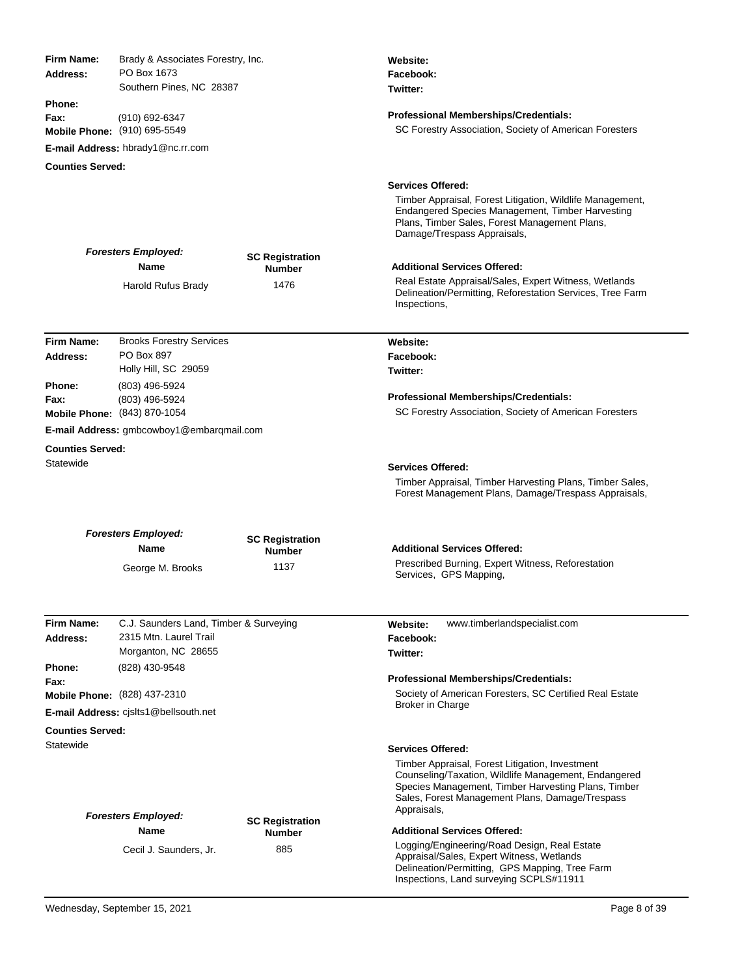| Firm Name:<br>Address:  | Brady & Associates Forestry, Inc.<br>PO Box 1673<br>Southern Pines, NC 28387 |                                         | Website:<br>Facebook:<br>Twitter:                                                                                                                                                                                                |
|-------------------------|------------------------------------------------------------------------------|-----------------------------------------|----------------------------------------------------------------------------------------------------------------------------------------------------------------------------------------------------------------------------------|
| Phone:<br>Fax:          | (910) 692-6347<br>Mobile Phone: (910) 695-5549                               |                                         | <b>Professional Memberships/Credentials:</b><br>SC Forestry Association, Society of American Foresters                                                                                                                           |
|                         | E-mail Address: hbrady1@nc.rr.com                                            |                                         |                                                                                                                                                                                                                                  |
| <b>Counties Served:</b> |                                                                              |                                         |                                                                                                                                                                                                                                  |
|                         |                                                                              |                                         | <b>Services Offered:</b>                                                                                                                                                                                                         |
|                         |                                                                              |                                         | Timber Appraisal, Forest Litigation, Wildlife Management,<br>Endangered Species Management, Timber Harvesting<br>Plans, Timber Sales, Forest Management Plans,<br>Damage/Trespass Appraisals,                                    |
|                         | <b>Foresters Employed:</b>                                                   | <b>SC Registration</b>                  |                                                                                                                                                                                                                                  |
|                         | <b>Name</b>                                                                  | <b>Number</b>                           | <b>Additional Services Offered:</b><br>Real Estate Appraisal/Sales, Expert Witness, Wetlands                                                                                                                                     |
|                         | Harold Rufus Brady                                                           | 1476                                    | Delineation/Permitting, Reforestation Services, Tree Farm<br>Inspections,                                                                                                                                                        |
| Firm Name:              | <b>Brooks Forestry Services</b>                                              |                                         | Website:                                                                                                                                                                                                                         |
| Address:                | PO Box 897                                                                   |                                         | Facebook:                                                                                                                                                                                                                        |
|                         | Holly Hill, SC 29059                                                         |                                         | Twitter:                                                                                                                                                                                                                         |
| Phone:                  | (803) 496-5924                                                               |                                         | <b>Professional Memberships/Credentials:</b>                                                                                                                                                                                     |
| Fax:                    | (803) 496-5924<br>Mobile Phone: (843) 870-1054                               |                                         | SC Forestry Association, Society of American Foresters                                                                                                                                                                           |
|                         | <b>E-mail Address:</b> gmbcowboy1@embargmail.com                             |                                         |                                                                                                                                                                                                                                  |
| <b>Counties Served:</b> |                                                                              |                                         |                                                                                                                                                                                                                                  |
| Statewide               |                                                                              |                                         | <b>Services Offered:</b>                                                                                                                                                                                                         |
|                         |                                                                              |                                         | Timber Appraisal, Timber Harvesting Plans, Timber Sales,<br>Forest Management Plans, Damage/Trespass Appraisals,                                                                                                                 |
|                         | <b>Foresters Employed:</b><br><b>Name</b>                                    | <b>SC Registration</b><br><b>Number</b> | <b>Additional Services Offered:</b>                                                                                                                                                                                              |
|                         | George M. Brooks                                                             | 1137                                    | Prescribed Burning, Expert Witness, Reforestation<br>Services, GPS Mapping,                                                                                                                                                      |
|                         |                                                                              |                                         |                                                                                                                                                                                                                                  |
| Firm Name:              | C.J. Saunders Land, Timber & Surveying                                       |                                         | www.timberlandspecialist.com<br>Website:                                                                                                                                                                                         |
| Address:                | 2315 Mtn. Laurel Trail                                                       |                                         | Facebook:                                                                                                                                                                                                                        |
| Phone:                  | Morganton, NC 28655<br>(828) 430-9548                                        |                                         | Twitter:                                                                                                                                                                                                                         |
| Fax:                    |                                                                              |                                         | <b>Professional Memberships/Credentials:</b>                                                                                                                                                                                     |
|                         | Mobile Phone: (828) 437-2310                                                 |                                         | Society of American Foresters, SC Certified Real Estate                                                                                                                                                                          |
|                         | E-mail Address: cjslts1@bellsouth.net                                        |                                         | Broker in Charge                                                                                                                                                                                                                 |
| <b>Counties Served:</b> |                                                                              |                                         |                                                                                                                                                                                                                                  |
| Statewide               |                                                                              |                                         | <b>Services Offered:</b>                                                                                                                                                                                                         |
|                         | <b>Foresters Employed:</b>                                                   |                                         | Timber Appraisal, Forest Litigation, Investment<br>Counseling/Taxation, Wildlife Management, Endangered<br>Species Management, Timber Harvesting Plans, Timber<br>Sales, Forest Management Plans, Damage/Trespass<br>Appraisals, |
|                         | Name                                                                         | <b>SC Registration</b><br><b>Number</b> | <b>Additional Services Offered:</b>                                                                                                                                                                                              |
|                         | Cecil J. Saunders, Jr.                                                       | 885                                     | Logging/Engineering/Road Design, Real Estate<br>Appraisal/Sales, Expert Witness, Wetlands<br>Delineation/Permitting, GPS Mapping, Tree Farm<br>Inspections, Land surveying SCPLS#11911                                           |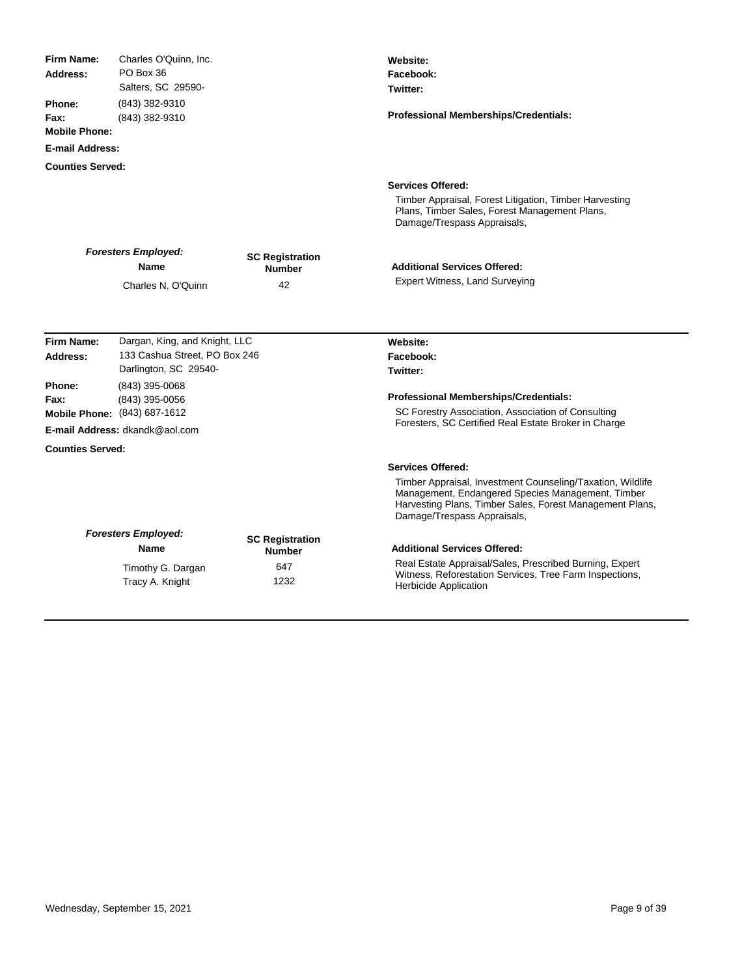| <b>Firm Name:</b>       | Charles O'Quinn, Inc.                |                                         | Website:                                                                                                                                                                                                   |
|-------------------------|--------------------------------------|-----------------------------------------|------------------------------------------------------------------------------------------------------------------------------------------------------------------------------------------------------------|
| Address:                | PO Box 36                            |                                         | Facebook:                                                                                                                                                                                                  |
|                         | Salters, SC 29590-                   |                                         | Twitter:                                                                                                                                                                                                   |
| Phone:<br>Fax:          | (843) 382-9310<br>(843) 382-9310     |                                         | <b>Professional Memberships/Credentials:</b>                                                                                                                                                               |
| <b>Mobile Phone:</b>    |                                      |                                         |                                                                                                                                                                                                            |
| <b>E-mail Address:</b>  |                                      |                                         |                                                                                                                                                                                                            |
| <b>Counties Served:</b> |                                      |                                         |                                                                                                                                                                                                            |
|                         |                                      |                                         | <b>Services Offered:</b>                                                                                                                                                                                   |
|                         |                                      |                                         |                                                                                                                                                                                                            |
|                         |                                      |                                         | Timber Appraisal, Forest Litigation, Timber Harvesting<br>Plans, Timber Sales, Forest Management Plans,<br>Damage/Trespass Appraisals,                                                                     |
|                         |                                      |                                         |                                                                                                                                                                                                            |
|                         | <b>Foresters Employed:</b><br>Name   | <b>SC Registration</b>                  | <b>Additional Services Offered:</b>                                                                                                                                                                        |
|                         |                                      | <b>Number</b>                           | <b>Expert Witness, Land Surveying</b>                                                                                                                                                                      |
|                         | Charles N. O'Quinn                   | 42                                      |                                                                                                                                                                                                            |
|                         |                                      |                                         |                                                                                                                                                                                                            |
| Firm Name:              | Dargan, King, and Knight, LLC        |                                         | Website:                                                                                                                                                                                                   |
| Address:                | 133 Cashua Street, PO Box 246        |                                         | Facebook:                                                                                                                                                                                                  |
|                         | Darlington, SC 29540-                |                                         | Twitter:                                                                                                                                                                                                   |
| Phone:                  | (843) 395-0068                       |                                         |                                                                                                                                                                                                            |
| Fax:                    | (843) 395-0056                       |                                         | <b>Professional Memberships/Credentials:</b>                                                                                                                                                               |
|                         | Mobile Phone: (843) 687-1612         |                                         | SC Forestry Association, Association of Consulting<br>Foresters, SC Certified Real Estate Broker in Charge                                                                                                 |
|                         | E-mail Address: dkandk@aol.com       |                                         |                                                                                                                                                                                                            |
| <b>Counties Served:</b> |                                      |                                         |                                                                                                                                                                                                            |
|                         |                                      |                                         | <b>Services Offered:</b>                                                                                                                                                                                   |
|                         |                                      |                                         | Timber Appraisal, Investment Counseling/Taxation, Wildlife<br>Management, Endangered Species Management, Timber<br>Harvesting Plans, Timber Sales, Forest Management Plans,<br>Damage/Trespass Appraisals, |
|                         | <b>Foresters Employed:</b>           |                                         |                                                                                                                                                                                                            |
|                         | Name                                 | <b>SC Registration</b><br><b>Number</b> | <b>Additional Services Offered:</b>                                                                                                                                                                        |
|                         |                                      | 647                                     | Real Estate Appraisal/Sales, Prescribed Burning, Expert                                                                                                                                                    |
|                         | Timothy G. Dargan<br>Tracy A. Knight | 1232                                    | Witness, Reforestation Services, Tree Farm Inspections,<br><b>Herbicide Application</b>                                                                                                                    |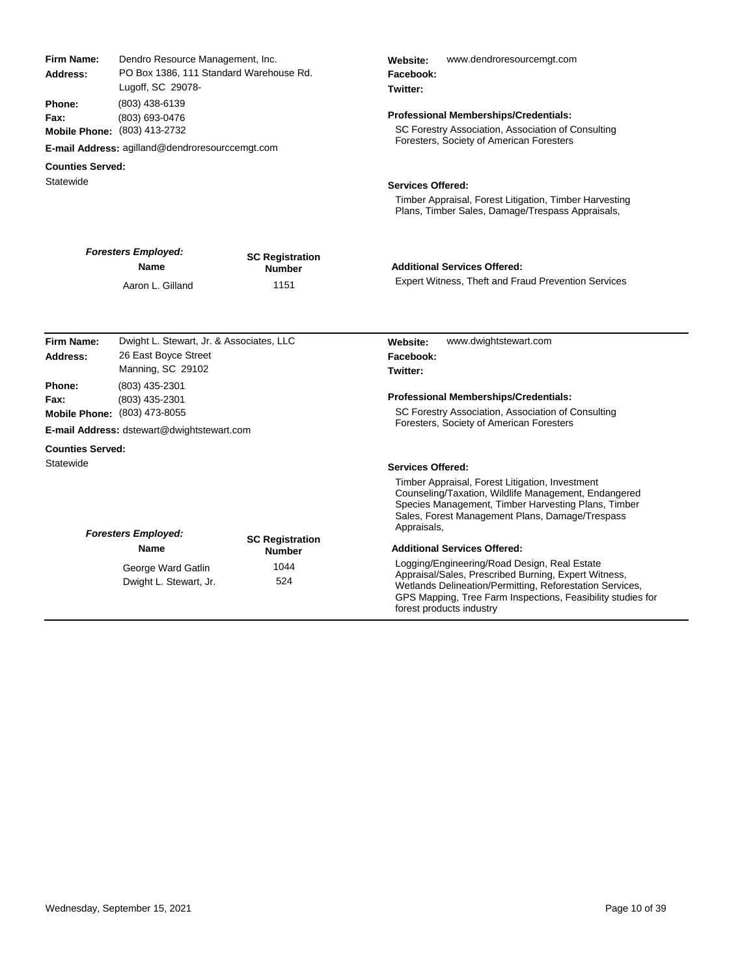| <b>Firm Name:</b><br>Address:                   | Dendro Resource Management, Inc.<br>PO Box 1386, 111 Standard Warehouse Rd.<br>Lugoff, SC 29078-<br>(803) 438-6139<br>(803) 693-0476<br>Mobile Phone: (803) 413-2732                                    |                                         | www.dendroresourcemgt.com<br>Website:<br>Facebook:<br>Twitter:                                                                                                                                                                                              |  |
|-------------------------------------------------|---------------------------------------------------------------------------------------------------------------------------------------------------------------------------------------------------------|-----------------------------------------|-------------------------------------------------------------------------------------------------------------------------------------------------------------------------------------------------------------------------------------------------------------|--|
| <b>Phone:</b><br>Fax:                           |                                                                                                                                                                                                         |                                         | Professional Memberships/Credentials:<br>SC Forestry Association, Association of Consulting                                                                                                                                                                 |  |
|                                                 | <b>E-mail Address: agilland@dendroresourccemgt.com</b>                                                                                                                                                  |                                         | Foresters, Society of American Foresters                                                                                                                                                                                                                    |  |
| <b>Counties Served:</b>                         |                                                                                                                                                                                                         |                                         |                                                                                                                                                                                                                                                             |  |
| Statewide                                       |                                                                                                                                                                                                         |                                         | <b>Services Offered:</b>                                                                                                                                                                                                                                    |  |
|                                                 |                                                                                                                                                                                                         |                                         | Timber Appraisal, Forest Litigation, Timber Harvesting<br>Plans, Timber Sales, Damage/Trespass Appraisals,                                                                                                                                                  |  |
|                                                 | <b>Foresters Employed:</b><br><b>Name</b>                                                                                                                                                               | <b>SC Registration</b><br><b>Number</b> | <b>Additional Services Offered:</b>                                                                                                                                                                                                                         |  |
|                                                 | Aaron L. Gilland                                                                                                                                                                                        | 1151                                    | Expert Witness, Theft and Fraud Prevention Services                                                                                                                                                                                                         |  |
| <b>Firm Name:</b><br>Address:<br>Phone:<br>Fax: | Dwight L. Stewart, Jr. & Associates, LLC<br>26 East Boyce Street<br>Manning, SC 29102<br>(803) 435-2301<br>(803) 435-2301<br>Mobile Phone: (803) 473-8055<br>E-mail Address: dstewart@dwightstewart.com |                                         | www.dwightstewart.com<br>Website:<br>Facebook:<br>Twitter:<br><b>Professional Memberships/Credentials:</b><br>SC Forestry Association, Association of Consulting<br>Foresters, Society of American Foresters                                                |  |
| <b>Counties Served:</b>                         |                                                                                                                                                                                                         |                                         |                                                                                                                                                                                                                                                             |  |
| Statewide                                       |                                                                                                                                                                                                         |                                         | <b>Services Offered:</b>                                                                                                                                                                                                                                    |  |
|                                                 | <b>Foresters Employed:</b>                                                                                                                                                                              |                                         | Timber Appraisal, Forest Litigation, Investment<br>Counseling/Taxation, Wildlife Management, Endangered<br>Species Management, Timber Harvesting Plans, Timber<br>Sales, Forest Management Plans, Damage/Trespass<br>Appraisals,                            |  |
|                                                 | Name                                                                                                                                                                                                    | <b>SC Registration</b><br><b>Number</b> | <b>Additional Services Offered:</b>                                                                                                                                                                                                                         |  |
|                                                 | George Ward Gatlin<br>Dwight L. Stewart, Jr.                                                                                                                                                            | 1044<br>524                             | Logging/Engineering/Road Design, Real Estate<br>Appraisal/Sales, Prescribed Burning, Expert Witness,<br>Wetlands Delineation/Permitting, Reforestation Services,<br>GPS Mapping, Tree Farm Inspections, Feasibility studies for<br>forest products industry |  |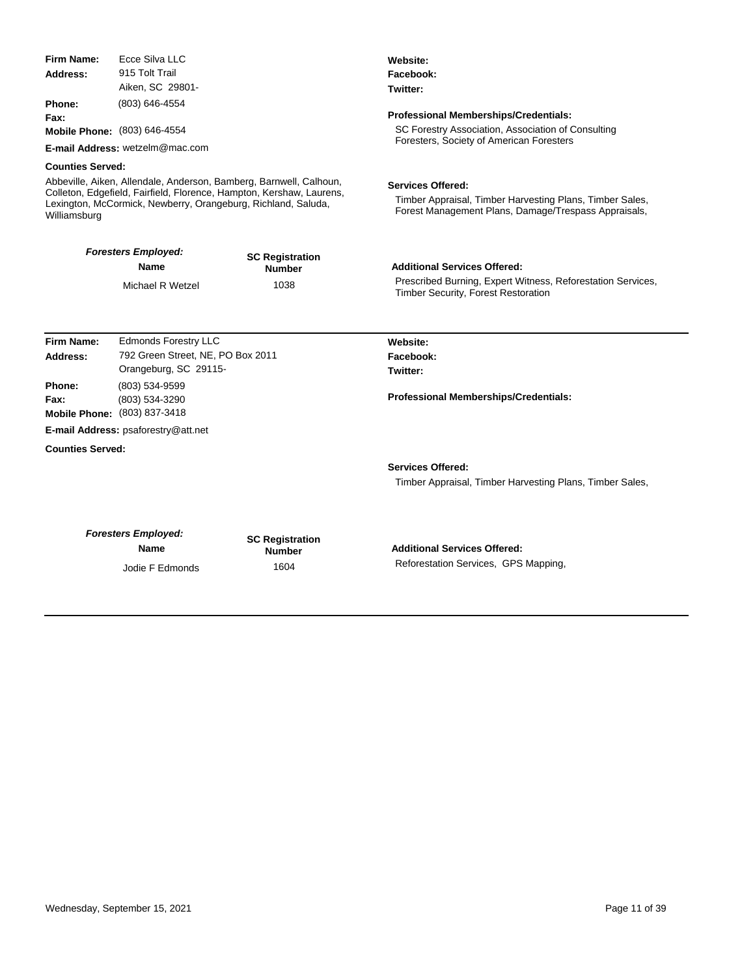| Firm Name:              | Ecce Silva LLC                                                |                                                                      | Website:<br>Facebook:                                                                              |  |  |
|-------------------------|---------------------------------------------------------------|----------------------------------------------------------------------|----------------------------------------------------------------------------------------------------|--|--|
| Address:                | 915 Tolt Trail                                                |                                                                      |                                                                                                    |  |  |
| Aiken, SC 29801-        |                                                               |                                                                      | Twitter:                                                                                           |  |  |
| <b>Phone:</b>           | (803) 646-4554                                                |                                                                      |                                                                                                    |  |  |
| Fax:                    |                                                               |                                                                      | <b>Professional Memberships/Credentials:</b>                                                       |  |  |
|                         | Mobile Phone: (803) 646-4554                                  |                                                                      | SC Forestry Association, Association of Consulting                                                 |  |  |
|                         | E-mail Address: wetzelm@mac.com                               |                                                                      | Foresters, Society of American Foresters                                                           |  |  |
| <b>Counties Served:</b> |                                                               |                                                                      |                                                                                                    |  |  |
|                         |                                                               | Abbeville, Aiken, Allendale, Anderson, Bamberg, Barnwell, Calhoun,   | <b>Services Offered:</b>                                                                           |  |  |
|                         | Lexington, McCormick, Newberry, Orangeburg, Richland, Saluda, | Colleton, Edgefield, Fairfield, Florence, Hampton, Kershaw, Laurens, | Timber Appraisal, Timber Harvesting Plans, Timber Sales,                                           |  |  |
| Williamsburg            |                                                               |                                                                      | Forest Management Plans, Damage/Trespass Appraisals,                                               |  |  |
|                         | <b>Foresters Employed:</b>                                    | <b>SC Registration</b>                                               |                                                                                                    |  |  |
|                         | <b>Name</b>                                                   | <b>Number</b>                                                        | <b>Additional Services Offered:</b>                                                                |  |  |
|                         | Michael R Wetzel                                              | 1038                                                                 | Prescribed Burning, Expert Witness, Reforestation Services,<br>Timber Security, Forest Restoration |  |  |
| Firm Name:              | <b>Edmonds Forestry LLC</b>                                   |                                                                      | Website:                                                                                           |  |  |
| Address:                | 792 Green Street, NE, PO Box 2011                             |                                                                      | Facebook:                                                                                          |  |  |
|                         | Orangeburg, SC 29115-                                         |                                                                      | Twitter:                                                                                           |  |  |
| <b>Phone:</b>           | (803) 534-9599                                                |                                                                      |                                                                                                    |  |  |
| Fax:                    | (803) 534-3290                                                |                                                                      | Professional Memberships/Credentials:                                                              |  |  |
|                         | Mobile Phone: (803) 837-3418                                  |                                                                      |                                                                                                    |  |  |
|                         | E-mail Address: psaforestry@att.net                           |                                                                      |                                                                                                    |  |  |
| <b>Counties Served:</b> |                                                               |                                                                      |                                                                                                    |  |  |
|                         |                                                               |                                                                      | <b>Services Offered:</b>                                                                           |  |  |
|                         |                                                               |                                                                      | Timber Appraisal, Timber Harvesting Plans, Timber Sales,                                           |  |  |
|                         |                                                               |                                                                      |                                                                                                    |  |  |
|                         | <b>Foresters Employed:</b>                                    | <b>SC Registration</b>                                               |                                                                                                    |  |  |
|                         | <b>Name</b>                                                   | <b>Number</b>                                                        | <b>Additional Services Offered:</b>                                                                |  |  |
|                         | Jodie F Edmonds                                               | 1604                                                                 | Reforestation Services, GPS Mapping,                                                               |  |  |
|                         |                                                               |                                                                      |                                                                                                    |  |  |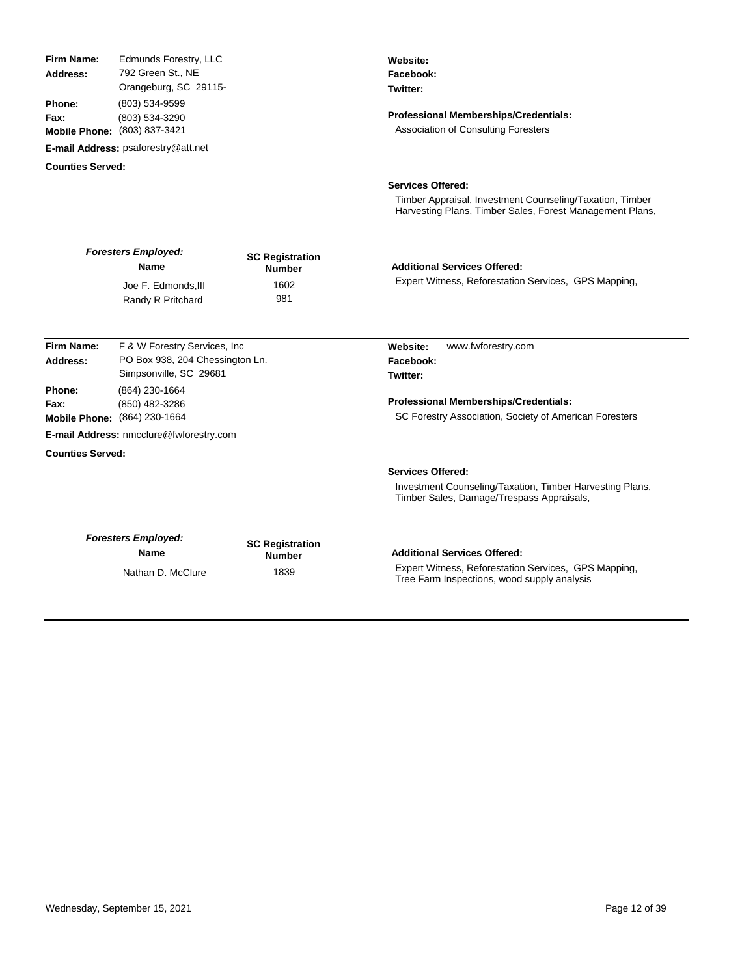| <b>Firm Name:</b><br>Address:<br>Phone:<br>Fax: | Edmunds Forestry, LLC<br>792 Green St., NE<br>Orangeburg, SC 29115-<br>(803) 534-9599<br>(803) 534-3290<br>Mobile Phone: (803) 837-3421 |                                         | Website:<br>Facebook:<br>Twitter:<br><b>Professional Memberships/Credentials:</b><br><b>Association of Consulting Foresters</b>                  |
|-------------------------------------------------|-----------------------------------------------------------------------------------------------------------------------------------------|-----------------------------------------|--------------------------------------------------------------------------------------------------------------------------------------------------|
|                                                 | E-mail Address: psaforestry@att.net                                                                                                     |                                         |                                                                                                                                                  |
| <b>Counties Served:</b>                         |                                                                                                                                         |                                         |                                                                                                                                                  |
|                                                 |                                                                                                                                         |                                         | <b>Services Offered:</b><br>Timber Appraisal, Investment Counseling/Taxation, Timber<br>Harvesting Plans, Timber Sales, Forest Management Plans, |
|                                                 | <b>Foresters Employed:</b><br>Name                                                                                                      | <b>SC Registration</b><br><b>Number</b> | <b>Additional Services Offered:</b>                                                                                                              |
|                                                 | Joe F. Edmonds, III<br>Randy R Pritchard                                                                                                | 1602<br>981                             | Expert Witness, Reforestation Services, GPS Mapping,                                                                                             |
| Firm Name:                                      | F & W Forestry Services, Inc.                                                                                                           |                                         | www.fwforestry.com<br>Website:                                                                                                                   |
| Address:                                        | PO Box 938, 204 Chessington Ln.<br>Simpsonville, SC 29681                                                                               |                                         | Facebook:<br>Twitter:                                                                                                                            |
| Phone:<br>Fax:                                  | (864) 230-1664<br>(850) 482-3286<br>Mobile Phone: (864) 230-1664                                                                        |                                         | <b>Professional Memberships/Credentials:</b><br>SC Forestry Association, Society of American Foresters                                           |
|                                                 | E-mail Address: nmcclure@fwforestry.com                                                                                                 |                                         |                                                                                                                                                  |
| <b>Counties Served:</b>                         |                                                                                                                                         |                                         |                                                                                                                                                  |
|                                                 |                                                                                                                                         |                                         | <b>Services Offered:</b><br>Investment Counseling/Taxation, Timber Harvesting Plans,<br>Timber Sales, Damage/Trespass Appraisals,                |
|                                                 | <b>Foresters Employed:</b><br>Name                                                                                                      | <b>SC Registration</b><br><b>Number</b> | <b>Additional Services Offered:</b>                                                                                                              |
|                                                 | Nathan D. McClure                                                                                                                       | 1839                                    | Expert Witness, Reforestation Services, GPS Mapping,<br>Tree Farm Inspections, wood supply analysis                                              |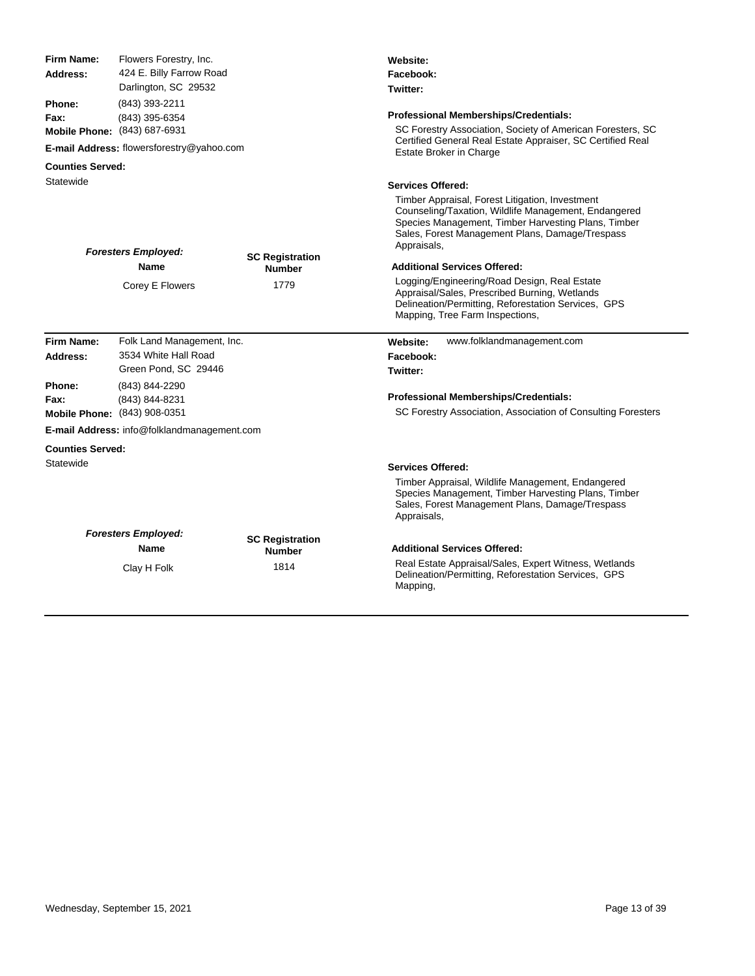| <b>Firm Name:</b>       | Flowers Forestry, Inc.                                           |                                         | Website:                                                                                                                                                                                                                         |  |
|-------------------------|------------------------------------------------------------------|-----------------------------------------|----------------------------------------------------------------------------------------------------------------------------------------------------------------------------------------------------------------------------------|--|
| Address:                | 424 E. Billy Farrow Road                                         |                                         | Facebook:                                                                                                                                                                                                                        |  |
|                         | Darlington, SC 29532                                             |                                         | Twitter:                                                                                                                                                                                                                         |  |
| Phone:<br>Fax:          | (843) 393-2211<br>(843) 395-6354<br>Mobile Phone: (843) 687-6931 |                                         | <b>Professional Memberships/Credentials:</b><br>SC Forestry Association, Society of American Foresters, SC                                                                                                                       |  |
|                         | E-mail Address: flowersforestry@yahoo.com                        |                                         | Certified General Real Estate Appraiser, SC Certified Real<br>Estate Broker in Charge                                                                                                                                            |  |
| <b>Counties Served:</b> |                                                                  |                                         |                                                                                                                                                                                                                                  |  |
| Statewide               |                                                                  |                                         | <b>Services Offered:</b>                                                                                                                                                                                                         |  |
|                         | <b>Foresters Employed:</b>                                       | <b>SC Registration</b>                  | Timber Appraisal, Forest Litigation, Investment<br>Counseling/Taxation, Wildlife Management, Endangered<br>Species Management, Timber Harvesting Plans, Timber<br>Sales, Forest Management Plans, Damage/Trespass<br>Appraisals, |  |
|                         | <b>Name</b>                                                      | <b>Number</b>                           | <b>Additional Services Offered:</b>                                                                                                                                                                                              |  |
|                         | Corey E Flowers                                                  | 1779                                    | Logging/Engineering/Road Design, Real Estate<br>Appraisal/Sales, Prescribed Burning, Wetlands<br>Delineation/Permitting, Reforestation Services, GPS<br>Mapping, Tree Farm Inspections,                                          |  |
| Firm Name:              | Folk Land Management, Inc.                                       |                                         | www.folklandmanagement.com<br><b>Website:</b>                                                                                                                                                                                    |  |
| Address:                | 3534 White Hall Road                                             |                                         | Facebook:                                                                                                                                                                                                                        |  |
|                         | Green Pond, SC 29446                                             |                                         | Twitter:                                                                                                                                                                                                                         |  |
| Phone:<br>Fax:          | (843) 844-2290<br>(843) 844-8231<br>Mobile Phone: (843) 908-0351 |                                         | <b>Professional Memberships/Credentials:</b><br>SC Forestry Association, Association of Consulting Foresters                                                                                                                     |  |
|                         | E-mail Address: info@folklandmanagement.com                      |                                         |                                                                                                                                                                                                                                  |  |
| <b>Counties Served:</b> |                                                                  |                                         |                                                                                                                                                                                                                                  |  |
| Statewide               |                                                                  |                                         | <b>Services Offered:</b>                                                                                                                                                                                                         |  |
|                         |                                                                  |                                         | Timber Appraisal, Wildlife Management, Endangered<br>Species Management, Timber Harvesting Plans, Timber<br>Sales, Forest Management Plans, Damage/Trespass<br>Appraisals,                                                       |  |
|                         | <b>Foresters Employed:</b><br><b>Name</b>                        | <b>SC Registration</b><br><b>Number</b> | <b>Additional Services Offered:</b>                                                                                                                                                                                              |  |
|                         |                                                                  |                                         |                                                                                                                                                                                                                                  |  |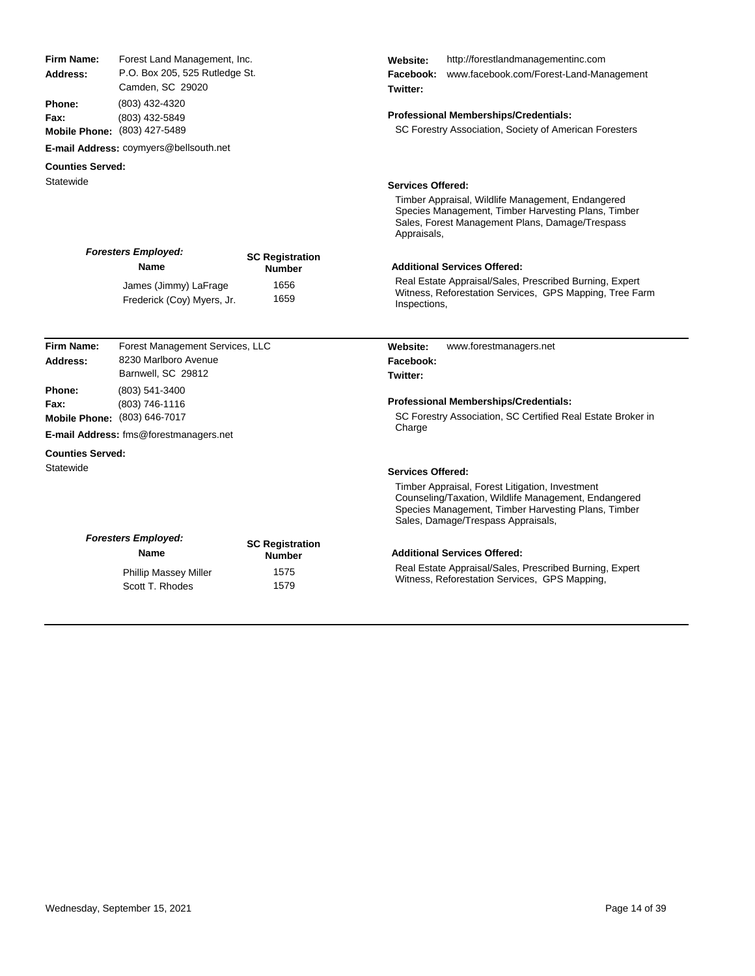| Firm Name:<br><b>Address:</b> | Forest Land Management, Inc.<br>P.O. Box 205, 525 Rutledge St.<br>Camden, SC 29020<br>(803) 432-4320<br>(803) 432-5849<br>Mobile Phone: (803) 427-5489 |                                         | http://forestlandmanagementinc.com<br>Website:<br>www.facebook.com/Forest-Land-Management<br>Facebook:<br>Twitter:                                                                                   |
|-------------------------------|--------------------------------------------------------------------------------------------------------------------------------------------------------|-----------------------------------------|------------------------------------------------------------------------------------------------------------------------------------------------------------------------------------------------------|
| Phone:<br>Fax:                |                                                                                                                                                        |                                         | <b>Professional Memberships/Credentials:</b><br>SC Forestry Association, Society of American Foresters                                                                                               |
|                               | E-mail Address: coymyers@bellsouth.net                                                                                                                 |                                         |                                                                                                                                                                                                      |
| <b>Counties Served:</b>       |                                                                                                                                                        |                                         |                                                                                                                                                                                                      |
| Statewide                     |                                                                                                                                                        |                                         | <b>Services Offered:</b>                                                                                                                                                                             |
|                               |                                                                                                                                                        |                                         | Timber Appraisal, Wildlife Management, Endangered<br>Species Management, Timber Harvesting Plans, Timber<br>Sales, Forest Management Plans, Damage/Trespass<br>Appraisals,                           |
|                               | <b>Foresters Employed:</b><br><b>Name</b>                                                                                                              | <b>SC Registration</b><br><b>Number</b> | <b>Additional Services Offered:</b>                                                                                                                                                                  |
|                               | James (Jimmy) LaFrage<br>Frederick (Coy) Myers, Jr.                                                                                                    | 1656<br>1659                            | Real Estate Appraisal/Sales, Prescribed Burning, Expert<br>Witness, Reforestation Services, GPS Mapping, Tree Farm<br>Inspections,                                                                   |
|                               |                                                                                                                                                        |                                         |                                                                                                                                                                                                      |
| Firm Name:<br>Address:        | Forest Management Services, LLC<br>8230 Marlboro Avenue                                                                                                |                                         | www.forestmanagers.net<br>Website:<br>Facebook:                                                                                                                                                      |
|                               | Barnwell, SC 29812                                                                                                                                     |                                         | Twitter:                                                                                                                                                                                             |
| Phone:                        | (803) 541-3400                                                                                                                                         |                                         |                                                                                                                                                                                                      |
| Fax:                          | (803) 746-1116                                                                                                                                         |                                         | Professional Memberships/Credentials:                                                                                                                                                                |
|                               | Mobile Phone: (803) 646-7017                                                                                                                           |                                         | SC Forestry Association, SC Certified Real Estate Broker in                                                                                                                                          |
|                               | E-mail Address: fms@forestmanagers.net                                                                                                                 |                                         | Charge                                                                                                                                                                                               |
| <b>Counties Served:</b>       |                                                                                                                                                        |                                         |                                                                                                                                                                                                      |
| Statewide                     |                                                                                                                                                        |                                         | <b>Services Offered:</b>                                                                                                                                                                             |
|                               |                                                                                                                                                        |                                         | Timber Appraisal, Forest Litigation, Investment<br>Counseling/Taxation, Wildlife Management, Endangered<br>Species Management, Timber Harvesting Plans, Timber<br>Sales, Damage/Trespass Appraisals, |
|                               | <b>Foresters Employed:</b><br><b>Name</b>                                                                                                              | <b>SC Registration</b><br><b>Number</b> | <b>Additional Services Offered:</b>                                                                                                                                                                  |
|                               | <b>Phillip Massey Miller</b><br>Scott T. Rhodes                                                                                                        | 1575<br>1579                            | Real Estate Appraisal/Sales, Prescribed Burning, Expert<br>Witness, Reforestation Services, GPS Mapping,                                                                                             |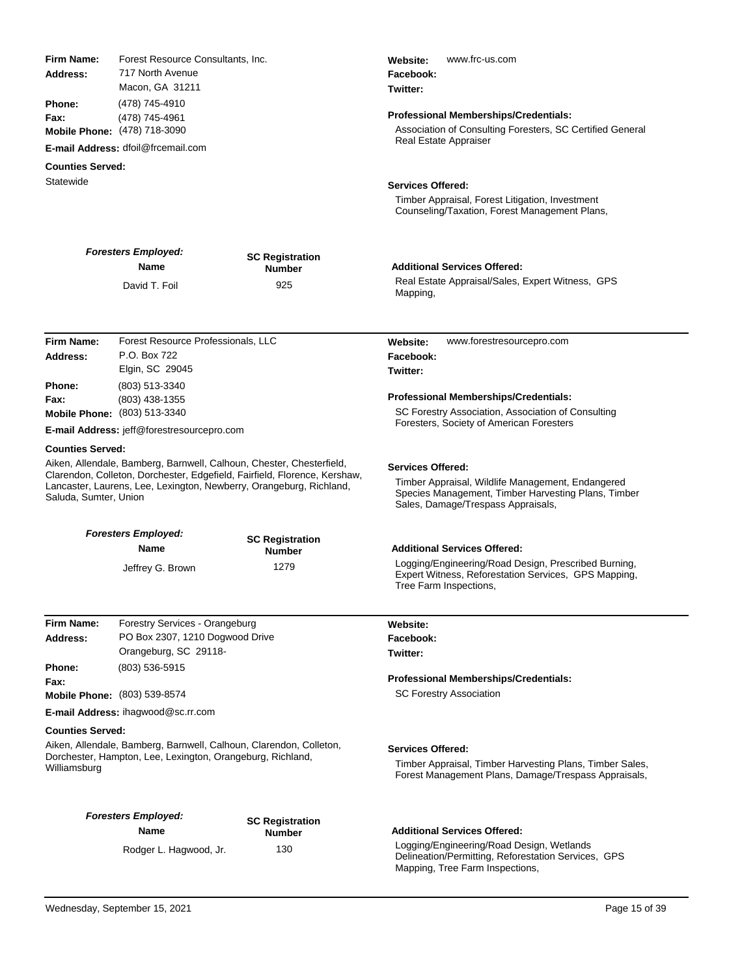| Firm Name:<br>Address:<br>Phone:<br>Fax:<br>Statewide | Forest Resource Consultants, Inc.<br>717 North Avenue<br>Macon, GA 31211<br>(478) 745-4910<br>(478) 745-4961<br>Mobile Phone: (478) 718-3090<br>E-mail Address: dfoil@frcemail.com<br><b>Counties Served:</b>            |                                                | www.frc-us.com<br>Website:<br>Facebook:<br>Twitter:<br>Professional Memberships/Credentials:<br>Association of Consulting Foresters, SC Certified General<br>Real Estate Appraiser<br><b>Services Offered:</b><br>Timber Appraisal, Forest Litigation, Investment<br>Counseling/Taxation, Forest Management Plans, |
|-------------------------------------------------------|--------------------------------------------------------------------------------------------------------------------------------------------------------------------------------------------------------------------------|------------------------------------------------|--------------------------------------------------------------------------------------------------------------------------------------------------------------------------------------------------------------------------------------------------------------------------------------------------------------------|
|                                                       | <b>Foresters Employed:</b>                                                                                                                                                                                               | <b>SC Registration</b>                         |                                                                                                                                                                                                                                                                                                                    |
|                                                       | Name<br>David T. Foil                                                                                                                                                                                                    | <b>Number</b><br>925                           | <b>Additional Services Offered:</b><br>Real Estate Appraisal/Sales, Expert Witness, GPS                                                                                                                                                                                                                            |
|                                                       |                                                                                                                                                                                                                          |                                                | Mapping,                                                                                                                                                                                                                                                                                                           |
| Firm Name:<br>Address:                                | Forest Resource Professionals, LLC<br>P.O. Box 722<br>Elgin, SC 29045                                                                                                                                                    |                                                | www.forestresourcepro.com<br>Website:<br>Facebook:<br>Twitter:                                                                                                                                                                                                                                                     |
| Phone:<br>Fax:                                        | (803) 513-3340<br>(803) 438-1355                                                                                                                                                                                         |                                                | Professional Memberships/Credentials:                                                                                                                                                                                                                                                                              |
|                                                       | Mobile Phone: (803) 513-3340                                                                                                                                                                                             |                                                | SC Forestry Association, Association of Consulting<br>Foresters, Society of American Foresters                                                                                                                                                                                                                     |
|                                                       | E-mail Address: jeff@forestresourcepro.com                                                                                                                                                                               |                                                |                                                                                                                                                                                                                                                                                                                    |
| <b>Counties Served:</b><br>Saluda, Sumter, Union      | Aiken, Allendale, Bamberg, Barnwell, Calhoun, Chester, Chesterfield,<br>Clarendon, Colleton, Dorchester, Edgefield, Fairfield, Florence, Kershaw,<br>Lancaster, Laurens, Lee, Lexington, Newberry, Orangeburg, Richland, |                                                | <b>Services Offered:</b><br>Timber Appraisal, Wildlife Management, Endangered<br>Species Management, Timber Harvesting Plans, Timber<br>Sales, Damage/Trespass Appraisals,                                                                                                                                         |
|                                                       | <b>Foresters Employed:</b>                                                                                                                                                                                               | <b>SC Registration</b>                         |                                                                                                                                                                                                                                                                                                                    |
|                                                       | <b>Name</b><br>Jeffrey G. Brown                                                                                                                                                                                          | <b>Number</b><br>1279                          | <b>Additional Services Offered:</b><br>Logging/Engineering/Road Design, Prescribed Burning,<br>Expert Witness, Reforestation Services, GPS Mapping,<br>Tree Farm Inspections,                                                                                                                                      |
| Firm Name:                                            | Forestry Services - Orangeburg                                                                                                                                                                                           |                                                |                                                                                                                                                                                                                                                                                                                    |
| Address:                                              | PO Box 2307, 1210 Dogwood Drive                                                                                                                                                                                          |                                                | Website:<br>Facebook:                                                                                                                                                                                                                                                                                              |
|                                                       | Orangeburg, SC 29118-                                                                                                                                                                                                    |                                                | Twitter:                                                                                                                                                                                                                                                                                                           |
| Phone:<br>Fax:                                        | (803) 536-5915                                                                                                                                                                                                           |                                                | Professional Memberships/Credentials:                                                                                                                                                                                                                                                                              |
|                                                       | Mobile Phone: (803) 539-8574<br><b>E-mail Address: ihagwood@sc.rr.com</b>                                                                                                                                                |                                                | <b>SC Forestry Association</b>                                                                                                                                                                                                                                                                                     |
| <b>Counties Served:</b>                               |                                                                                                                                                                                                                          |                                                |                                                                                                                                                                                                                                                                                                                    |
| Williamsburg                                          | Aiken, Allendale, Bamberg, Barnwell, Calhoun, Clarendon, Colleton,<br>Dorchester, Hampton, Lee, Lexington, Orangeburg, Richland,                                                                                         |                                                | <b>Services Offered:</b><br>Timber Appraisal, Timber Harvesting Plans, Timber Sales,<br>Forest Management Plans, Damage/Trespass Appraisals,                                                                                                                                                                       |
|                                                       | <b>Foresters Employed:</b><br><b>Name</b><br>Rodger L. Hagwood, Jr.                                                                                                                                                      | <b>SC Registration</b><br><b>Number</b><br>130 | <b>Additional Services Offered:</b><br>Logging/Engineering/Road Design, Wetlands<br>Delineation/Permitting, Reforestation Services, GPS<br>Mapping, Tree Farm Inspections,                                                                                                                                         |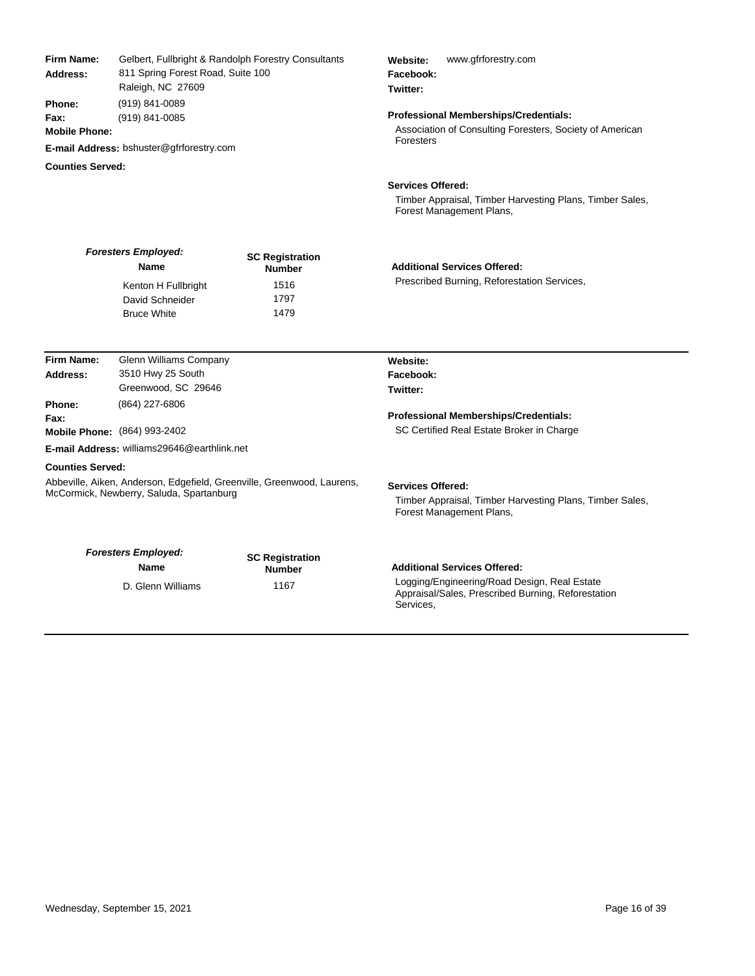| <b>Firm Name:</b><br>Address:                                                                                                                 | Gelbert, Fullbright & Randolph Forestry Consultants<br>811 Spring Forest Road, Suite 100<br>Raleigh, NC 27609<br>(919) 841-0089<br>(919) 841-0085 |                                         | www.gfrforestry.com<br>Website:<br>Facebook:<br>Twitter:                                                         |  |
|-----------------------------------------------------------------------------------------------------------------------------------------------|---------------------------------------------------------------------------------------------------------------------------------------------------|-----------------------------------------|------------------------------------------------------------------------------------------------------------------|--|
| Phone:<br>Fax:<br><b>Mobile Phone:</b>                                                                                                        |                                                                                                                                                   |                                         | Professional Memberships/Credentials:<br>Association of Consulting Foresters, Society of American                |  |
|                                                                                                                                               | E-mail Address: bshuster@gfrforestry.com                                                                                                          |                                         | Foresters                                                                                                        |  |
| <b>Counties Served:</b>                                                                                                                       |                                                                                                                                                   |                                         |                                                                                                                  |  |
|                                                                                                                                               |                                                                                                                                                   |                                         | <b>Services Offered:</b><br>Timber Appraisal, Timber Harvesting Plans, Timber Sales,<br>Forest Management Plans, |  |
|                                                                                                                                               | <b>Foresters Employed:</b><br><b>Name</b>                                                                                                         | <b>SC Registration</b><br><b>Number</b> | <b>Additional Services Offered:</b>                                                                              |  |
|                                                                                                                                               | Kenton H Fullbright<br>David Schneider<br><b>Bruce White</b>                                                                                      | 1516<br>1797<br>1479                    | Prescribed Burning, Reforestation Services,                                                                      |  |
| Firm Name:                                                                                                                                    | <b>Glenn Williams Company</b>                                                                                                                     |                                         | Website:                                                                                                         |  |
| Address:                                                                                                                                      | 3510 Hwy 25 South                                                                                                                                 |                                         | Facebook:                                                                                                        |  |
|                                                                                                                                               | Greenwood, SC 29646                                                                                                                               |                                         | Twitter:                                                                                                         |  |
| Phone:<br>Fax:                                                                                                                                | (864) 227-6806<br>Mobile Phone: (864) 993-2402                                                                                                    |                                         | <b>Professional Memberships/Credentials:</b><br>SC Certified Real Estate Broker in Charge                        |  |
|                                                                                                                                               | E-mail Address: williams29646@earthlink.net                                                                                                       |                                         |                                                                                                                  |  |
|                                                                                                                                               |                                                                                                                                                   |                                         |                                                                                                                  |  |
| <b>Counties Served:</b><br>Abbeville, Aiken, Anderson, Edgefield, Greenville, Greenwood, Laurens,<br>McCormick, Newberry, Saluda, Spartanburg |                                                                                                                                                   |                                         | <b>Services Offered:</b><br>Timber Appraisal, Timber Harvesting Plans, Timber Sales,<br>Forest Management Plans, |  |
|                                                                                                                                               | <b>Foresters Employed:</b><br><b>Name</b>                                                                                                         | <b>SC Registration</b><br><b>Number</b> | <b>Additional Services Offered:</b>                                                                              |  |
|                                                                                                                                               | D. Glenn Williams                                                                                                                                 | 1167                                    | Logging/Engineering/Road Design, Real Estate<br>Appraisal/Sales, Prescribed Burning, Reforestation<br>Services,  |  |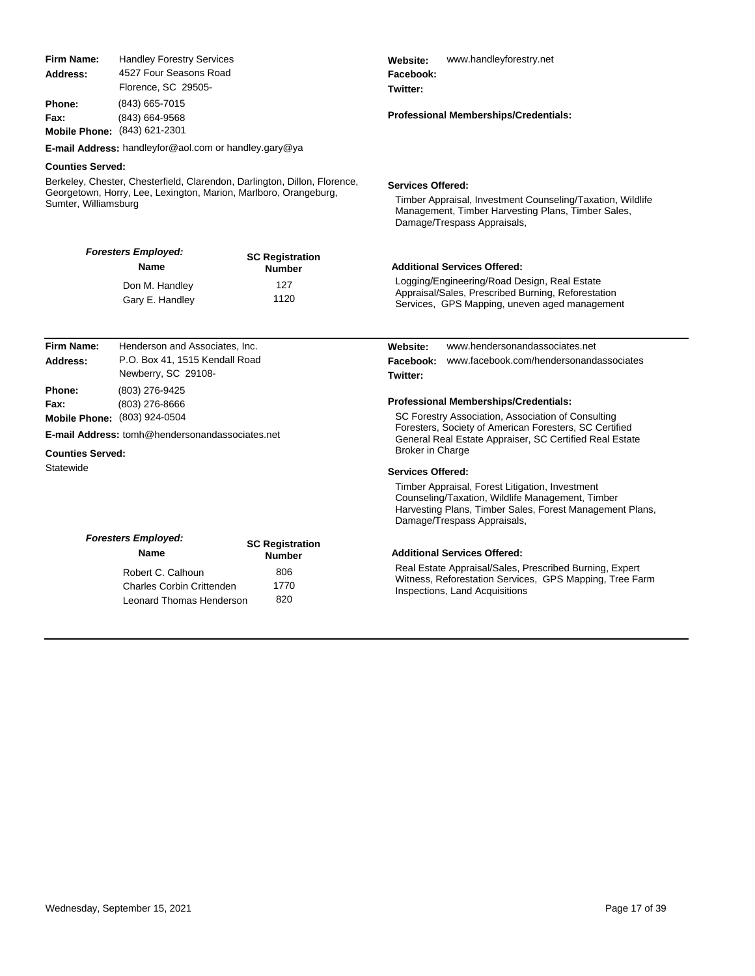| <b>Firm Name:</b><br>Address:                                                                                                                                         | <b>Handley Forestry Services</b><br>4527 Four Seasons Road<br>Florence, SC 29505-<br>(843) 665-7015<br>(843) 664-9568<br><b>Mobile Phone:</b> (843) 621-2301                 |                                         | www.handleyforestry.net<br>Website:<br>Facebook:<br>Twitter:<br><b>Professional Memberships/Credentials:</b>                                                                                   |  |
|-----------------------------------------------------------------------------------------------------------------------------------------------------------------------|------------------------------------------------------------------------------------------------------------------------------------------------------------------------------|-----------------------------------------|------------------------------------------------------------------------------------------------------------------------------------------------------------------------------------------------|--|
| <b>Phone:</b><br>Fax:                                                                                                                                                 |                                                                                                                                                                              |                                         |                                                                                                                                                                                                |  |
|                                                                                                                                                                       | E-mail Address: handleyfor@aol.com or handley.gary@ya                                                                                                                        |                                         |                                                                                                                                                                                                |  |
| <b>Counties Served:</b>                                                                                                                                               |                                                                                                                                                                              |                                         |                                                                                                                                                                                                |  |
| Berkeley, Chester, Chesterfield, Clarendon, Darlington, Dillon, Florence,<br>Georgetown, Horry, Lee, Lexington, Marion, Marlboro, Orangeburg,<br>Sumter, Williamsburg |                                                                                                                                                                              |                                         | <b>Services Offered:</b><br>Timber Appraisal, Investment Counseling/Taxation, Wildlife<br>Management, Timber Harvesting Plans, Timber Sales,<br>Damage/Trespass Appraisals,                    |  |
|                                                                                                                                                                       | <b>Foresters Employed:</b><br>Name                                                                                                                                           | <b>SC Registration</b><br><b>Number</b> | <b>Additional Services Offered:</b>                                                                                                                                                            |  |
|                                                                                                                                                                       | Don M. Handley<br>Gary E. Handley                                                                                                                                            | 127<br>1120                             | Logging/Engineering/Road Design, Real Estate<br>Appraisal/Sales, Prescribed Burning, Reforestation<br>Services, GPS Mapping, uneven aged management                                            |  |
| Firm Name:                                                                                                                                                            | Henderson and Associates, Inc.                                                                                                                                               |                                         | www.hendersonandassociates.net<br>Website:                                                                                                                                                     |  |
| Address:                                                                                                                                                              | P.O. Box 41, 1515 Kendall Road<br>Newberry, SC 29108-<br>(803) 276-9425<br>(803) 276-8666<br>Mobile Phone: (803) 924-0504<br>E-mail Address: tomh@hendersonandassociates.net |                                         | Facebook:<br>www.facebook.com/hendersonandassociates<br>Twitter:                                                                                                                               |  |
| <b>Phone:</b><br>Fax:                                                                                                                                                 |                                                                                                                                                                              |                                         | <b>Professional Memberships/Credentials:</b><br>SC Forestry Association, Association of Consulting<br>Foresters, Society of American Foresters, SC Certified                                   |  |
| <b>Counties Served:</b>                                                                                                                                               |                                                                                                                                                                              |                                         | General Real Estate Appraiser, SC Certified Real Estate<br><b>Broker in Charge</b>                                                                                                             |  |
| Statewide                                                                                                                                                             |                                                                                                                                                                              |                                         | <b>Services Offered:</b>                                                                                                                                                                       |  |
|                                                                                                                                                                       |                                                                                                                                                                              |                                         | Timber Appraisal, Forest Litigation, Investment<br>Counseling/Taxation, Wildlife Management, Timber<br>Harvesting Plans, Timber Sales, Forest Management Plans,<br>Damage/Trespass Appraisals, |  |
|                                                                                                                                                                       | <b>Foresters Employed:</b><br>Name                                                                                                                                           | <b>SC Registration</b>                  | <b>Additional Services Offered:</b>                                                                                                                                                            |  |
| <b>Number</b><br>806<br>Robert C. Calhoun<br>1770<br><b>Charles Corbin Crittenden</b><br>820<br><b>Leonard Thomas Henderson</b>                                       |                                                                                                                                                                              |                                         | Real Estate Appraisal/Sales, Prescribed Burning, Expert<br>Witness, Reforestation Services, GPS Mapping, Tree Farm<br>Inspections, Land Acquisitions                                           |  |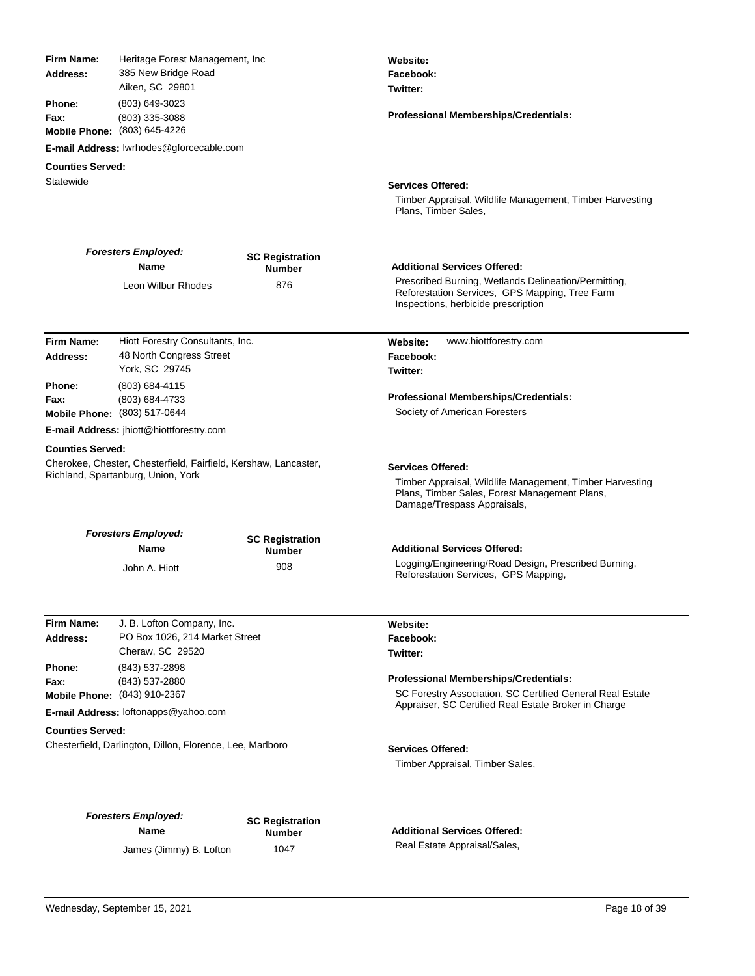| Firm Name:<br>Address:        | Heritage Forest Management, Inc.<br>385 New Bridge Road<br>Aiken, SC 29801                            |                                         | Website:<br>Facebook:<br>Twitter:                                                                                                                                    |
|-------------------------------|-------------------------------------------------------------------------------------------------------|-----------------------------------------|----------------------------------------------------------------------------------------------------------------------------------------------------------------------|
| Phone:<br>Fax:                | (803) 649-3023<br>(803) 335-3088<br>Mobile Phone: (803) 645-4226                                      |                                         | Professional Memberships/Credentials:                                                                                                                                |
|                               | E-mail Address: lwrhodes@gforcecable.com                                                              |                                         |                                                                                                                                                                      |
| <b>Counties Served:</b>       |                                                                                                       |                                         |                                                                                                                                                                      |
| Statewide                     |                                                                                                       |                                         | <b>Services Offered:</b><br>Timber Appraisal, Wildlife Management, Timber Harvesting<br>Plans, Timber Sales,                                                         |
|                               | <b>Foresters Employed:</b><br>Name                                                                    | <b>SC Registration</b><br><b>Number</b> | <b>Additional Services Offered:</b>                                                                                                                                  |
|                               | Leon Wilbur Rhodes                                                                                    | 876                                     | Prescribed Burning, Wetlands Delineation/Permitting,<br>Reforestation Services, GPS Mapping, Tree Farm<br>Inspections, herbicide prescription                        |
| <b>Firm Name:</b><br>Address: | Hiott Forestry Consultants, Inc.<br>48 North Congress Street<br>York, SC 29745                        |                                         | www.hiottforestry.com<br>Website:<br>Facebook:<br>Twitter:                                                                                                           |
| <b>Phone:</b>                 | (803) 684-4115                                                                                        |                                         |                                                                                                                                                                      |
| Fax:                          | (803) 684-4733<br>Mobile Phone: (803) 517-0644                                                        |                                         | Professional Memberships/Credentials:<br>Society of American Foresters                                                                                               |
|                               | E-mail Address: jhiott@hiottforestry.com                                                              |                                         |                                                                                                                                                                      |
| <b>Counties Served:</b>       |                                                                                                       |                                         |                                                                                                                                                                      |
|                               | Cherokee, Chester, Chesterfield, Fairfield, Kershaw, Lancaster,<br>Richland, Spartanburg, Union, York |                                         | <b>Services Offered:</b><br>Timber Appraisal, Wildlife Management, Timber Harvesting<br>Plans, Timber Sales, Forest Management Plans,<br>Damage/Trespass Appraisals, |
|                               | <b>Foresters Employed:</b>                                                                            | <b>SC Registration</b>                  |                                                                                                                                                                      |
|                               | <b>Name</b>                                                                                           | <b>Number</b>                           | <b>Additional Services Offered:</b>                                                                                                                                  |
|                               | John A. Hiott                                                                                         | 908                                     | Logging/Engineering/Road Design, Prescribed Burning,<br>Reforestation Services, GPS Mapping,                                                                         |
| Firm Name:                    | J. B. Lofton Company, Inc.                                                                            |                                         | Website:                                                                                                                                                             |
| Address:                      | PO Box 1026, 214 Market Street                                                                        |                                         | Facebook:                                                                                                                                                            |
| Phone:                        | Cheraw, SC 29520<br>(843) 537-2898                                                                    |                                         | Twitter:                                                                                                                                                             |
| Fax:                          | (843) 537-2880                                                                                        |                                         | Professional Memberships/Credentials:                                                                                                                                |
|                               | <b>Mobile Phone:</b> (843) 910-2367                                                                   |                                         | SC Forestry Association, SC Certified General Real Estate                                                                                                            |
|                               | E-mail Address: loftonapps@yahoo.com                                                                  |                                         | Appraiser, SC Certified Real Estate Broker in Charge                                                                                                                 |
| <b>Counties Served:</b>       |                                                                                                       |                                         |                                                                                                                                                                      |
|                               | Chesterfield, Darlington, Dillon, Florence, Lee, Marlboro                                             |                                         | <b>Services Offered:</b><br>Timber Appraisal, Timber Sales,                                                                                                          |
|                               | <b>Foresters Employed:</b><br><b>Name</b>                                                             | <b>SC Registration</b><br>Number        | <b>Additional Services Offered:</b>                                                                                                                                  |
|                               | James (Jimmy) B. Lofton                                                                               | 1047                                    | Real Estate Appraisal/Sales,                                                                                                                                         |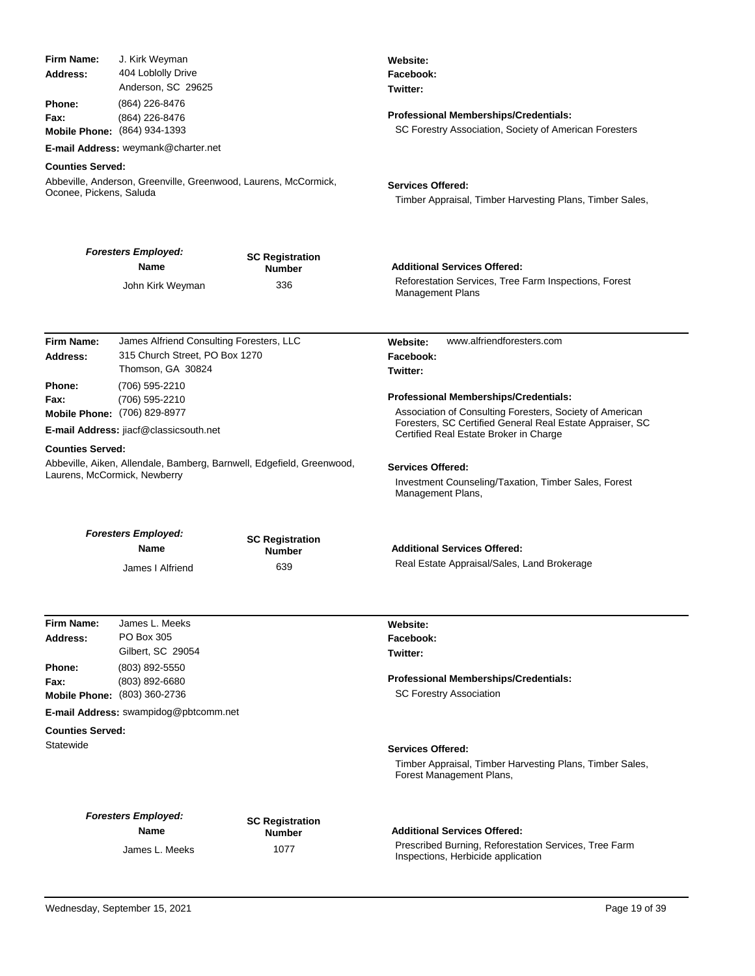| Firm Name:<br>Address:<br>Phone:<br>Fax:                                                                                                                       | J. Kirk Weyman<br>404 Loblolly Drive<br>Anderson, SC 29625<br>(864) 226-8476<br>(864) 226-8476<br>Mobile Phone: (864) 934-1393<br>E-mail Address: weymank@charter.net |                                         | Website:<br>Facebook:<br>Twitter:<br><b>Professional Memberships/Credentials:</b><br>SC Forestry Association, Society of American Foresters                                                              |
|----------------------------------------------------------------------------------------------------------------------------------------------------------------|-----------------------------------------------------------------------------------------------------------------------------------------------------------------------|-----------------------------------------|----------------------------------------------------------------------------------------------------------------------------------------------------------------------------------------------------------|
| <b>Counties Served:</b><br>Oconee, Pickens, Saluda                                                                                                             | Abbeville, Anderson, Greenville, Greenwood, Laurens, McCormick,                                                                                                       |                                         | <b>Services Offered:</b><br>Timber Appraisal, Timber Harvesting Plans, Timber Sales,                                                                                                                     |
|                                                                                                                                                                | <b>Foresters Employed:</b><br><b>Name</b>                                                                                                                             | <b>SC Registration</b><br><b>Number</b> | <b>Additional Services Offered:</b>                                                                                                                                                                      |
|                                                                                                                                                                | John Kirk Weyman                                                                                                                                                      | 336                                     | Reforestation Services, Tree Farm Inspections, Forest<br><b>Management Plans</b>                                                                                                                         |
| Firm Name:<br>Address:                                                                                                                                         | James Alfriend Consulting Foresters, LLC<br>315 Church Street, PO Box 1270<br>Thomson, GA 30824                                                                       |                                         | www.alfriendforesters.com<br>Website:<br>Facebook:<br>Twitter:                                                                                                                                           |
| <b>Phone:</b><br>(706) 595-2210<br>Fax:<br>(706) 595-2210<br>Mobile Phone: (706) 829-8977<br>E-mail Address: jiacf@classicsouth.net<br><b>Counties Served:</b> |                                                                                                                                                                       |                                         | Professional Memberships/Credentials:<br>Association of Consulting Foresters, Society of American<br>Foresters, SC Certified General Real Estate Appraiser, SC<br>Certified Real Estate Broker in Charge |
| Laurens, McCormick, Newberry                                                                                                                                   | Abbeville, Aiken, Allendale, Bamberg, Barnwell, Edgefield, Greenwood,                                                                                                 |                                         | <b>Services Offered:</b><br>Investment Counseling/Taxation, Timber Sales, Forest<br>Management Plans,                                                                                                    |
|                                                                                                                                                                | <b>Foresters Employed:</b>                                                                                                                                            |                                         |                                                                                                                                                                                                          |
|                                                                                                                                                                | <b>Name</b>                                                                                                                                                           | <b>SC Registration</b><br><b>Number</b> | <b>Additional Services Offered:</b>                                                                                                                                                                      |
|                                                                                                                                                                | James I Alfriend                                                                                                                                                      | 639                                     | Real Estate Appraisal/Sales, Land Brokerage                                                                                                                                                              |
| Firm Name:<br>Address:                                                                                                                                         | James L. Meeks<br>PO Box 305<br>Gilbert, SC 29054                                                                                                                     |                                         | Website:<br>Facebook:<br>Twitter:                                                                                                                                                                        |
| Phone:<br>Fax:                                                                                                                                                 | (803) 892-5550<br>(803) 892-6680<br>Mobile Phone: (803) 360-2736                                                                                                      |                                         | Professional Memberships/Credentials:<br><b>SC Forestry Association</b>                                                                                                                                  |
|                                                                                                                                                                | E-mail Address: swampidog@pbtcomm.net                                                                                                                                 |                                         |                                                                                                                                                                                                          |
| <b>Counties Served:</b><br>Statewide                                                                                                                           |                                                                                                                                                                       |                                         | <b>Services Offered:</b><br>Timber Appraisal, Timber Harvesting Plans, Timber Sales,<br>Forest Management Plans,                                                                                         |
|                                                                                                                                                                | <b>Foresters Employed:</b><br>Name                                                                                                                                    | <b>SC Registration</b><br><b>Number</b> | <b>Additional Services Offered:</b>                                                                                                                                                                      |
|                                                                                                                                                                | James L. Meeks                                                                                                                                                        | 1077                                    | Prescribed Burning, Reforestation Services, Tree Farm<br>Inspections, Herbicide application                                                                                                              |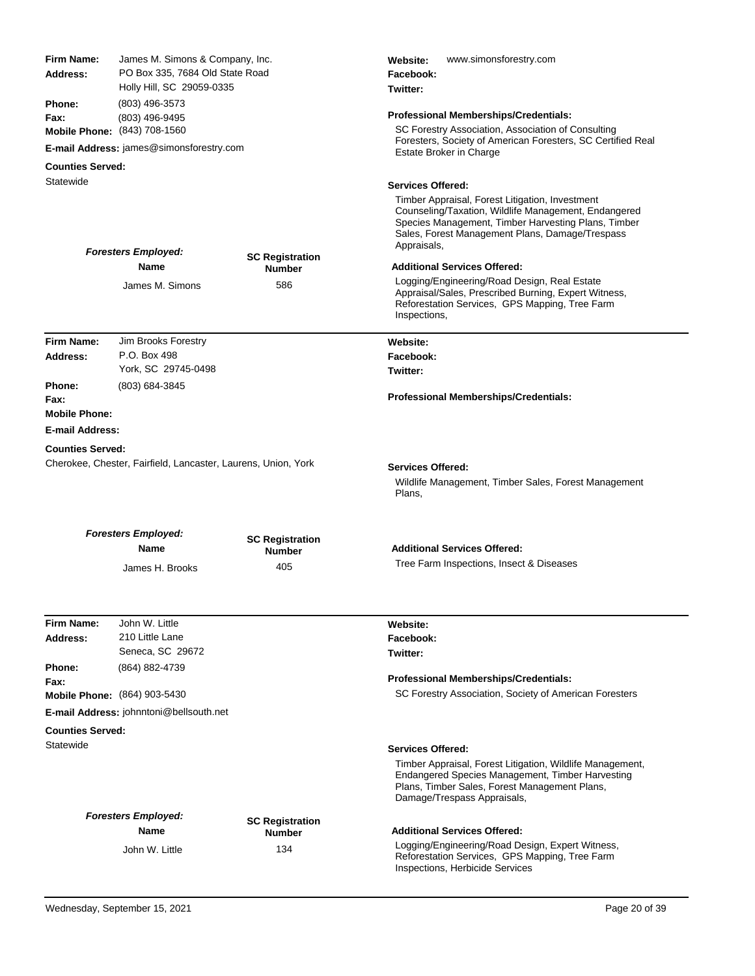| Firm Name:<br>Address:                                                   | James M. Simons & Company, Inc.<br>PO Box 335, 7684 Old State Road<br>Holly Hill, SC 29059-0335<br>(803) 496-3573<br>(803) 496-9495 |                                         | www.simonsforestry.com<br>Website:<br>Facebook:<br>Twitter:                                                                                                                                                                      |
|--------------------------------------------------------------------------|-------------------------------------------------------------------------------------------------------------------------------------|-----------------------------------------|----------------------------------------------------------------------------------------------------------------------------------------------------------------------------------------------------------------------------------|
| Phone:<br>Fax:                                                           |                                                                                                                                     |                                         | <b>Professional Memberships/Credentials:</b>                                                                                                                                                                                     |
| Mobile Phone: (843) 708-1560<br>E-mail Address: james@simonsforestry.com |                                                                                                                                     |                                         | SC Forestry Association, Association of Consulting<br>Foresters, Society of American Foresters, SC Certified Real<br>Estate Broker in Charge                                                                                     |
| <b>Counties Served:</b>                                                  |                                                                                                                                     |                                         |                                                                                                                                                                                                                                  |
| Statewide                                                                |                                                                                                                                     |                                         | <b>Services Offered:</b>                                                                                                                                                                                                         |
|                                                                          | <b>Foresters Employed:</b>                                                                                                          |                                         | Timber Appraisal, Forest Litigation, Investment<br>Counseling/Taxation, Wildlife Management, Endangered<br>Species Management, Timber Harvesting Plans, Timber<br>Sales, Forest Management Plans, Damage/Trespass<br>Appraisals, |
|                                                                          | <b>Name</b>                                                                                                                         | <b>SC Registration</b><br><b>Number</b> | <b>Additional Services Offered:</b>                                                                                                                                                                                              |
|                                                                          | James M. Simons                                                                                                                     | 586                                     | Logging/Engineering/Road Design, Real Estate<br>Appraisal/Sales, Prescribed Burning, Expert Witness,<br>Reforestation Services, GPS Mapping, Tree Farm<br>Inspections,                                                           |
| Firm Name:                                                               | Jim Brooks Forestry                                                                                                                 |                                         | Website:                                                                                                                                                                                                                         |
| Address:                                                                 | P.O. Box 498<br>York, SC 29745-0498                                                                                                 |                                         | Facebook:<br>Twitter:                                                                                                                                                                                                            |
| Phone:                                                                   | (803) 684-3845                                                                                                                      |                                         |                                                                                                                                                                                                                                  |
| Fax:                                                                     |                                                                                                                                     |                                         | Professional Memberships/Credentials:                                                                                                                                                                                            |
| <b>Mobile Phone:</b>                                                     |                                                                                                                                     |                                         |                                                                                                                                                                                                                                  |
| <b>E-mail Address:</b>                                                   |                                                                                                                                     |                                         |                                                                                                                                                                                                                                  |
| <b>Counties Served:</b>                                                  | Cherokee, Chester, Fairfield, Lancaster, Laurens, Union, York                                                                       |                                         | <b>Services Offered:</b>                                                                                                                                                                                                         |
|                                                                          |                                                                                                                                     |                                         | Wildlife Management, Timber Sales, Forest Management<br>Plans,                                                                                                                                                                   |
|                                                                          |                                                                                                                                     |                                         |                                                                                                                                                                                                                                  |
|                                                                          | <b>Foresters Employed:</b><br><b>Name</b>                                                                                           | <b>SC Registration</b><br><b>Number</b> | <b>Additional Services Offered:</b>                                                                                                                                                                                              |
|                                                                          | James H. Brooks                                                                                                                     | 405                                     | Tree Farm Inspections, Insect & Diseases                                                                                                                                                                                         |
|                                                                          |                                                                                                                                     |                                         |                                                                                                                                                                                                                                  |
| <b>Firm Name:</b>                                                        | John W. Little                                                                                                                      |                                         | Website:                                                                                                                                                                                                                         |
| Address:                                                                 | 210 Little Lane<br>Seneca, SC 29672                                                                                                 |                                         | Facebook:<br>Twitter:                                                                                                                                                                                                            |
| <b>Phone:</b>                                                            | (864) 882-4739                                                                                                                      |                                         |                                                                                                                                                                                                                                  |
| Fax:                                                                     | Mobile Phone: (864) 903-5430                                                                                                        |                                         | <b>Professional Memberships/Credentials:</b><br>SC Forestry Association, Society of American Foresters                                                                                                                           |
|                                                                          | <b>E-mail Address: johnntoni@bellsouth.net</b>                                                                                      |                                         |                                                                                                                                                                                                                                  |
| <b>Counties Served:</b>                                                  |                                                                                                                                     |                                         |                                                                                                                                                                                                                                  |
| Statewide                                                                |                                                                                                                                     |                                         | <b>Services Offered:</b>                                                                                                                                                                                                         |
|                                                                          |                                                                                                                                     |                                         | Timber Appraisal, Forest Litigation, Wildlife Management,<br>Endangered Species Management, Timber Harvesting<br>Plans, Timber Sales, Forest Management Plans,<br>Damage/Trespass Appraisals,                                    |
|                                                                          | <b>Foresters Employed:</b>                                                                                                          |                                         |                                                                                                                                                                                                                                  |
|                                                                          | <b>Name</b>                                                                                                                         | <b>SC Registration</b><br><b>Number</b> | <b>Additional Services Offered:</b><br>Logging/Engineering/Road Design, Expert Witness,                                                                                                                                          |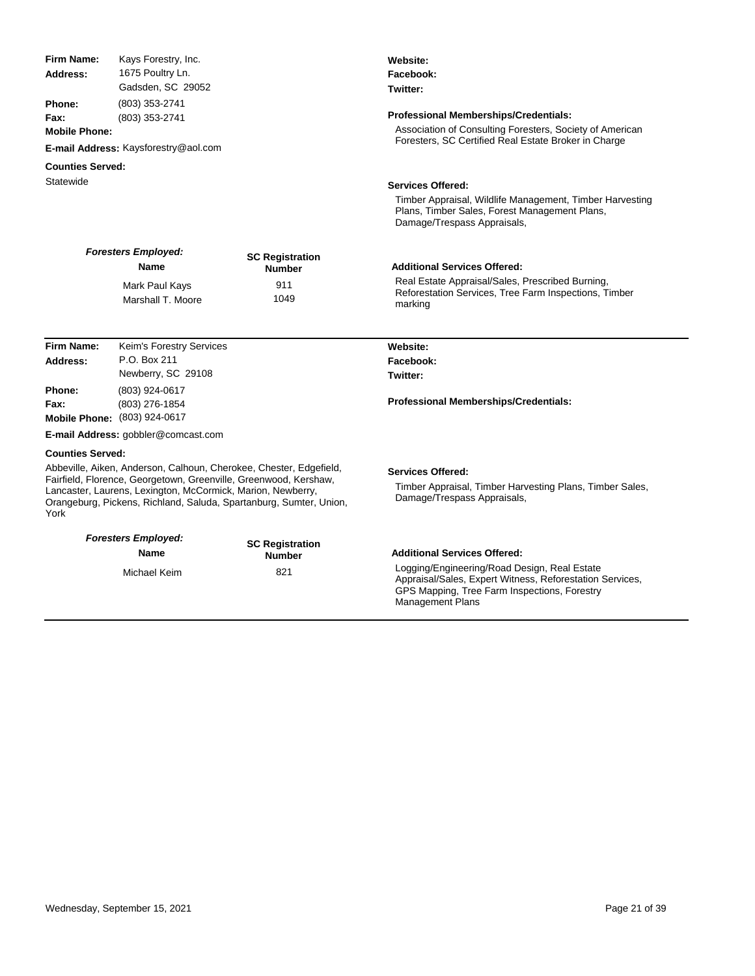| <b>Firm Name:</b>       | Kays Forestry, Inc.                                                                                                             |                                                                    | Website:                                                                                                                                                                            |  |
|-------------------------|---------------------------------------------------------------------------------------------------------------------------------|--------------------------------------------------------------------|-------------------------------------------------------------------------------------------------------------------------------------------------------------------------------------|--|
| Address:                | 1675 Poultry Ln.                                                                                                                |                                                                    | Facebook:                                                                                                                                                                           |  |
|                         | Gadsden, SC 29052                                                                                                               |                                                                    | Twitter:                                                                                                                                                                            |  |
| Phone:                  | (803) 353-2741                                                                                                                  |                                                                    |                                                                                                                                                                                     |  |
| Fax:                    | (803) 353-2741                                                                                                                  |                                                                    | Professional Memberships/Credentials:                                                                                                                                               |  |
| <b>Mobile Phone:</b>    |                                                                                                                                 |                                                                    | Association of Consulting Foresters, Society of American<br>Foresters, SC Certified Real Estate Broker in Charge                                                                    |  |
|                         | E-mail Address: Kaysforestry@aol.com                                                                                            |                                                                    |                                                                                                                                                                                     |  |
| <b>Counties Served:</b> |                                                                                                                                 |                                                                    |                                                                                                                                                                                     |  |
| Statewide               |                                                                                                                                 |                                                                    | <b>Services Offered:</b>                                                                                                                                                            |  |
|                         |                                                                                                                                 |                                                                    | Timber Appraisal, Wildlife Management, Timber Harvesting<br>Plans, Timber Sales, Forest Management Plans,<br>Damage/Trespass Appraisals,                                            |  |
|                         | <b>Foresters Employed:</b><br>Name                                                                                              | <b>SC Registration</b><br><b>Number</b>                            | <b>Additional Services Offered:</b>                                                                                                                                                 |  |
|                         | Mark Paul Kays                                                                                                                  | 911                                                                | Real Estate Appraisal/Sales, Prescribed Burning,                                                                                                                                    |  |
|                         | Marshall T. Moore                                                                                                               | 1049                                                               | Reforestation Services, Tree Farm Inspections, Timber                                                                                                                               |  |
|                         |                                                                                                                                 |                                                                    | marking                                                                                                                                                                             |  |
|                         |                                                                                                                                 |                                                                    |                                                                                                                                                                                     |  |
| <b>Firm Name:</b>       | Keim's Forestry Services                                                                                                        |                                                                    | Website:                                                                                                                                                                            |  |
| Address:                | P.O. Box 211                                                                                                                    |                                                                    | Facebook:                                                                                                                                                                           |  |
|                         | Newberry, SC 29108                                                                                                              |                                                                    | Twitter:                                                                                                                                                                            |  |
| Phone:                  | (803) 924-0617                                                                                                                  |                                                                    |                                                                                                                                                                                     |  |
| Fax:                    | (803) 276-1854                                                                                                                  |                                                                    | Professional Memberships/Credentials:                                                                                                                                               |  |
|                         | Mobile Phone: (803) 924-0617                                                                                                    |                                                                    |                                                                                                                                                                                     |  |
|                         | E-mail Address: gobbler@comcast.com                                                                                             |                                                                    |                                                                                                                                                                                     |  |
| <b>Counties Served:</b> |                                                                                                                                 |                                                                    |                                                                                                                                                                                     |  |
|                         |                                                                                                                                 | Abbeville, Aiken, Anderson, Calhoun, Cherokee, Chester, Edgefield, | <b>Services Offered:</b>                                                                                                                                                            |  |
| York                    | Fairfield, Florence, Georgetown, Greenville, Greenwood, Kershaw,<br>Lancaster, Laurens, Lexington, McCormick, Marion, Newberry, | Orangeburg, Pickens, Richland, Saluda, Spartanburg, Sumter, Union, | Timber Appraisal, Timber Harvesting Plans, Timber Sales,<br>Damage/Trespass Appraisals,                                                                                             |  |
|                         | <b>Foresters Employed:</b>                                                                                                      |                                                                    |                                                                                                                                                                                     |  |
|                         | Name                                                                                                                            | <b>SC Registration</b><br><b>Number</b>                            | <b>Additional Services Offered:</b>                                                                                                                                                 |  |
|                         | Michael Keim                                                                                                                    | 821                                                                | Logging/Engineering/Road Design, Real Estate<br>Appraisal/Sales, Expert Witness, Reforestation Services,<br>GPS Mapping, Tree Farm Inspections, Forestry<br><b>Management Plans</b> |  |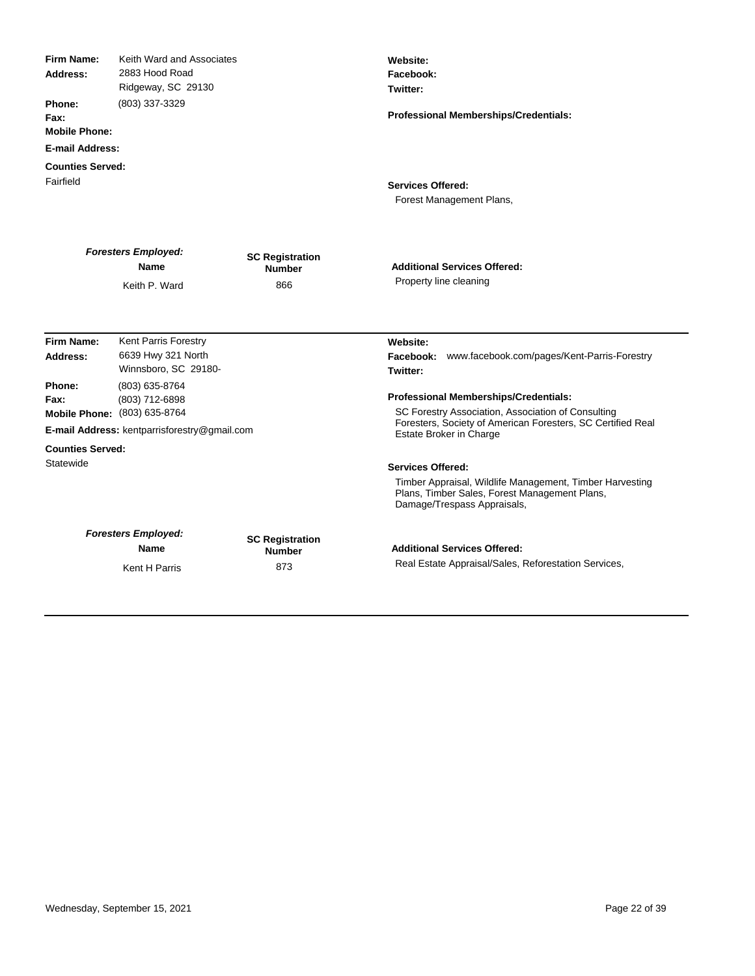| <b>Firm Name:</b><br>Address:<br>Phone:<br>Fax:<br><b>Mobile Phone:</b><br><b>E-mail Address:</b> | Keith Ward and Associates<br>2883 Hood Road<br>Ridgeway, SC 29130<br>(803) 337-3329                              |                                                | Website:<br>Facebook:<br>Twitter:<br><b>Professional Memberships/Credentials:</b>                                                                                                            |
|---------------------------------------------------------------------------------------------------|------------------------------------------------------------------------------------------------------------------|------------------------------------------------|----------------------------------------------------------------------------------------------------------------------------------------------------------------------------------------------|
| <b>Counties Served:</b><br>Fairfield                                                              |                                                                                                                  |                                                | <b>Services Offered:</b><br>Forest Management Plans,                                                                                                                                         |
|                                                                                                   | <b>Foresters Employed:</b><br>Name<br>Keith P. Ward                                                              | <b>SC Registration</b><br><b>Number</b><br>866 | <b>Additional Services Offered:</b><br>Property line cleaning                                                                                                                                |
| Firm Name:<br>Address:                                                                            | Kent Parris Forestry<br>6639 Hwy 321 North<br>Winnsboro, SC 29180-                                               |                                                | Website:<br>Facebook: www.facebook.com/pages/Kent-Parris-Forestry<br>Twitter:                                                                                                                |
| Phone:<br>Fax:                                                                                    | (803) 635-8764<br>(803) 712-6898<br>Mobile Phone: (803) 635-8764<br>E-mail Address: kentparrisforestry@gmail.com |                                                | <b>Professional Memberships/Credentials:</b><br>SC Forestry Association, Association of Consulting<br>Foresters, Society of American Foresters, SC Certified Real<br>Estate Broker in Charge |
| <b>Counties Served:</b><br>Statewide                                                              |                                                                                                                  |                                                | <b>Services Offered:</b><br>Timber Appraisal, Wildlife Management, Timber Harvesting<br>Plans, Timber Sales, Forest Management Plans,<br>Damage/Trespass Appraisals,                         |
|                                                                                                   | <b>Foresters Employed:</b><br><b>Name</b><br>Kent H Parris                                                       | <b>SC Registration</b><br><b>Number</b><br>873 | <b>Additional Services Offered:</b><br>Real Estate Appraisal/Sales, Reforestation Services,                                                                                                  |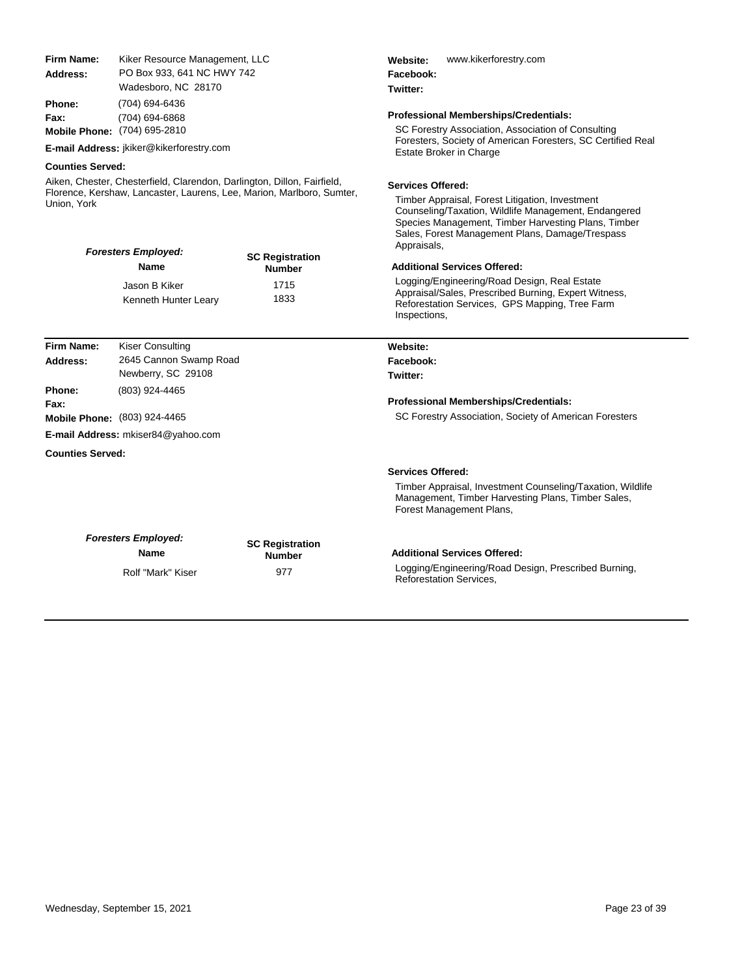| Firm Name:<br>Address:                                                                                                                                                                        | Kiker Resource Management, LLC<br>PO Box 933, 641 NC HWY 742<br>Wadesboro, NC 28170 |                                         | www.kikerforestry.com<br>Website:<br>Facebook:<br>Twitter:                                                                                                                                                                                                   |  |
|-----------------------------------------------------------------------------------------------------------------------------------------------------------------------------------------------|-------------------------------------------------------------------------------------|-----------------------------------------|--------------------------------------------------------------------------------------------------------------------------------------------------------------------------------------------------------------------------------------------------------------|--|
| Phone:<br>Fax:                                                                                                                                                                                | (704) 694-6436<br>(704) 694-6868<br><b>Mobile Phone:</b> (704) 695-2810             |                                         | <b>Professional Memberships/Credentials:</b><br>SC Forestry Association, Association of Consulting                                                                                                                                                           |  |
|                                                                                                                                                                                               | E-mail Address: jkiker@kikerforestry.com                                            |                                         | Foresters, Society of American Foresters, SC Certified Real<br><b>Estate Broker in Charge</b>                                                                                                                                                                |  |
| <b>Counties Served:</b>                                                                                                                                                                       |                                                                                     |                                         |                                                                                                                                                                                                                                                              |  |
| Aiken, Chester, Chesterfield, Clarendon, Darlington, Dillon, Fairfield,<br>Florence, Kershaw, Lancaster, Laurens, Lee, Marion, Marlboro, Sumter,<br>Union, York<br><b>Foresters Employed:</b> |                                                                                     |                                         | <b>Services Offered:</b><br>Timber Appraisal, Forest Litigation, Investment<br>Counseling/Taxation, Wildlife Management, Endangered<br>Species Management, Timber Harvesting Plans, Timber<br>Sales, Forest Management Plans, Damage/Trespass<br>Appraisals, |  |
|                                                                                                                                                                                               | Name                                                                                | <b>SC Registration</b><br><b>Number</b> | <b>Additional Services Offered:</b>                                                                                                                                                                                                                          |  |
|                                                                                                                                                                                               | Jason B Kiker<br>Kenneth Hunter Leary                                               | 1715<br>1833                            | Logging/Engineering/Road Design, Real Estate<br>Appraisal/Sales, Prescribed Burning, Expert Witness,<br>Reforestation Services, GPS Mapping, Tree Farm<br>Inspections,                                                                                       |  |
| Firm Name:                                                                                                                                                                                    | <b>Kiser Consulting</b>                                                             |                                         | Website:                                                                                                                                                                                                                                                     |  |
| Address:                                                                                                                                                                                      | 2645 Cannon Swamp Road<br>Newberry, SC 29108                                        |                                         | Facebook:<br>Twitter:                                                                                                                                                                                                                                        |  |
| Phone:<br>Fax:                                                                                                                                                                                | (803) 924-4465                                                                      |                                         | <b>Professional Memberships/Credentials:</b>                                                                                                                                                                                                                 |  |
|                                                                                                                                                                                               | <b>Mobile Phone: (803) 924-4465</b>                                                 |                                         | SC Forestry Association, Society of American Foresters                                                                                                                                                                                                       |  |
|                                                                                                                                                                                               | E-mail Address: mkiser84@yahoo.com                                                  |                                         |                                                                                                                                                                                                                                                              |  |
| <b>Counties Served:</b>                                                                                                                                                                       |                                                                                     |                                         |                                                                                                                                                                                                                                                              |  |
|                                                                                                                                                                                               |                                                                                     |                                         | <b>Services Offered:</b>                                                                                                                                                                                                                                     |  |
|                                                                                                                                                                                               |                                                                                     |                                         | Timber Appraisal, Investment Counseling/Taxation, Wildlife<br>Management, Timber Harvesting Plans, Timber Sales,<br>Forest Management Plans,                                                                                                                 |  |
|                                                                                                                                                                                               | <b>Foresters Employed:</b><br>Name                                                  | <b>SC Registration</b><br><b>Number</b> | <b>Additional Services Offered:</b><br>Logging/Engineering/Road Design, Prescribed Burning,                                                                                                                                                                  |  |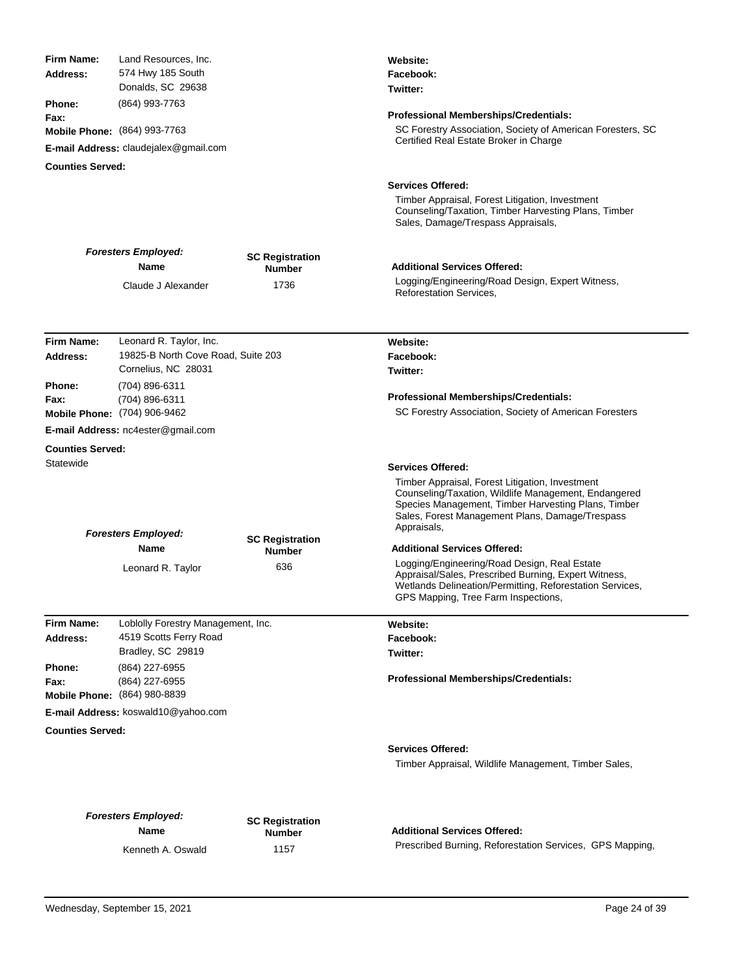|                                       | Land Resources, Inc.                |                        | Website:                                                                                                                                                                                                                         |
|---------------------------------------|-------------------------------------|------------------------|----------------------------------------------------------------------------------------------------------------------------------------------------------------------------------------------------------------------------------|
| Address:                              | 574 Hwy 185 South                   |                        | Facebook:                                                                                                                                                                                                                        |
|                                       | Donalds, SC 29638                   |                        | Twitter:                                                                                                                                                                                                                         |
| <b>Phone:</b>                         | (864) 993-7763                      |                        |                                                                                                                                                                                                                                  |
| Fax:<br>Mobile Phone: (864) 993-7763  |                                     |                        | Professional Memberships/Credentials:<br>SC Forestry Association, Society of American Foresters, SC                                                                                                                              |
|                                       |                                     |                        | Certified Real Estate Broker in Charge                                                                                                                                                                                           |
| E-mail Address: claudejalex@gmail.com |                                     |                        |                                                                                                                                                                                                                                  |
| <b>Counties Served:</b>               |                                     |                        |                                                                                                                                                                                                                                  |
|                                       |                                     |                        | <b>Services Offered:</b>                                                                                                                                                                                                         |
|                                       |                                     |                        | Timber Appraisal, Forest Litigation, Investment<br>Counseling/Taxation, Timber Harvesting Plans, Timber<br>Sales, Damage/Trespass Appraisals,                                                                                    |
|                                       | <b>Foresters Employed:</b>          |                        |                                                                                                                                                                                                                                  |
|                                       | Name                                | <b>SC Registration</b> | <b>Additional Services Offered:</b>                                                                                                                                                                                              |
|                                       |                                     | <b>Number</b>          | Logging/Engineering/Road Design, Expert Witness,                                                                                                                                                                                 |
|                                       | Claude J Alexander                  | 1736                   | <b>Reforestation Services,</b>                                                                                                                                                                                                   |
|                                       |                                     |                        |                                                                                                                                                                                                                                  |
|                                       |                                     |                        |                                                                                                                                                                                                                                  |
| <b>Firm Name:</b>                     | Leonard R. Taylor, Inc.             |                        | Website:                                                                                                                                                                                                                         |
| Address:                              | 19825-B North Cove Road, Suite 203  |                        | Facebook:                                                                                                                                                                                                                        |
|                                       | Cornelius, NC 28031                 |                        | Twitter:                                                                                                                                                                                                                         |
| Phone:                                | (704) 896-6311                      |                        |                                                                                                                                                                                                                                  |
| Fax:                                  | (704) 896-6311                      |                        | <b>Professional Memberships/Credentials:</b>                                                                                                                                                                                     |
|                                       | Mobile Phone: (704) 906-9462        |                        | SC Forestry Association, Society of American Foresters                                                                                                                                                                           |
|                                       | E-mail Address: nc4ester@gmail.com  |                        |                                                                                                                                                                                                                                  |
| <b>Counties Served:</b>               |                                     |                        |                                                                                                                                                                                                                                  |
| Statewide                             |                                     |                        | <b>Services Offered:</b>                                                                                                                                                                                                         |
|                                       |                                     |                        |                                                                                                                                                                                                                                  |
|                                       |                                     |                        | Timber Appraisal, Forest Litigation, Investment<br>Counseling/Taxation, Wildlife Management, Endangered<br>Species Management, Timber Harvesting Plans, Timber<br>Sales, Forest Management Plans, Damage/Trespass<br>Appraisals, |
|                                       | <b>Foresters Employed:</b><br>Name  | <b>SC Registration</b> | <b>Additional Services Offered:</b>                                                                                                                                                                                              |
|                                       | Leonard R. Taylor                   | <b>Number</b><br>636   | Logging/Engineering/Road Design, Real Estate<br>Appraisal/Sales, Prescribed Burning, Expert Witness,<br>Wetlands Delineation/Permitting, Reforestation Services,<br>GPS Mapping, Tree Farm Inspections,                          |
| Firm Name:                            | Loblolly Forestry Management, Inc.  |                        | Website:                                                                                                                                                                                                                         |
| Address:                              | 4519 Scotts Ferry Road              |                        | Facebook:                                                                                                                                                                                                                        |
|                                       | Bradley, SC 29819                   |                        | Twitter:                                                                                                                                                                                                                         |
| Phone:<br>Fax:                        | (864) 227-6955<br>(864) 227-6955    |                        | <b>Professional Memberships/Credentials:</b>                                                                                                                                                                                     |
|                                       | Mobile Phone: (864) 980-8839        |                        |                                                                                                                                                                                                                                  |
|                                       | E-mail Address: koswald10@yahoo.com |                        |                                                                                                                                                                                                                                  |
| <b>Counties Served:</b>               |                                     |                        | <b>Services Offered:</b><br>Timber Appraisal, Wildlife Management, Timber Sales,                                                                                                                                                 |
|                                       | <b>Foresters Employed:</b><br>Name  | <b>SC Registration</b> | <b>Additional Services Offered:</b>                                                                                                                                                                                              |
|                                       | Kenneth A. Oswald                   | <b>Number</b><br>1157  | Prescribed Burning, Reforestation Services, GPS Mapping,                                                                                                                                                                         |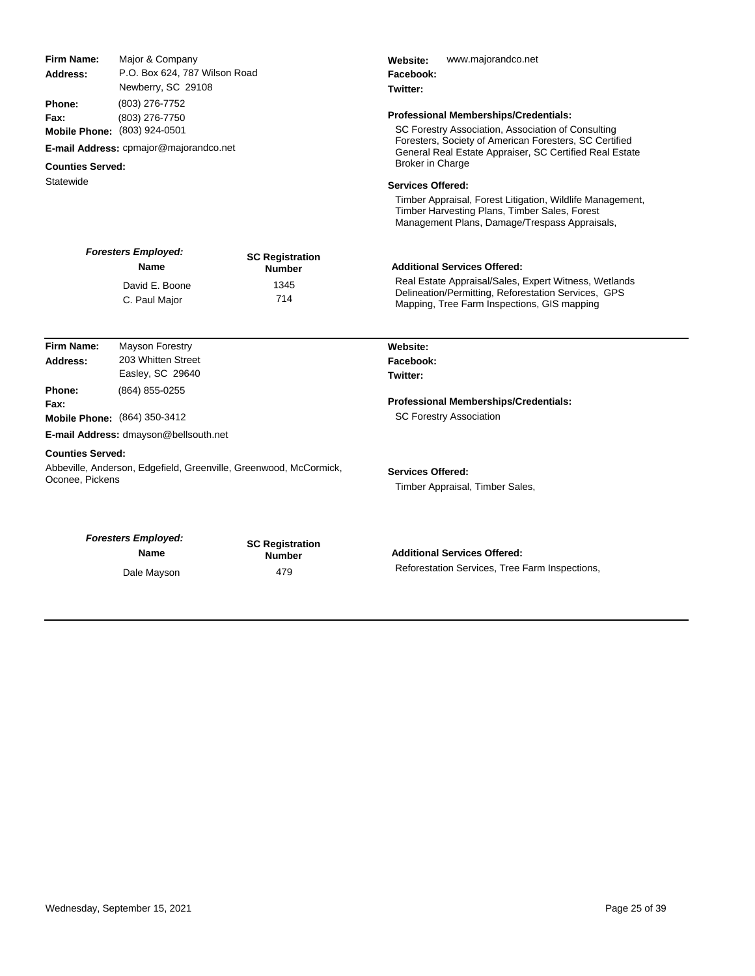| Firm Name:                                                                                                      | Major & Company                                                   |                        | www.majorandco.net<br>Website:<br>Facebook:                                                                  |                                        |  |
|-----------------------------------------------------------------------------------------------------------------|-------------------------------------------------------------------|------------------------|--------------------------------------------------------------------------------------------------------------|----------------------------------------|--|
| Address:                                                                                                        | P.O. Box 624, 787 Wilson Road                                     |                        |                                                                                                              |                                        |  |
| Newberry, SC 29108<br><b>Phone:</b><br>(803) 276-7752<br>Fax:<br>(803) 276-7750<br>Mobile Phone: (803) 924-0501 |                                                                   |                        | Twitter:                                                                                                     |                                        |  |
|                                                                                                                 |                                                                   |                        |                                                                                                              |                                        |  |
|                                                                                                                 |                                                                   |                        | SC Forestry Association, Association of Consulting<br>Foresters, Society of American Foresters, SC Certified |                                        |  |
|                                                                                                                 |                                                                   |                        | <b>Counties Served:</b>                                                                                      | E-mail Address: cpmajor@majorandco.net |  |
| Statewide                                                                                                       |                                                                   |                        | <b>Services Offered:</b>                                                                                     |                                        |  |
|                                                                                                                 |                                                                   |                        | Timber Appraisal, Forest Litigation, Wildlife Management,                                                    |                                        |  |
|                                                                                                                 |                                                                   |                        | Timber Harvesting Plans, Timber Sales, Forest<br>Management Plans, Damage/Trespass Appraisals,               |                                        |  |
|                                                                                                                 | <b>Foresters Employed:</b>                                        | <b>SC Registration</b> | <b>Additional Services Offered:</b>                                                                          |                                        |  |
|                                                                                                                 | <b>Name</b>                                                       | <b>Number</b>          |                                                                                                              |                                        |  |
|                                                                                                                 | David E. Boone                                                    | 1345                   | Real Estate Appraisal/Sales, Expert Witness, Wetlands<br>Delineation/Permitting, Reforestation Services, GPS |                                        |  |
|                                                                                                                 | C. Paul Major                                                     | 714                    | Mapping, Tree Farm Inspections, GIS mapping                                                                  |                                        |  |
| <b>Firm Name:</b>                                                                                               | <b>Mayson Forestry</b>                                            |                        | Website:                                                                                                     |                                        |  |
| Address:                                                                                                        | 203 Whitten Street                                                |                        | Facebook:                                                                                                    |                                        |  |
|                                                                                                                 | Easley, SC 29640                                                  |                        | Twitter:                                                                                                     |                                        |  |
| Phone:                                                                                                          | (864) 855-0255                                                    |                        |                                                                                                              |                                        |  |
| Fax:                                                                                                            |                                                                   |                        | <b>Professional Memberships/Credentials:</b>                                                                 |                                        |  |
|                                                                                                                 | Mobile Phone: (864) 350-3412                                      |                        | <b>SC Forestry Association</b>                                                                               |                                        |  |
|                                                                                                                 | E-mail Address: dmayson@bellsouth.net                             |                        |                                                                                                              |                                        |  |
| <b>Counties Served:</b>                                                                                         |                                                                   |                        |                                                                                                              |                                        |  |
|                                                                                                                 | Abbeville, Anderson, Edgefield, Greenville, Greenwood, McCormick, |                        | <b>Services Offered:</b>                                                                                     |                                        |  |
| Oconee, Pickens                                                                                                 |                                                                   |                        | Timber Appraisal, Timber Sales,                                                                              |                                        |  |
|                                                                                                                 |                                                                   |                        |                                                                                                              |                                        |  |
|                                                                                                                 | <b>Foresters Employed:</b>                                        | <b>SC Registration</b> |                                                                                                              |                                        |  |
|                                                                                                                 | Name                                                              | <b>Number</b>          | <b>Additional Services Offered:</b>                                                                          |                                        |  |
|                                                                                                                 | Dale Mayson                                                       | 479                    | Reforestation Services, Tree Farm Inspections,                                                               |                                        |  |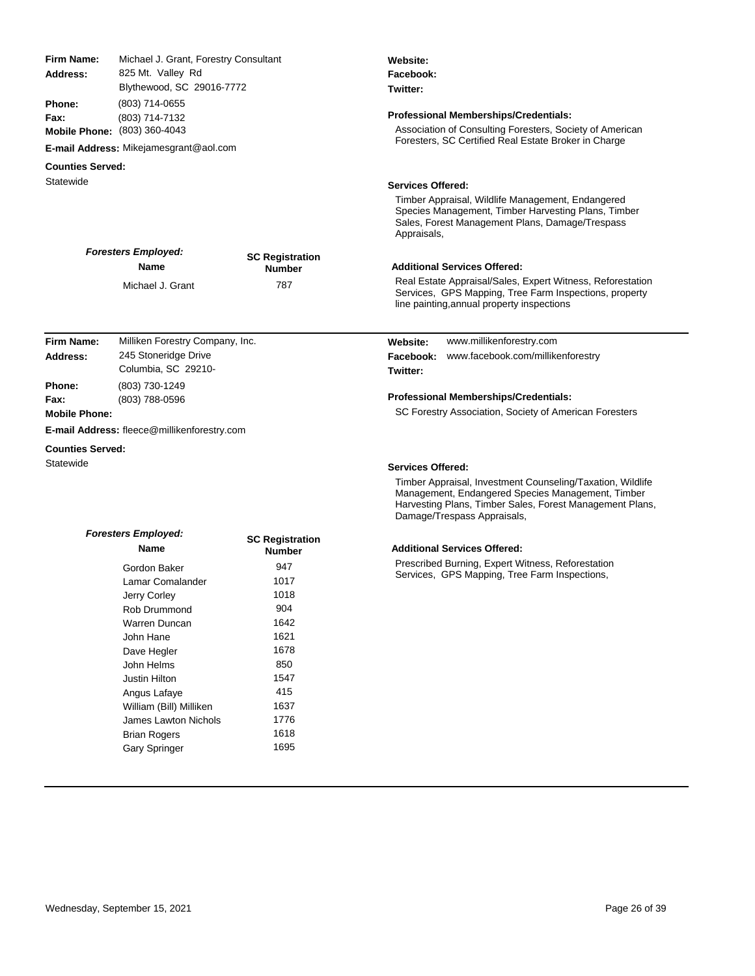| Firm Name:<br>Michael J. Grant, Forestry Consultant<br>825 Mt. Valley Rd<br>Address:<br>Blythewood, SC 29016-7772<br><b>Phone:</b><br>(803) 714-0655<br>(803) 714-7132<br>Fax:<br>Mobile Phone: (803) 360-4043<br>E-mail Address: Mikejamesgrant@aol.com |                                                                                |                                                | Website:<br>Facebook:<br>Twitter:<br><b>Professional Memberships/Credentials:</b><br>Association of Consulting Foresters, Society of American<br>Foresters, SC Certified Real Estate Broker in Charge                                  |  |
|----------------------------------------------------------------------------------------------------------------------------------------------------------------------------------------------------------------------------------------------------------|--------------------------------------------------------------------------------|------------------------------------------------|----------------------------------------------------------------------------------------------------------------------------------------------------------------------------------------------------------------------------------------|--|
| <b>Counties Served:</b>                                                                                                                                                                                                                                  |                                                                                |                                                |                                                                                                                                                                                                                                        |  |
| Statewide                                                                                                                                                                                                                                                |                                                                                |                                                | <b>Services Offered:</b><br>Timber Appraisal, Wildlife Management, Endangered<br>Species Management, Timber Harvesting Plans, Timber<br>Sales, Forest Management Plans, Damage/Trespass<br>Appraisals,                                 |  |
|                                                                                                                                                                                                                                                          | <b>Foresters Employed:</b><br><b>Name</b><br>Michael J. Grant                  | <b>SC Registration</b><br><b>Number</b><br>787 | <b>Additional Services Offered:</b><br>Real Estate Appraisal/Sales, Expert Witness, Reforestation<br>Services, GPS Mapping, Tree Farm Inspections, property<br>line painting, annual property inspections                              |  |
| Firm Name:<br><b>Address:</b>                                                                                                                                                                                                                            | Milliken Forestry Company, Inc.<br>245 Stoneridge Drive<br>Columbia, SC 29210- |                                                | www.millikenforestry.com<br>Website:<br>Facebook:<br>www.facebook.com/millikenforestry<br>Twitter:                                                                                                                                     |  |
| Phone:<br>Fax:<br><b>Mobile Phone:</b>                                                                                                                                                                                                                   | (803) 730-1249<br>(803) 788-0596                                               |                                                | Professional Memberships/Credentials:<br>SC Forestry Association, Society of American Foresters                                                                                                                                        |  |
|                                                                                                                                                                                                                                                          | E-mail Address: fleece@millikenforestry.com                                    |                                                |                                                                                                                                                                                                                                        |  |
| <b>Counties Served:</b><br>Statewide                                                                                                                                                                                                                     |                                                                                |                                                | <b>Services Offered:</b><br>Timber Appraisal, Investment Counseling/Taxation, Wildlife<br>Management, Endangered Species Management, Timber<br>Harvesting Plans, Timber Sales, Forest Management Plans,<br>Damage/Trespass Appraisals, |  |
|                                                                                                                                                                                                                                                          | <b>Foresters Employed:</b>                                                     | 00 B - - 1-1-11                                |                                                                                                                                                                                                                                        |  |

**SC Registration Number**

## **Additional Services Offered:**

Prescribed Burning, Expert Witness, Reforestation Services, GPS Mapping, Tree Farm Inspections,

**Name**

Jerry Corley

John Hane

Angus Lafaye

**Brian Rogers** 

Gordon Baker 1947<br>Lamar Comalander 1017 Lamar Comalander 1017<br>Jerry Corley 1018

Rob Drummond<br>Warren Duncan 1642 Warren Duncan 1642<br>John Hane 1621

Dave Hegler 1678 John Helms 850<br>Justin Hilton 857 Justin Hilton 1547<br>Angus Lafave 15

William (Bill) Milliken 1637 James Lawton Nichols 1776<br>
Rrian Rogers 1618

Gary Springer 1695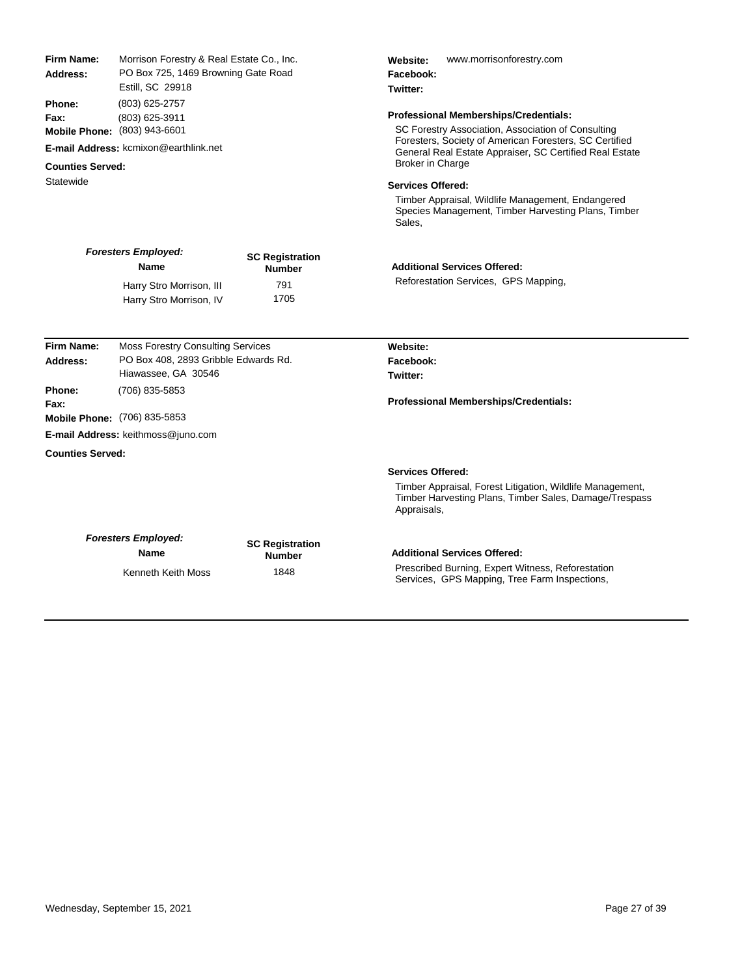| Phone:<br>(803) 625-2757<br><b>Professional Memberships/Credentials:</b><br>(803) 625-3911<br>Fax:<br>SC Forestry Association, Association of Consulting<br>Mobile Phone: (803) 943-6601<br>Foresters, Society of American Foresters, SC Certified<br><b>E-mail Address: kcmixon@earthlink.net</b><br>General Real Estate Appraiser, SC Certified Real Estate<br><b>Broker in Charge</b><br><b>Counties Served:</b><br>Statewide<br><b>Services Offered:</b><br>Timber Appraisal, Wildlife Management, Endangered<br>Species Management, Timber Harvesting Plans, Timber<br>Sales,<br><b>Foresters Employed:</b><br><b>SC Registration</b><br><b>Additional Services Offered:</b><br><b>Name</b><br><b>Number</b><br>Reforestation Services, GPS Mapping,<br>791<br>Harry Stro Morrison, III<br>1705<br>Harry Stro Morrison, IV<br><b>Firm Name:</b><br><b>Moss Forestry Consulting Services</b><br>Website:<br>PO Box 408, 2893 Gribble Edwards Rd.<br>Address:<br>Facebook:<br>Hiawassee, GA 30546<br>Twitter:<br>Phone:<br>(706) 835-5853<br>Professional Memberships/Credentials:<br>Fax:<br>Mobile Phone: (706) 835-5853<br>E-mail Address: keithmoss@juno.com<br><b>Counties Served:</b><br><b>Services Offered:</b><br>Timber Appraisal, Forest Litigation, Wildlife Management,<br>Timber Harvesting Plans, Timber Sales, Damage/Trespass<br>Appraisals,<br><b>Foresters Employed:</b><br><b>SC Registration</b><br><b>Additional Services Offered:</b><br><b>Name</b><br><b>Number</b><br>Prescribed Burning, Expert Witness, Reforestation<br>1848<br>Kenneth Keith Moss<br>Services, GPS Mapping, Tree Farm Inspections, | <b>Firm Name:</b><br>Address: | Morrison Forestry & Real Estate Co., Inc.<br>PO Box 725, 1469 Browning Gate Road<br>Estill, SC 29918 |  | Website:<br>www.morrisonforestry.com<br>Facebook:<br>Twitter: |  |
|-------------------------------------------------------------------------------------------------------------------------------------------------------------------------------------------------------------------------------------------------------------------------------------------------------------------------------------------------------------------------------------------------------------------------------------------------------------------------------------------------------------------------------------------------------------------------------------------------------------------------------------------------------------------------------------------------------------------------------------------------------------------------------------------------------------------------------------------------------------------------------------------------------------------------------------------------------------------------------------------------------------------------------------------------------------------------------------------------------------------------------------------------------------------------------------------------------------------------------------------------------------------------------------------------------------------------------------------------------------------------------------------------------------------------------------------------------------------------------------------------------------------------------------------------------------------------------------------------------------------------------------|-------------------------------|------------------------------------------------------------------------------------------------------|--|---------------------------------------------------------------|--|
|                                                                                                                                                                                                                                                                                                                                                                                                                                                                                                                                                                                                                                                                                                                                                                                                                                                                                                                                                                                                                                                                                                                                                                                                                                                                                                                                                                                                                                                                                                                                                                                                                                     |                               |                                                                                                      |  |                                                               |  |
|                                                                                                                                                                                                                                                                                                                                                                                                                                                                                                                                                                                                                                                                                                                                                                                                                                                                                                                                                                                                                                                                                                                                                                                                                                                                                                                                                                                                                                                                                                                                                                                                                                     |                               |                                                                                                      |  |                                                               |  |
|                                                                                                                                                                                                                                                                                                                                                                                                                                                                                                                                                                                                                                                                                                                                                                                                                                                                                                                                                                                                                                                                                                                                                                                                                                                                                                                                                                                                                                                                                                                                                                                                                                     |                               |                                                                                                      |  |                                                               |  |
|                                                                                                                                                                                                                                                                                                                                                                                                                                                                                                                                                                                                                                                                                                                                                                                                                                                                                                                                                                                                                                                                                                                                                                                                                                                                                                                                                                                                                                                                                                                                                                                                                                     |                               |                                                                                                      |  |                                                               |  |
|                                                                                                                                                                                                                                                                                                                                                                                                                                                                                                                                                                                                                                                                                                                                                                                                                                                                                                                                                                                                                                                                                                                                                                                                                                                                                                                                                                                                                                                                                                                                                                                                                                     |                               |                                                                                                      |  |                                                               |  |
|                                                                                                                                                                                                                                                                                                                                                                                                                                                                                                                                                                                                                                                                                                                                                                                                                                                                                                                                                                                                                                                                                                                                                                                                                                                                                                                                                                                                                                                                                                                                                                                                                                     |                               |                                                                                                      |  |                                                               |  |
|                                                                                                                                                                                                                                                                                                                                                                                                                                                                                                                                                                                                                                                                                                                                                                                                                                                                                                                                                                                                                                                                                                                                                                                                                                                                                                                                                                                                                                                                                                                                                                                                                                     |                               |                                                                                                      |  |                                                               |  |
|                                                                                                                                                                                                                                                                                                                                                                                                                                                                                                                                                                                                                                                                                                                                                                                                                                                                                                                                                                                                                                                                                                                                                                                                                                                                                                                                                                                                                                                                                                                                                                                                                                     |                               |                                                                                                      |  |                                                               |  |
|                                                                                                                                                                                                                                                                                                                                                                                                                                                                                                                                                                                                                                                                                                                                                                                                                                                                                                                                                                                                                                                                                                                                                                                                                                                                                                                                                                                                                                                                                                                                                                                                                                     |                               |                                                                                                      |  |                                                               |  |
|                                                                                                                                                                                                                                                                                                                                                                                                                                                                                                                                                                                                                                                                                                                                                                                                                                                                                                                                                                                                                                                                                                                                                                                                                                                                                                                                                                                                                                                                                                                                                                                                                                     |                               |                                                                                                      |  |                                                               |  |
|                                                                                                                                                                                                                                                                                                                                                                                                                                                                                                                                                                                                                                                                                                                                                                                                                                                                                                                                                                                                                                                                                                                                                                                                                                                                                                                                                                                                                                                                                                                                                                                                                                     |                               |                                                                                                      |  |                                                               |  |
|                                                                                                                                                                                                                                                                                                                                                                                                                                                                                                                                                                                                                                                                                                                                                                                                                                                                                                                                                                                                                                                                                                                                                                                                                                                                                                                                                                                                                                                                                                                                                                                                                                     |                               |                                                                                                      |  |                                                               |  |
|                                                                                                                                                                                                                                                                                                                                                                                                                                                                                                                                                                                                                                                                                                                                                                                                                                                                                                                                                                                                                                                                                                                                                                                                                                                                                                                                                                                                                                                                                                                                                                                                                                     |                               |                                                                                                      |  |                                                               |  |
|                                                                                                                                                                                                                                                                                                                                                                                                                                                                                                                                                                                                                                                                                                                                                                                                                                                                                                                                                                                                                                                                                                                                                                                                                                                                                                                                                                                                                                                                                                                                                                                                                                     |                               |                                                                                                      |  |                                                               |  |
|                                                                                                                                                                                                                                                                                                                                                                                                                                                                                                                                                                                                                                                                                                                                                                                                                                                                                                                                                                                                                                                                                                                                                                                                                                                                                                                                                                                                                                                                                                                                                                                                                                     |                               |                                                                                                      |  |                                                               |  |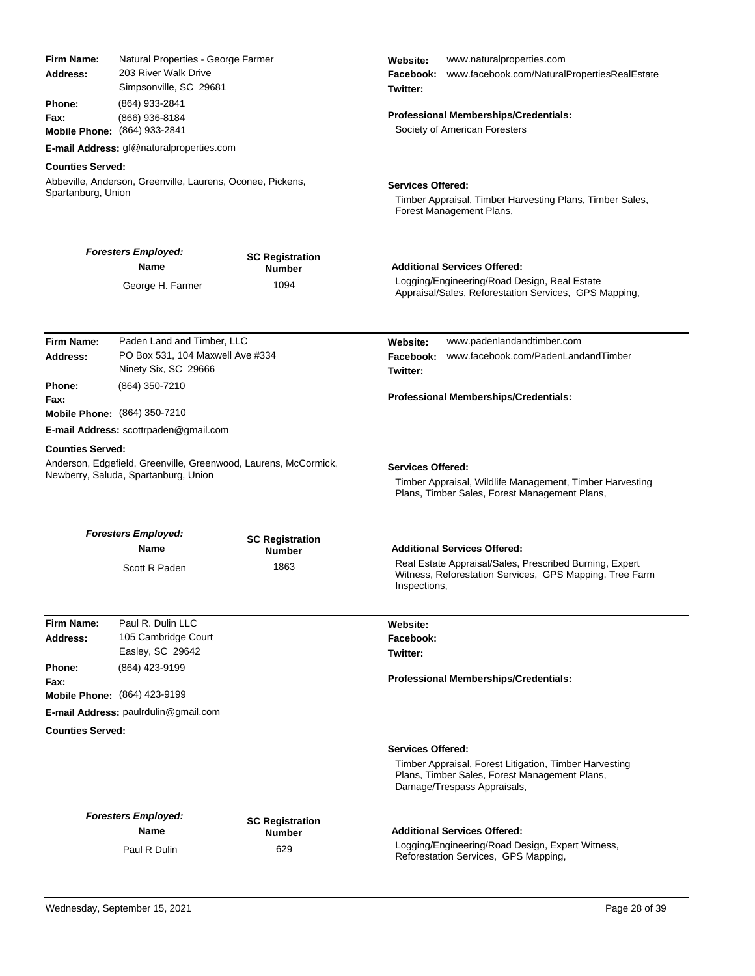| Firm Name:<br>Natural Properties - George Farmer<br>203 River Walk Drive<br>Address:<br>Simpsonville, SC 29681<br>Phone:<br>(864) 933-2841<br>(866) 936-8184<br>Fax:<br>Mobile Phone: (864) 933-2841<br>E-mail Address: gf@naturalproperties.com<br><b>Counties Served:</b><br>Abbeville, Anderson, Greenville, Laurens, Oconee, Pickens,<br>Spartanburg, Union |                                                                                                         |                                                 | www.naturalproperties.com<br>Website:<br>www.facebook.com/NaturalPropertiesRealEstate<br>Facebook:<br>Twitter:<br>Professional Memberships/Credentials:<br>Society of American Foresters<br><b>Services Offered:</b><br>Timber Appraisal, Timber Harvesting Plans, Timber Sales,<br>Forest Management Plans, |  |
|-----------------------------------------------------------------------------------------------------------------------------------------------------------------------------------------------------------------------------------------------------------------------------------------------------------------------------------------------------------------|---------------------------------------------------------------------------------------------------------|-------------------------------------------------|--------------------------------------------------------------------------------------------------------------------------------------------------------------------------------------------------------------------------------------------------------------------------------------------------------------|--|
|                                                                                                                                                                                                                                                                                                                                                                 | <b>Foresters Employed:</b><br>Name                                                                      | <b>SC Registration</b><br><b>Number</b><br>1094 | <b>Additional Services Offered:</b><br>Logging/Engineering/Road Design, Real Estate                                                                                                                                                                                                                          |  |
|                                                                                                                                                                                                                                                                                                                                                                 | George H. Farmer                                                                                        |                                                 | Appraisal/Sales, Reforestation Services, GPS Mapping,                                                                                                                                                                                                                                                        |  |
| Firm Name:<br>Address:                                                                                                                                                                                                                                                                                                                                          | Paden Land and Timber, LLC<br>PO Box 531, 104 Maxwell Ave #334<br>Ninety Six, SC 29666                  |                                                 | www.padenlandandtimber.com<br>Website:<br>www.facebook.com/PadenLandandTimber<br>Facebook:<br>Twitter:                                                                                                                                                                                                       |  |
| Phone:<br>Fax:                                                                                                                                                                                                                                                                                                                                                  | (864) 350-7210<br><b>Mobile Phone:</b> (864) 350-7210                                                   |                                                 | Professional Memberships/Credentials:                                                                                                                                                                                                                                                                        |  |
|                                                                                                                                                                                                                                                                                                                                                                 | E-mail Address: scottrpaden@gmail.com                                                                   |                                                 |                                                                                                                                                                                                                                                                                                              |  |
| <b>Counties Served:</b>                                                                                                                                                                                                                                                                                                                                         | Anderson, Edgefield, Greenville, Greenwood, Laurens, McCormick,<br>Newberry, Saluda, Spartanburg, Union |                                                 | <b>Services Offered:</b><br>Timber Appraisal, Wildlife Management, Timber Harvesting<br>Plans, Timber Sales, Forest Management Plans,                                                                                                                                                                        |  |
|                                                                                                                                                                                                                                                                                                                                                                 | <b>Foresters Employed:</b>                                                                              |                                                 |                                                                                                                                                                                                                                                                                                              |  |
|                                                                                                                                                                                                                                                                                                                                                                 | Name                                                                                                    | <b>SC Registration</b><br><b>Number</b>         | <b>Additional Services Offered:</b>                                                                                                                                                                                                                                                                          |  |
|                                                                                                                                                                                                                                                                                                                                                                 | Scott R Paden                                                                                           | 1863                                            | Real Estate Appraisal/Sales, Prescribed Burning, Expert<br>Witness, Reforestation Services, GPS Mapping, Tree Farm<br>Inspections,                                                                                                                                                                           |  |
| <b>Firm Name:</b>                                                                                                                                                                                                                                                                                                                                               | Paul R. Dulin LLC                                                                                       |                                                 | Website:                                                                                                                                                                                                                                                                                                     |  |
| Address:                                                                                                                                                                                                                                                                                                                                                        | 105 Cambridge Court                                                                                     |                                                 | Facebook:                                                                                                                                                                                                                                                                                                    |  |
|                                                                                                                                                                                                                                                                                                                                                                 | Easley, SC 29642                                                                                        |                                                 | Twitter:                                                                                                                                                                                                                                                                                                     |  |
| Phone:<br>Fax:                                                                                                                                                                                                                                                                                                                                                  | (864) 423-9199                                                                                          |                                                 | Professional Memberships/Credentials:                                                                                                                                                                                                                                                                        |  |
|                                                                                                                                                                                                                                                                                                                                                                 | Mobile Phone: (864) 423-9199                                                                            |                                                 |                                                                                                                                                                                                                                                                                                              |  |
|                                                                                                                                                                                                                                                                                                                                                                 | E-mail Address: paulrdulin@gmail.com                                                                    |                                                 |                                                                                                                                                                                                                                                                                                              |  |
| <b>Counties Served:</b>                                                                                                                                                                                                                                                                                                                                         |                                                                                                         |                                                 |                                                                                                                                                                                                                                                                                                              |  |
|                                                                                                                                                                                                                                                                                                                                                                 |                                                                                                         |                                                 | <b>Services Offered:</b><br>Timber Appraisal, Forest Litigation, Timber Harvesting<br>Plans, Timber Sales, Forest Management Plans,<br>Damage/Trespass Appraisals,                                                                                                                                           |  |
|                                                                                                                                                                                                                                                                                                                                                                 | <b>Foresters Employed:</b>                                                                              |                                                 |                                                                                                                                                                                                                                                                                                              |  |
|                                                                                                                                                                                                                                                                                                                                                                 | Name                                                                                                    | <b>SC Registration</b><br><b>Number</b>         | <b>Additional Services Offered:</b>                                                                                                                                                                                                                                                                          |  |
|                                                                                                                                                                                                                                                                                                                                                                 | Paul R Dulin                                                                                            | 629                                             | Logging/Engineering/Road Design, Expert Witness,<br>Reforestation Services, GPS Mapping,                                                                                                                                                                                                                     |  |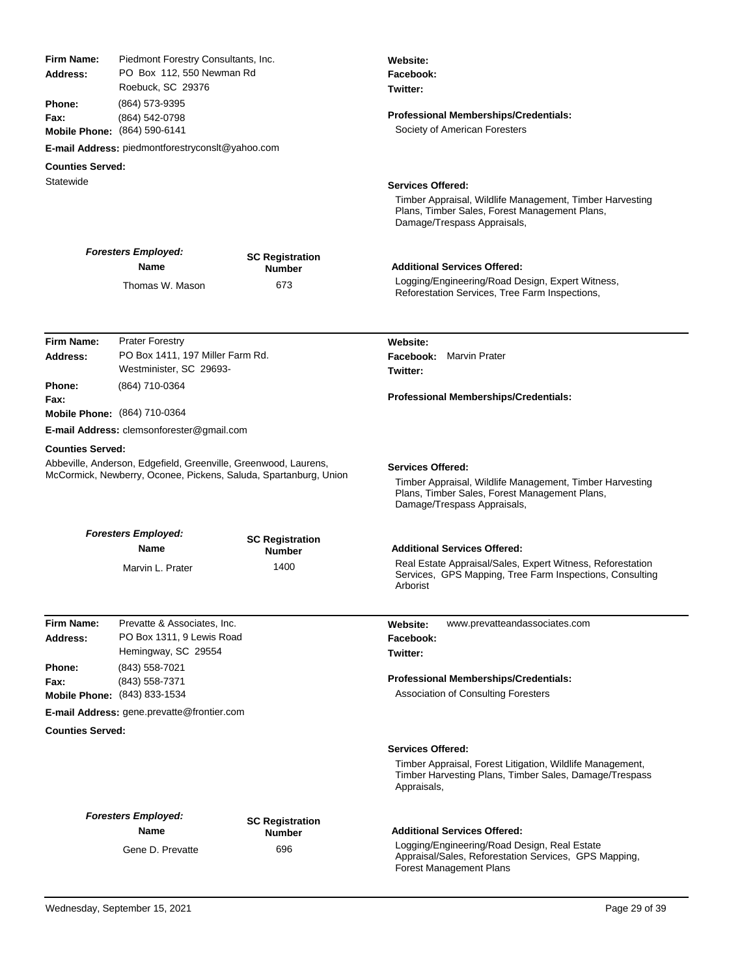| Firm Name:<br>Address:  | Piedmont Forestry Consultants, Inc.<br>PO Box 112, 550 Newman Rd<br>Roebuck, SC 29376                                               |                                         | Website:<br>Facebook:<br>Twitter:<br><b>Professional Memberships/Credentials:</b><br>Society of American Foresters                                                   |
|-------------------------|-------------------------------------------------------------------------------------------------------------------------------------|-----------------------------------------|----------------------------------------------------------------------------------------------------------------------------------------------------------------------|
| <b>Phone:</b><br>Fax:   | (864) 573-9395<br>(864) 542-0798<br>Mobile Phone: (864) 590-6141                                                                    |                                         |                                                                                                                                                                      |
|                         | E-mail Address: piedmontforestryconsit@yahoo.com                                                                                    |                                         |                                                                                                                                                                      |
| <b>Counties Served:</b> |                                                                                                                                     |                                         |                                                                                                                                                                      |
| Statewide               |                                                                                                                                     |                                         | <b>Services Offered:</b><br>Timber Appraisal, Wildlife Management, Timber Harvesting<br>Plans, Timber Sales, Forest Management Plans,<br>Damage/Trespass Appraisals, |
|                         | <b>Foresters Employed:</b>                                                                                                          | <b>SC Registration</b>                  |                                                                                                                                                                      |
|                         | <b>Name</b>                                                                                                                         | <b>Number</b>                           | <b>Additional Services Offered:</b>                                                                                                                                  |
|                         | Thomas W. Mason                                                                                                                     | 673                                     | Logging/Engineering/Road Design, Expert Witness,<br>Reforestation Services, Tree Farm Inspections,                                                                   |
| Firm Name:              | <b>Prater Forestry</b>                                                                                                              |                                         | Website:                                                                                                                                                             |
| Address:                | PO Box 1411, 197 Miller Farm Rd.                                                                                                    |                                         | <b>Facebook:</b> Marvin Prater                                                                                                                                       |
|                         | Westminister, SC 29693-                                                                                                             |                                         | Twitter:                                                                                                                                                             |
| <b>Phone:</b>           | (864) 710-0364                                                                                                                      |                                         |                                                                                                                                                                      |
| Fax:                    |                                                                                                                                     |                                         | <b>Professional Memberships/Credentials:</b>                                                                                                                         |
|                         | Mobile Phone: (864) 710-0364                                                                                                        |                                         |                                                                                                                                                                      |
|                         | E-mail Address: clemsonforester@gmail.com                                                                                           |                                         |                                                                                                                                                                      |
| <b>Counties Served:</b> |                                                                                                                                     |                                         |                                                                                                                                                                      |
|                         | Abbeville, Anderson, Edgefield, Greenville, Greenwood, Laurens,<br>McCormick, Newberry, Oconee, Pickens, Saluda, Spartanburg, Union |                                         | <b>Services Offered:</b><br>Timber Appraisal, Wildlife Management, Timber Harvesting<br>Plans, Timber Sales, Forest Management Plans,<br>Damage/Trespass Appraisals, |
|                         | <b>Foresters Employed:</b>                                                                                                          |                                         |                                                                                                                                                                      |
|                         | Name                                                                                                                                | <b>SC Registration</b><br><b>Number</b> | <b>Additional Services Offered:</b>                                                                                                                                  |
|                         | Marvin L. Prater                                                                                                                    | 1400                                    | Real Estate Appraisal/Sales, Expert Witness, Reforestation<br>Services, GPS Mapping, Tree Farm Inspections, Consulting<br>Arborist                                   |
| Firm Name:              | Prevatte & Associates, Inc.                                                                                                         |                                         | www.prevatteandassociates.com<br>Website:                                                                                                                            |
| Address:                | PO Box 1311, 9 Lewis Road                                                                                                           |                                         | Facebook:                                                                                                                                                            |
|                         | Hemingway, SC 29554                                                                                                                 |                                         | Twitter:                                                                                                                                                             |
| Phone:                  | (843) 558-7021                                                                                                                      |                                         |                                                                                                                                                                      |
| Fax:                    | (843) 558-7371                                                                                                                      |                                         | Professional Memberships/Credentials:                                                                                                                                |
|                         | Mobile Phone: (843) 833-1534                                                                                                        |                                         | <b>Association of Consulting Foresters</b>                                                                                                                           |
|                         | E-mail Address: gene.prevatte@frontier.com                                                                                          |                                         |                                                                                                                                                                      |
| <b>Counties Served:</b> |                                                                                                                                     |                                         |                                                                                                                                                                      |
|                         |                                                                                                                                     |                                         | <b>Services Offered:</b><br>Timber Appraisal, Forest Litigation, Wildlife Management,<br>Timber Harvesting Plans, Timber Sales, Damage/Trespass<br>Appraisals,       |
|                         | <b>Foresters Employed:</b>                                                                                                          |                                         |                                                                                                                                                                      |
|                         | Name                                                                                                                                | <b>SC Registration</b><br>Number        | <b>Additional Services Offered:</b>                                                                                                                                  |
|                         | Gene D. Prevatte                                                                                                                    | 696                                     | Logging/Engineering/Road Design, Real Estate<br>Appraisal/Sales, Reforestation Services, GPS Mapping,<br><b>Forest Management Plans</b>                              |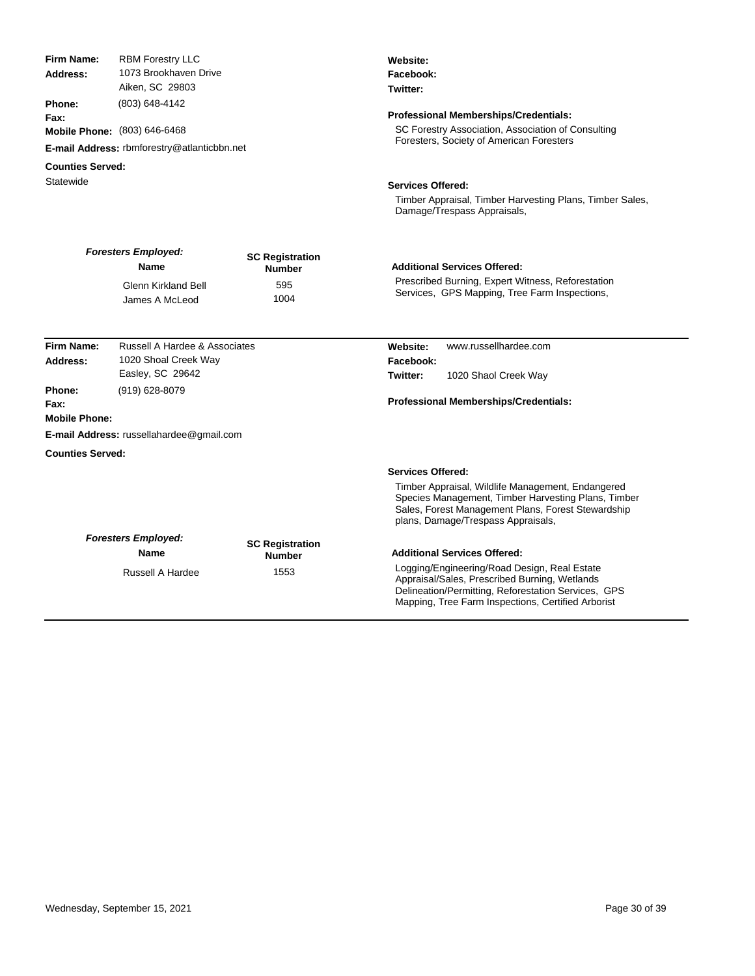| Firm Name:                                  | <b>RBM Forestry LLC</b>                                                                                                         |                                         | Website:                                                                                                                                                                                                   |  |  |
|---------------------------------------------|---------------------------------------------------------------------------------------------------------------------------------|-----------------------------------------|------------------------------------------------------------------------------------------------------------------------------------------------------------------------------------------------------------|--|--|
|                                             | 1073 Brookhaven Drive<br>Address:<br>Aiken, SC 29803<br>Phone:<br>(803) 648-4142<br>Fax:<br><b>Mobile Phone:</b> (803) 646-6468 |                                         | Facebook:                                                                                                                                                                                                  |  |  |
|                                             |                                                                                                                                 |                                         | Twitter:                                                                                                                                                                                                   |  |  |
|                                             |                                                                                                                                 |                                         | <b>Professional Memberships/Credentials:</b>                                                                                                                                                               |  |  |
|                                             |                                                                                                                                 |                                         | SC Forestry Association, Association of Consulting                                                                                                                                                         |  |  |
| E-mail Address: rbmforestry@atlanticbbn.net |                                                                                                                                 |                                         | Foresters, Society of American Foresters                                                                                                                                                                   |  |  |
| <b>Counties Served:</b>                     |                                                                                                                                 |                                         |                                                                                                                                                                                                            |  |  |
| Statewide                                   |                                                                                                                                 |                                         | <b>Services Offered:</b>                                                                                                                                                                                   |  |  |
|                                             |                                                                                                                                 |                                         | Timber Appraisal, Timber Harvesting Plans, Timber Sales,<br>Damage/Trespass Appraisals,                                                                                                                    |  |  |
|                                             | <b>Foresters Employed:</b><br><b>Name</b>                                                                                       | <b>SC Registration</b><br><b>Number</b> | <b>Additional Services Offered:</b>                                                                                                                                                                        |  |  |
|                                             | <b>Glenn Kirkland Bell</b><br>James A McLeod                                                                                    | 595<br>1004                             | Prescribed Burning, Expert Witness, Reforestation<br>Services, GPS Mapping, Tree Farm Inspections,                                                                                                         |  |  |
| <b>Firm Name:</b>                           | Russell A Hardee & Associates                                                                                                   |                                         | www.russellhardee.com<br>Website:                                                                                                                                                                          |  |  |
| Address:                                    | 1020 Shoal Creek Way                                                                                                            |                                         | Facebook:                                                                                                                                                                                                  |  |  |
|                                             | Easley, SC 29642                                                                                                                |                                         | Twitter:<br>1020 Shaol Creek Way                                                                                                                                                                           |  |  |
| Phone:                                      | (919) 628-8079                                                                                                                  |                                         |                                                                                                                                                                                                            |  |  |
| Fax:                                        |                                                                                                                                 |                                         | Professional Memberships/Credentials:                                                                                                                                                                      |  |  |
| <b>Mobile Phone:</b>                        |                                                                                                                                 |                                         |                                                                                                                                                                                                            |  |  |
|                                             | <b>E-mail Address: russellahardee@gmail.com</b>                                                                                 |                                         |                                                                                                                                                                                                            |  |  |
| <b>Counties Served:</b>                     |                                                                                                                                 |                                         |                                                                                                                                                                                                            |  |  |
|                                             |                                                                                                                                 |                                         | <b>Services Offered:</b>                                                                                                                                                                                   |  |  |
|                                             |                                                                                                                                 |                                         | Timber Appraisal, Wildlife Management, Endangered<br>Species Management, Timber Harvesting Plans, Timber<br>Sales, Forest Management Plans, Forest Stewardship<br>plans, Damage/Trespass Appraisals,       |  |  |
|                                             | <b>Foresters Employed:</b>                                                                                                      | <b>SC Registration</b>                  |                                                                                                                                                                                                            |  |  |
|                                             | Name                                                                                                                            | <b>Number</b>                           | <b>Additional Services Offered:</b>                                                                                                                                                                        |  |  |
|                                             | <b>Russell A Hardee</b>                                                                                                         | 1553                                    | Logging/Engineering/Road Design, Real Estate<br>Appraisal/Sales, Prescribed Burning, Wetlands<br>Delineation/Permitting, Reforestation Services, GPS<br>Mapping, Tree Farm Inspections, Certified Arborist |  |  |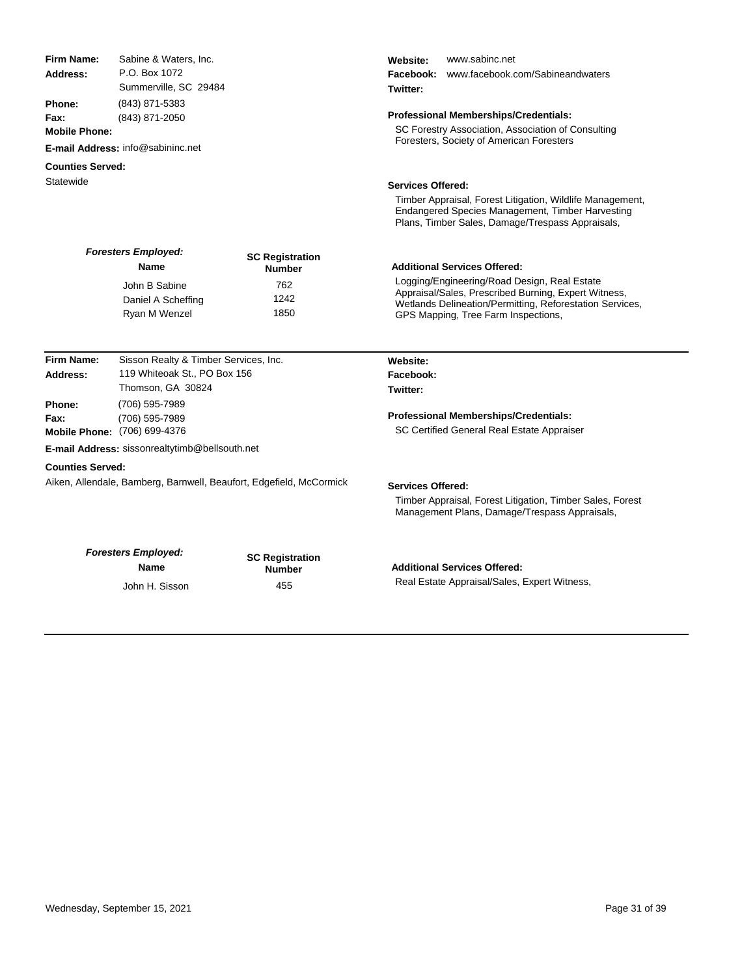| <b>Firm Name:</b>       | Sabine & Waters, Inc.                                                 |                                                                     | www.sabinc.net<br>Website:                                                                                 |
|-------------------------|-----------------------------------------------------------------------|---------------------------------------------------------------------|------------------------------------------------------------------------------------------------------------|
| Address:                | P.O. Box 1072<br>Summerville, SC 29484                                |                                                                     | www.facebook.com/Sabineandwaters<br>Facebook:                                                              |
|                         |                                                                       |                                                                     | Twitter:                                                                                                   |
| <b>Phone:</b>           | (843) 871-5383                                                        |                                                                     |                                                                                                            |
| Fax:                    | (843) 871-2050                                                        |                                                                     | Professional Memberships/Credentials:                                                                      |
| <b>Mobile Phone:</b>    |                                                                       |                                                                     | SC Forestry Association, Association of Consulting                                                         |
|                         | E-mail Address: info@sabininc.net                                     |                                                                     | Foresters, Society of American Foresters                                                                   |
| <b>Counties Served:</b> |                                                                       |                                                                     |                                                                                                            |
| Statewide               |                                                                       |                                                                     | <b>Services Offered:</b>                                                                                   |
|                         |                                                                       |                                                                     | Timber Appraisal, Forest Litigation, Wildlife Management,                                                  |
|                         |                                                                       |                                                                     | Endangered Species Management, Timber Harvesting<br>Plans, Timber Sales, Damage/Trespass Appraisals,       |
|                         | <b>Foresters Employed:</b><br><b>Name</b>                             | <b>SC Registration</b>                                              | <b>Additional Services Offered:</b>                                                                        |
|                         |                                                                       | <b>Number</b>                                                       | Logging/Engineering/Road Design, Real Estate                                                               |
|                         | John B Sabine                                                         | 762                                                                 | Appraisal/Sales, Prescribed Burning, Expert Witness,                                                       |
|                         | Daniel A Scheffing                                                    | 1242                                                                | Wetlands Delineation/Permitting, Reforestation Services,                                                   |
|                         | Ryan M Wenzel                                                         | 1850                                                                | GPS Mapping, Tree Farm Inspections,                                                                        |
|                         |                                                                       |                                                                     |                                                                                                            |
| <b>Firm Name:</b>       |                                                                       |                                                                     |                                                                                                            |
| Address:                | Sisson Realty & Timber Services, Inc.<br>119 Whiteoak St., PO Box 156 |                                                                     | Website:<br>Facebook:                                                                                      |
|                         | Thomson, GA 30824                                                     |                                                                     | Twitter:                                                                                                   |
| Phone:                  | (706) 595-7989                                                        |                                                                     |                                                                                                            |
| Fax:                    | (706) 595-7989                                                        |                                                                     | Professional Memberships/Credentials:                                                                      |
|                         | Mobile Phone: (706) 699-4376                                          |                                                                     | SC Certified General Real Estate Appraiser                                                                 |
|                         | E-mail Address: sissonrealtytimb@bellsouth.net                        |                                                                     |                                                                                                            |
|                         |                                                                       |                                                                     |                                                                                                            |
| <b>Counties Served:</b> |                                                                       |                                                                     |                                                                                                            |
|                         |                                                                       | Aiken, Allendale, Bamberg, Barnwell, Beaufort, Edgefield, McCormick | <b>Services Offered:</b>                                                                                   |
|                         |                                                                       |                                                                     | Timber Appraisal, Forest Litigation, Timber Sales, Forest<br>Management Plans, Damage/Trespass Appraisals, |
|                         | <b>Foresters Employed:</b>                                            |                                                                     |                                                                                                            |
|                         | Name                                                                  | <b>SC Registration</b>                                              | <b>Additional Services Offered:</b>                                                                        |
|                         | John H. Sisson                                                        | <b>Number</b><br>455                                                | Real Estate Appraisal/Sales, Expert Witness,                                                               |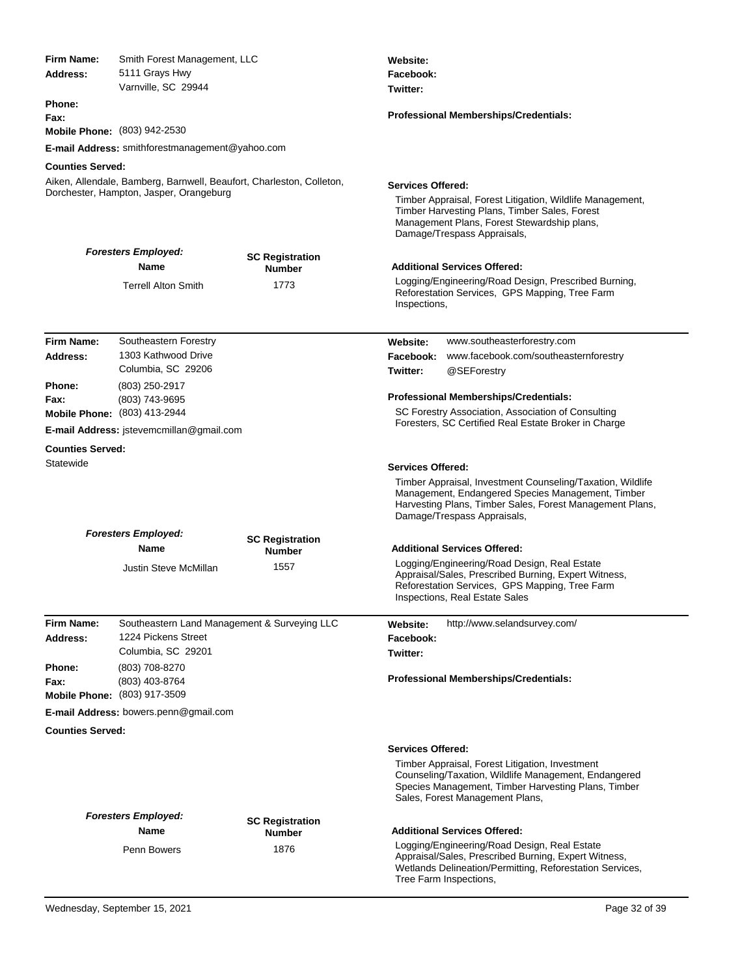| Firm Name:<br>Address:                         | Smith Forest Management, LLC<br>5111 Grays Hwy<br>Varnville, SC 29944                                           |                                         | Website:<br>Facebook:<br>Twitter:                                                                                                                                                                             |  |
|------------------------------------------------|-----------------------------------------------------------------------------------------------------------------|-----------------------------------------|---------------------------------------------------------------------------------------------------------------------------------------------------------------------------------------------------------------|--|
| <b>Phone:</b>                                  |                                                                                                                 |                                         | Professional Memberships/Credentials:                                                                                                                                                                         |  |
| Fax:<br>Mobile Phone: (803) 942-2530           |                                                                                                                 |                                         |                                                                                                                                                                                                               |  |
|                                                | E-mail Address: smithforestmanagement@yahoo.com                                                                 |                                         |                                                                                                                                                                                                               |  |
| <b>Counties Served:</b>                        |                                                                                                                 |                                         |                                                                                                                                                                                                               |  |
|                                                | Aiken, Allendale, Bamberg, Barnwell, Beaufort, Charleston, Colleton,<br>Dorchester, Hampton, Jasper, Orangeburg |                                         | Services Offered:<br>Timber Appraisal, Forest Litigation, Wildlife Management,<br>Timber Harvesting Plans, Timber Sales, Forest<br>Management Plans, Forest Stewardship plans,<br>Damage/Trespass Appraisals, |  |
|                                                | <b>Foresters Employed:</b>                                                                                      | <b>SC Registration</b>                  |                                                                                                                                                                                                               |  |
|                                                | <b>Name</b>                                                                                                     | Number                                  | <b>Additional Services Offered:</b>                                                                                                                                                                           |  |
|                                                | <b>Terrell Alton Smith</b>                                                                                      | 1773                                    | Logging/Engineering/Road Design, Prescribed Burning,<br>Reforestation Services, GPS Mapping, Tree Farm<br>Inspections,                                                                                        |  |
| <b>Firm Name:</b>                              | Southeastern Forestry                                                                                           |                                         | www.southeasterforestry.com                                                                                                                                                                                   |  |
| Address:                                       | 1303 Kathwood Drive                                                                                             |                                         | Website:<br>Facebook:<br>www.facebook.com/southeasternforestry                                                                                                                                                |  |
|                                                | Columbia, SC 29206                                                                                              |                                         | Twitter:<br>@SEForestry                                                                                                                                                                                       |  |
| <b>Phone:</b>                                  | (803) 250-2917                                                                                                  |                                         |                                                                                                                                                                                                               |  |
| Fax:                                           | (803) 743-9695<br><b>Mobile Phone:</b> (803) 413-2944                                                           |                                         | Professional Memberships/Credentials:<br>SC Forestry Association, Association of Consulting                                                                                                                   |  |
|                                                | <b>E-mail Address:</b> istevemcmillan@gmail.com                                                                 |                                         | Foresters, SC Certified Real Estate Broker in Charge                                                                                                                                                          |  |
| <b>Counties Served:</b>                        |                                                                                                                 |                                         |                                                                                                                                                                                                               |  |
| Statewide                                      |                                                                                                                 |                                         | <b>Services Offered:</b>                                                                                                                                                                                      |  |
|                                                |                                                                                                                 |                                         | Timber Appraisal, Investment Counseling/Taxation, Wildlife<br>Management, Endangered Species Management, Timber<br>Harvesting Plans, Timber Sales, Forest Management Plans,<br>Damage/Trespass Appraisals,    |  |
|                                                | <b>Foresters Employed:</b><br><b>Name</b>                                                                       | <b>SC Registration</b><br><b>Number</b> | <b>Additional Services Offered:</b>                                                                                                                                                                           |  |
|                                                | Justin Steve McMillan                                                                                           | 1557                                    | Logging/Engineering/Road Design, Real Estate<br>Appraisal/Sales, Prescribed Burning, Expert Witness,<br>Reforestation Services, GPS Mapping, Tree Farm<br><b>Inspections, Real Estate Sales</b>               |  |
| <b>Firm Name:</b>                              | Southeastern Land Management & Surveying LLC                                                                    |                                         | http://www.selandsurvey.com/<br>Website:                                                                                                                                                                      |  |
| Address:                                       | 1224 Pickens Street                                                                                             |                                         | Facebook:                                                                                                                                                                                                     |  |
|                                                | Columbia, SC 29201                                                                                              |                                         | Twitter:                                                                                                                                                                                                      |  |
| Phone:<br>Fax:<br>Mobile Phone: (803) 917-3509 | (803) 708-8270<br>(803) 403-8764                                                                                |                                         | <b>Professional Memberships/Credentials:</b>                                                                                                                                                                  |  |
|                                                | E-mail Address: bowers.penn@gmail.com                                                                           |                                         |                                                                                                                                                                                                               |  |
| <b>Counties Served:</b>                        |                                                                                                                 |                                         |                                                                                                                                                                                                               |  |
|                                                |                                                                                                                 |                                         | <b>Services Offered:</b>                                                                                                                                                                                      |  |
|                                                |                                                                                                                 |                                         | Timber Appraisal, Forest Litigation, Investment<br>Counseling/Taxation, Wildlife Management, Endangered<br>Species Management, Timber Harvesting Plans, Timber<br>Sales, Forest Management Plans,             |  |
|                                                | <b>Foresters Employed:</b><br><b>Name</b>                                                                       | <b>SC Registration</b>                  | <b>Additional Services Offered:</b>                                                                                                                                                                           |  |
|                                                | Penn Bowers                                                                                                     | <b>Number</b><br>1876                   | Logging/Engineering/Road Design, Real Estate<br>Appraisal/Sales, Prescribed Burning, Expert Witness,<br>Wetlands Delineation/Permitting, Reforestation Services,<br>Tree Farm Inspections,                    |  |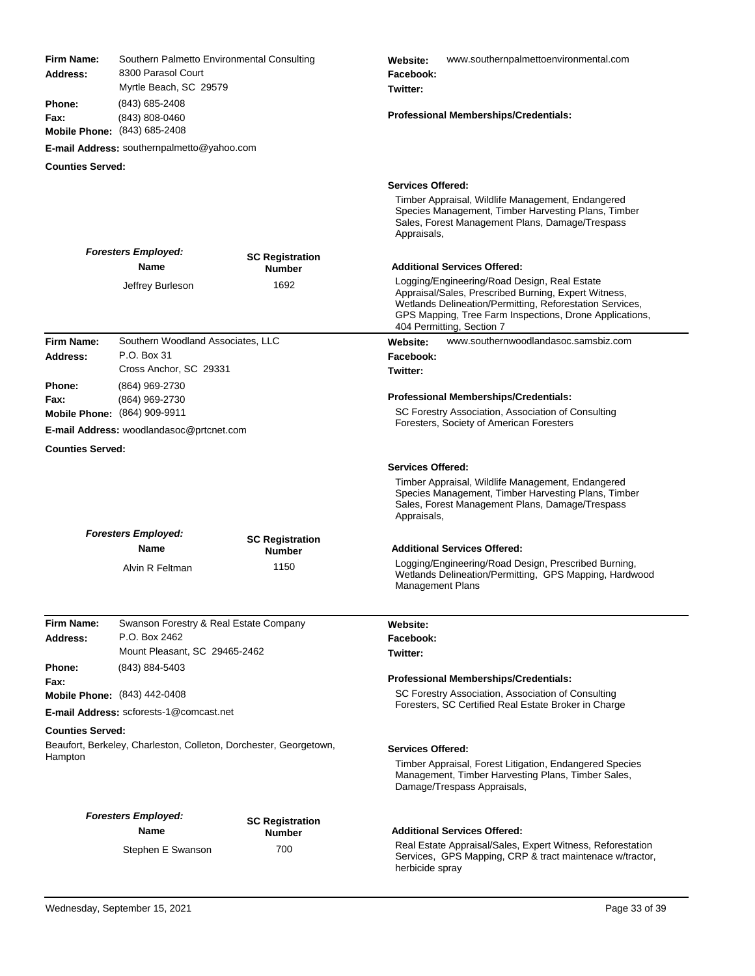| <b>Firm Name:</b><br>Address: | Southern Palmetto Environmental Consulting<br>8300 Parasol Court<br>Myrtle Beach, SC 29579 |                                         | www.southernpalmettoenvironmental.com<br>Website:<br>Facebook:<br>Twitter:                                                                                                                                                                               |  |
|-------------------------------|--------------------------------------------------------------------------------------------|-----------------------------------------|----------------------------------------------------------------------------------------------------------------------------------------------------------------------------------------------------------------------------------------------------------|--|
| <b>Phone:</b><br>Fax:         | (843) 685-2408<br>(843) 808-0460<br>Mobile Phone: (843) 685-2408                           |                                         | <b>Professional Memberships/Credentials:</b>                                                                                                                                                                                                             |  |
|                               | E-mail Address: southernpalmetto@yahoo.com                                                 |                                         |                                                                                                                                                                                                                                                          |  |
| <b>Counties Served:</b>       |                                                                                            |                                         |                                                                                                                                                                                                                                                          |  |
|                               |                                                                                            |                                         | <b>Services Offered:</b>                                                                                                                                                                                                                                 |  |
|                               |                                                                                            |                                         | Timber Appraisal, Wildlife Management, Endangered<br>Species Management, Timber Harvesting Plans, Timber<br>Sales, Forest Management Plans, Damage/Trespass<br>Appraisals,                                                                               |  |
|                               | <b>Foresters Employed:</b><br>Name                                                         | <b>SC Registration</b><br><b>Number</b> | Additional Services Offered:                                                                                                                                                                                                                             |  |
|                               | Jeffrey Burleson                                                                           | 1692                                    | Logging/Engineering/Road Design, Real Estate<br>Appraisal/Sales, Prescribed Burning, Expert Witness,<br>Wetlands Delineation/Permitting, Reforestation Services,<br>GPS Mapping, Tree Farm Inspections, Drone Applications,<br>404 Permitting, Section 7 |  |
| Firm Name:                    | Southern Woodland Associates, LLC                                                          |                                         | www.southernwoodlandasoc.samsbiz.com<br>Website:                                                                                                                                                                                                         |  |
| Address:                      | P.O. Box 31<br>Cross Anchor, SC 29331                                                      |                                         | Facebook:                                                                                                                                                                                                                                                |  |
| <b>Phone:</b>                 | (864) 969-2730                                                                             |                                         | Twitter:                                                                                                                                                                                                                                                 |  |
| Fax:                          | (864) 969-2730                                                                             |                                         | Professional Memberships/Credentials:                                                                                                                                                                                                                    |  |
|                               | <b>Mobile Phone:</b> (864) 909-9911<br>E-mail Address: woodlandasoc@prtcnet.com            |                                         | SC Forestry Association, Association of Consulting<br>Foresters, Society of American Foresters                                                                                                                                                           |  |
| <b>Counties Served:</b>       |                                                                                            |                                         |                                                                                                                                                                                                                                                          |  |
|                               |                                                                                            |                                         | <b>Services Offered:</b>                                                                                                                                                                                                                                 |  |
|                               |                                                                                            |                                         | Timber Appraisal, Wildlife Management, Endangered<br>Species Management, Timber Harvesting Plans, Timber<br>Sales, Forest Management Plans, Damage/Trespass<br>Appraisals,                                                                               |  |
|                               | <b>Foresters Employed:</b><br>Name                                                         | <b>SC Registration</b><br><b>Number</b> | <b>Additional Services Offered:</b>                                                                                                                                                                                                                      |  |
|                               | Alvin R Feltman                                                                            | 1150                                    | Logging/Engineering/Road Design, Prescribed Burning,<br>Wetlands Delineation/Permitting, GPS Mapping, Hardwood<br>Management Plans                                                                                                                       |  |
| <b>Firm Name:</b>             | Swanson Forestry & Real Estate Company                                                     |                                         | Website:                                                                                                                                                                                                                                                 |  |
| Address:                      | P.O. Box 2462                                                                              |                                         | Facebook:                                                                                                                                                                                                                                                |  |
|                               | Mount Pleasant, SC 29465-2462                                                              |                                         | Twitter:                                                                                                                                                                                                                                                 |  |
| Phone:                        | (843) 884-5403                                                                             |                                         |                                                                                                                                                                                                                                                          |  |
| Fax:                          | Mobile Phone: (843) 442-0408                                                               |                                         | <b>Professional Memberships/Credentials:</b><br>SC Forestry Association, Association of Consulting                                                                                                                                                       |  |
|                               | E-mail Address: scforests-1@comcast.net                                                    |                                         | Foresters, SC Certified Real Estate Broker in Charge                                                                                                                                                                                                     |  |
| <b>Counties Served:</b>       |                                                                                            |                                         |                                                                                                                                                                                                                                                          |  |
|                               | Beaufort, Berkeley, Charleston, Colleton, Dorchester, Georgetown,                          |                                         |                                                                                                                                                                                                                                                          |  |
| Hampton                       |                                                                                            |                                         | <b>Services Offered:</b><br>Timber Appraisal, Forest Litigation, Endangered Species<br>Management, Timber Harvesting Plans, Timber Sales,<br>Damage/Trespass Appraisals,                                                                                 |  |
|                               | <b>Foresters Employed:</b>                                                                 |                                         |                                                                                                                                                                                                                                                          |  |
|                               | Name                                                                                       | <b>SC Registration</b><br><b>Number</b> | <b>Additional Services Offered:</b>                                                                                                                                                                                                                      |  |
|                               | Stephen E Swanson                                                                          | 700                                     | Real Estate Appraisal/Sales, Expert Witness, Reforestation<br>Services, GPS Mapping, CRP & tract maintenace w/tractor,<br>herbicide spray                                                                                                                |  |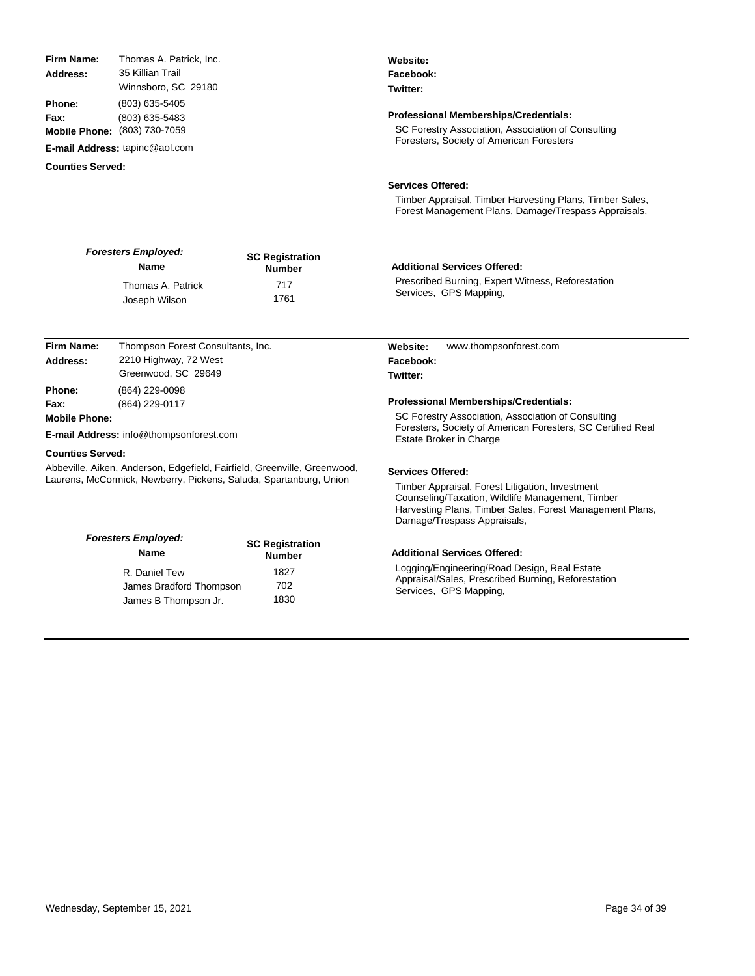35 Killian Trail Winnsboro, SC 29180 (803) 635-5405 (803) 635-5483 (803) 730-7059 **Mobile Phone: E-mail Address:** tapinc@aol.com **Address: Phone: Fax:** *Foresters Employed:* **Name SC Registration Number Twitter: Professional Memberships/Credentials:** SC Forestry Association, Association of Consulting Foresters, Society of American Foresters **Counties Served: Services Offered:** Timber Appraisal, Timber Harvesting Plans, Timber Sales, Prescribed Burning, Expert Witness, Reforestation Services, GPS Mapping, **Additional Services Offered:** Thomas A. Patrick 717 Joseph Wilson 1761 Thompson Forest Consultants, Inc. 2210 Highway, 72 West Greenwood, SC 29649 (864) 229-0098 (864) 229-0117 **E-mail Address:** info@thompsonforest.com www.thompsonforest.com **Address: Firm Name: Phone: Fax: Mobile Phone: Website: Facebook: Twitter: Professional Memberships/Credentials:** SC Forestry Association, Association of Consulting Foresters, Society of American Foresters, SC Certified Real Estate Broker in Charge

### **Counties Served:**

**Firm Name:**

Abbeville, Aiken, Anderson, Edgefield, Fairfield, Greenville, Greenwood, Laurens, McCormick, Newberry, Pickens, Saluda, Spartanburg, Union

Thomas A. Patrick, Inc.

| <b>Foresters Employed:</b><br><b>Name</b> | <b>SC Registration</b><br><b>Number</b> |
|-------------------------------------------|-----------------------------------------|
| R. Daniel Tew                             | 1827                                    |
| James Bradford Thompson                   | 702                                     |
| James B Thompson Jr.                      | 1830                                    |

### **Services Offered:**

Timber Appraisal, Forest Litigation, Investment Counseling/Taxation, Wildlife Management, Timber Harvesting Plans, Timber Sales, Forest Management Plans, Damage/Trespass Appraisals,

## **Additional Services Offered:**

Logging/Engineering/Road Design, Real Estate Appraisal/Sales, Prescribed Burning, Reforestation Services, GPS Mapping,

**Website: Facebook:**

Forest Management Plans, Damage/Trespass Appraisals,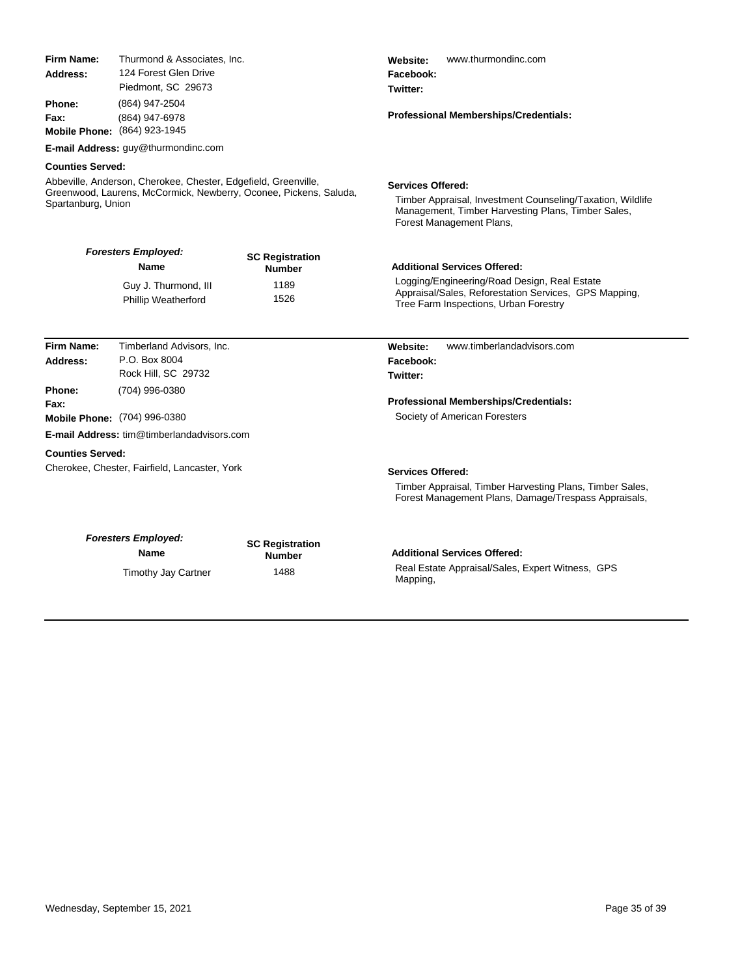| Firm Name:<br>Thurmond & Associates, Inc.<br>124 Forest Glen Drive<br>Address:<br>Piedmont, SC 29673                                                                                 |                                                                                          |                                                         | Website:<br>www.thurmondinc.com<br>Facebook:<br>Twitter:                                                                                                                              |  |
|--------------------------------------------------------------------------------------------------------------------------------------------------------------------------------------|------------------------------------------------------------------------------------------|---------------------------------------------------------|---------------------------------------------------------------------------------------------------------------------------------------------------------------------------------------|--|
| Phone:<br>Fax:                                                                                                                                                                       | (864) 947-2504<br>(864) 947-6978<br>Mobile Phone: (864) 923-1945                         |                                                         | <b>Professional Memberships/Credentials:</b>                                                                                                                                          |  |
|                                                                                                                                                                                      | E-mail Address: guy@thurmondinc.com                                                      |                                                         |                                                                                                                                                                                       |  |
| <b>Counties Served:</b><br>Abbeville, Anderson, Cherokee, Chester, Edgefield, Greenville,<br>Greenwood, Laurens, McCormick, Newberry, Oconee, Pickens, Saluda,<br>Spartanburg, Union |                                                                                          |                                                         | <b>Services Offered:</b><br>Timber Appraisal, Investment Counseling/Taxation, Wildlife<br>Management, Timber Harvesting Plans, Timber Sales,<br>Forest Management Plans,              |  |
|                                                                                                                                                                                      | <b>Foresters Employed:</b><br>Name<br>Guy J. Thurmond, III<br><b>Phillip Weatherford</b> | <b>SC Registration</b><br><b>Number</b><br>1189<br>1526 | <b>Additional Services Offered:</b><br>Logging/Engineering/Road Design, Real Estate<br>Appraisal/Sales, Reforestation Services, GPS Mapping,<br>Tree Farm Inspections, Urban Forestry |  |
| Firm Name:                                                                                                                                                                           | Timberland Advisors, Inc.                                                                |                                                         | www.timberlandadvisors.com<br>Website:                                                                                                                                                |  |
| <b>Address:</b>                                                                                                                                                                      | P.O. Box 8004<br>Rock Hill, SC 29732                                                     |                                                         | Facebook:<br>Twitter:                                                                                                                                                                 |  |
| Phone:<br>Fax:                                                                                                                                                                       | (704) 996-0380                                                                           |                                                         | <b>Professional Memberships/Credentials:</b>                                                                                                                                          |  |
|                                                                                                                                                                                      | Mobile Phone: (704) 996-0380                                                             |                                                         | Society of American Foresters                                                                                                                                                         |  |
|                                                                                                                                                                                      | <b>E-mail Address: tim@timberlandadvisors.com</b>                                        |                                                         |                                                                                                                                                                                       |  |
| <b>Counties Served:</b>                                                                                                                                                              | Cherokee, Chester, Fairfield, Lancaster, York                                            |                                                         | <b>Services Offered:</b><br>Timber Appraisal, Timber Harvesting Plans, Timber Sales,<br>Forest Management Plans, Damage/Trespass Appraisals,                                          |  |
|                                                                                                                                                                                      | <b>Foresters Employed:</b><br>Name                                                       | <b>SC Registration</b><br><b>Number</b>                 | <b>Additional Services Offered:</b>                                                                                                                                                   |  |
|                                                                                                                                                                                      | <b>Timothy Jay Cartner</b>                                                               | 1488                                                    | Real Estate Appraisal/Sales, Expert Witness, GPS<br>Mapping,                                                                                                                          |  |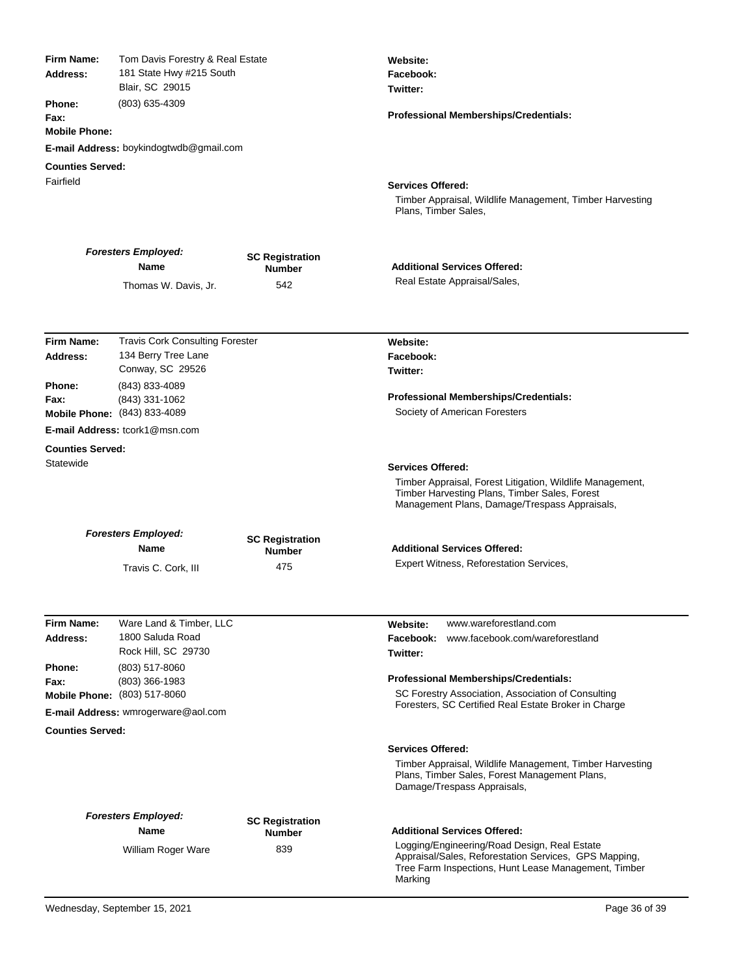| Firm Name:<br>Address:<br><b>Phone:</b><br>Fax:<br><b>Mobile Phone:</b><br><b>Counties Served:</b> | Tom Davis Forestry & Real Estate<br>181 State Hwy #215 South<br>Blair, SC 29015<br>(803) 635-4309<br>E-mail Address: boykindogtwdb@gmail.com |                                         | Website:<br>Facebook:<br>Twitter:<br>Professional Memberships/Credentials:                                                                                               |
|----------------------------------------------------------------------------------------------------|----------------------------------------------------------------------------------------------------------------------------------------------|-----------------------------------------|--------------------------------------------------------------------------------------------------------------------------------------------------------------------------|
| Fairfield                                                                                          |                                                                                                                                              |                                         | <b>Services Offered:</b><br>Timber Appraisal, Wildlife Management, Timber Harvesting<br>Plans, Timber Sales,                                                             |
|                                                                                                    | <b>Foresters Employed:</b><br>Name                                                                                                           | <b>SC Registration</b><br><b>Number</b> | <b>Additional Services Offered:</b>                                                                                                                                      |
|                                                                                                    | Thomas W. Davis, Jr.                                                                                                                         | 542                                     | Real Estate Appraisal/Sales,                                                                                                                                             |
| <b>Firm Name:</b>                                                                                  |                                                                                                                                              |                                         |                                                                                                                                                                          |
| Address:                                                                                           | <b>Travis Cork Consulting Forester</b><br>134 Berry Tree Lane<br>Conway, SC 29526                                                            |                                         | Website:<br>Facebook:<br>Twitter:                                                                                                                                        |
| <b>Phone:</b><br>Fax:                                                                              | (843) 833-4089<br>(843) 331-1062<br>Mobile Phone: (843) 833-4089                                                                             |                                         | Professional Memberships/Credentials:<br>Society of American Foresters                                                                                                   |
|                                                                                                    | <b>E-mail Address: tcork1@msn.com</b>                                                                                                        |                                         |                                                                                                                                                                          |
| <b>Counties Served:</b>                                                                            |                                                                                                                                              |                                         |                                                                                                                                                                          |
| Statewide                                                                                          |                                                                                                                                              |                                         | <b>Services Offered:</b>                                                                                                                                                 |
|                                                                                                    |                                                                                                                                              |                                         | Timber Appraisal, Forest Litigation, Wildlife Management,<br>Timber Harvesting Plans, Timber Sales, Forest<br>Management Plans, Damage/Trespass Appraisals,              |
|                                                                                                    | <b>Foresters Employed:</b><br>Name                                                                                                           | <b>SC Registration</b><br><b>Number</b> | <b>Additional Services Offered:</b>                                                                                                                                      |
|                                                                                                    | Travis C. Cork, III                                                                                                                          | 475                                     | Expert Witness, Reforestation Services,                                                                                                                                  |
|                                                                                                    |                                                                                                                                              |                                         |                                                                                                                                                                          |
| <b>Firm Name:</b><br>Address:                                                                      | Ware Land & Timber, LLC<br>1800 Saluda Road<br>Rock Hill, SC 29730                                                                           |                                         | www.wareforestland.com<br>Website:<br>www.facebook.com/wareforestland<br>Facebook:<br>Twitter:                                                                           |
| Phone:                                                                                             | $(803)$ 517-8060                                                                                                                             |                                         |                                                                                                                                                                          |
| Fax:                                                                                               | (803) 366-1983                                                                                                                               |                                         | <b>Professional Memberships/Credentials:</b>                                                                                                                             |
|                                                                                                    | Mobile Phone: (803) 517-8060<br>E-mail Address: wmrogerware@aol.com                                                                          |                                         | SC Forestry Association, Association of Consulting<br>Foresters, SC Certified Real Estate Broker in Charge                                                               |
| <b>Counties Served:</b>                                                                            |                                                                                                                                              |                                         |                                                                                                                                                                          |
|                                                                                                    |                                                                                                                                              |                                         | <b>Services Offered:</b>                                                                                                                                                 |
|                                                                                                    |                                                                                                                                              |                                         | Timber Appraisal, Wildlife Management, Timber Harvesting<br>Plans, Timber Sales, Forest Management Plans,<br>Damage/Trespass Appraisals,                                 |
|                                                                                                    | <b>Foresters Employed:</b><br>Name                                                                                                           | <b>SC Registration</b><br><b>Number</b> | <b>Additional Services Offered:</b>                                                                                                                                      |
|                                                                                                    | William Roger Ware                                                                                                                           | 839                                     | Logging/Engineering/Road Design, Real Estate<br>Appraisal/Sales, Reforestation Services, GPS Mapping,<br>Tree Farm Inspections, Hunt Lease Management, Timber<br>Marking |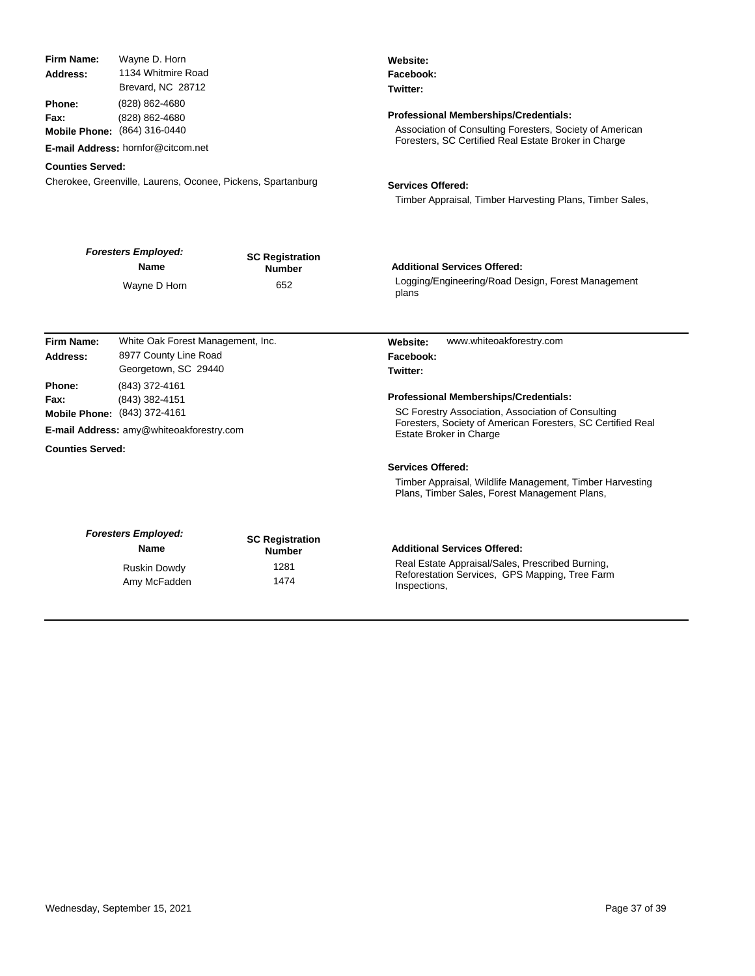| Firm Name:                                                          | Wayne D. Horn                                                                                                                                                                                      |                                  | Website:                                                                                                                                                                                                                                                      |
|---------------------------------------------------------------------|----------------------------------------------------------------------------------------------------------------------------------------------------------------------------------------------------|----------------------------------|---------------------------------------------------------------------------------------------------------------------------------------------------------------------------------------------------------------------------------------------------------------|
| Address:                                                            | 1134 Whitmire Road                                                                                                                                                                                 |                                  | Facebook:                                                                                                                                                                                                                                                     |
|                                                                     | Brevard, NC 28712                                                                                                                                                                                  |                                  | Twitter:                                                                                                                                                                                                                                                      |
| Phone:                                                              | (828) 862-4680                                                                                                                                                                                     |                                  |                                                                                                                                                                                                                                                               |
| Fax:                                                                | (828) 862-4680                                                                                                                                                                                     |                                  | <b>Professional Memberships/Credentials:</b><br>Association of Consulting Foresters, Society of American                                                                                                                                                      |
|                                                                     | Mobile Phone: (864) 316-0440                                                                                                                                                                       |                                  | Foresters, SC Certified Real Estate Broker in Charge                                                                                                                                                                                                          |
|                                                                     | E-mail Address: hornfor@citcom.net                                                                                                                                                                 |                                  |                                                                                                                                                                                                                                                               |
| <b>Counties Served:</b>                                             |                                                                                                                                                                                                    |                                  |                                                                                                                                                                                                                                                               |
|                                                                     | Cherokee, Greenville, Laurens, Oconee, Pickens, Spartanburg                                                                                                                                        |                                  | <b>Services Offered:</b>                                                                                                                                                                                                                                      |
|                                                                     |                                                                                                                                                                                                    |                                  | Timber Appraisal, Timber Harvesting Plans, Timber Sales,                                                                                                                                                                                                      |
|                                                                     | <b>Foresters Employed:</b>                                                                                                                                                                         | <b>SC Registration</b>           |                                                                                                                                                                                                                                                               |
|                                                                     | <b>Name</b>                                                                                                                                                                                        | <b>Number</b>                    | <b>Additional Services Offered:</b>                                                                                                                                                                                                                           |
|                                                                     | Wayne D Horn                                                                                                                                                                                       | 652                              | Logging/Engineering/Road Design, Forest Management<br>plans                                                                                                                                                                                                   |
| Firm Name:<br>Address:<br>Phone:<br>Fax:<br><b>Counties Served:</b> | White Oak Forest Management, Inc.<br>8977 County Line Road<br>Georgetown, SC 29440<br>(843) 372-4161<br>(843) 382-4151<br>Mobile Phone: (843) 372-4161<br>E-mail Address: amy@whiteoakforestry.com |                                  | www.whiteoakforestry.com<br>Website:<br>Facebook:<br>Twitter:<br><b>Professional Memberships/Credentials:</b><br>SC Forestry Association, Association of Consulting<br>Foresters, Society of American Foresters, SC Certified Real<br>Estate Broker in Charge |
|                                                                     |                                                                                                                                                                                                    |                                  | <b>Services Offered:</b>                                                                                                                                                                                                                                      |
|                                                                     |                                                                                                                                                                                                    |                                  | Timber Appraisal, Wildlife Management, Timber Harvesting<br>Plans, Timber Sales, Forest Management Plans,                                                                                                                                                     |
|                                                                     | <b>Foresters Employed:</b><br><b>Name</b>                                                                                                                                                          | <b>SC Registration</b><br>Number | <b>Additional Services Offered:</b>                                                                                                                                                                                                                           |
|                                                                     | Ruskin Dowdy                                                                                                                                                                                       | 1281                             | Real Estate Appraisal/Sales, Prescribed Burning,                                                                                                                                                                                                              |
|                                                                     | Amy McFadden                                                                                                                                                                                       | 1474                             | Reforestation Services, GPS Mapping, Tree Farm<br>Inspections,                                                                                                                                                                                                |
|                                                                     |                                                                                                                                                                                                    |                                  |                                                                                                                                                                                                                                                               |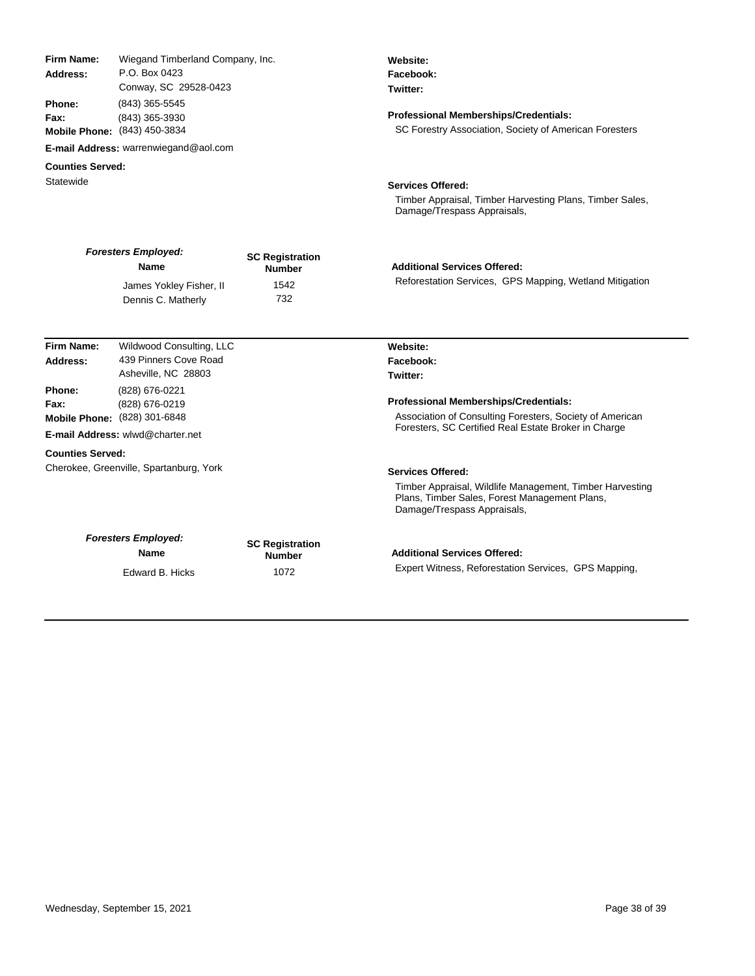| Firm Name:<br>Address:<br>Phone:<br>Fax: | Wiegand Timberland Company, Inc.<br>P.O. Box 0423<br>Conway, SC 29528-0423<br>(843) 365-5545<br>(843) 365-3930<br>Mobile Phone: (843) 450-3834 |                                         | Website:<br>Facebook:<br>Twitter:<br><b>Professional Memberships/Credentials:</b><br>SC Forestry Association, Society of American Foresters |
|------------------------------------------|------------------------------------------------------------------------------------------------------------------------------------------------|-----------------------------------------|---------------------------------------------------------------------------------------------------------------------------------------------|
|                                          | E-mail Address: warrenwiegand@aol.com                                                                                                          |                                         |                                                                                                                                             |
| <b>Counties Served:</b><br>Statewide     |                                                                                                                                                |                                         | <b>Services Offered:</b><br>Timber Appraisal, Timber Harvesting Plans, Timber Sales,<br>Damage/Trespass Appraisals,                         |
|                                          | <b>Foresters Employed:</b><br><b>Name</b>                                                                                                      | <b>SC Registration</b><br><b>Number</b> | <b>Additional Services Offered:</b>                                                                                                         |
|                                          | James Yokley Fisher, II<br>Dennis C. Matherly                                                                                                  | 1542<br>732                             | Reforestation Services, GPS Mapping, Wetland Mitigation                                                                                     |
| Firm Name:                               | Wildwood Consulting, LLC                                                                                                                       |                                         | Website:                                                                                                                                    |
| Address:                                 | 439 Pinners Cove Road<br>Asheville, NC 28803                                                                                                   |                                         | Facebook:<br>Twitter:                                                                                                                       |
| Phone:<br>Fax:                           | (828) 676-0221<br>(828) 676-0219<br>Mobile Phone: (828) 301-6848                                                                               |                                         | Professional Memberships/Credentials:<br>Association of Consulting Foresters, Society of American                                           |
|                                          | E-mail Address: wlwd@charter.net                                                                                                               |                                         | Foresters, SC Certified Real Estate Broker in Charge                                                                                        |
| <b>Counties Served:</b>                  |                                                                                                                                                |                                         |                                                                                                                                             |
| Cherokee, Greenville, Spartanburg, York  |                                                                                                                                                |                                         | <b>Services Offered:</b>                                                                                                                    |
|                                          |                                                                                                                                                |                                         | Timber Appraisal, Wildlife Management, Timber Harvesting<br>Plans, Timber Sales, Forest Management Plans,<br>Damage/Trespass Appraisals,    |
|                                          | <b>Foresters Employed:</b><br><b>Name</b>                                                                                                      | <b>SC Registration</b><br><b>Number</b> | <b>Additional Services Offered:</b>                                                                                                         |
|                                          | Edward B. Hicks                                                                                                                                | 1072                                    | Expert Witness, Reforestation Services, GPS Mapping,                                                                                        |